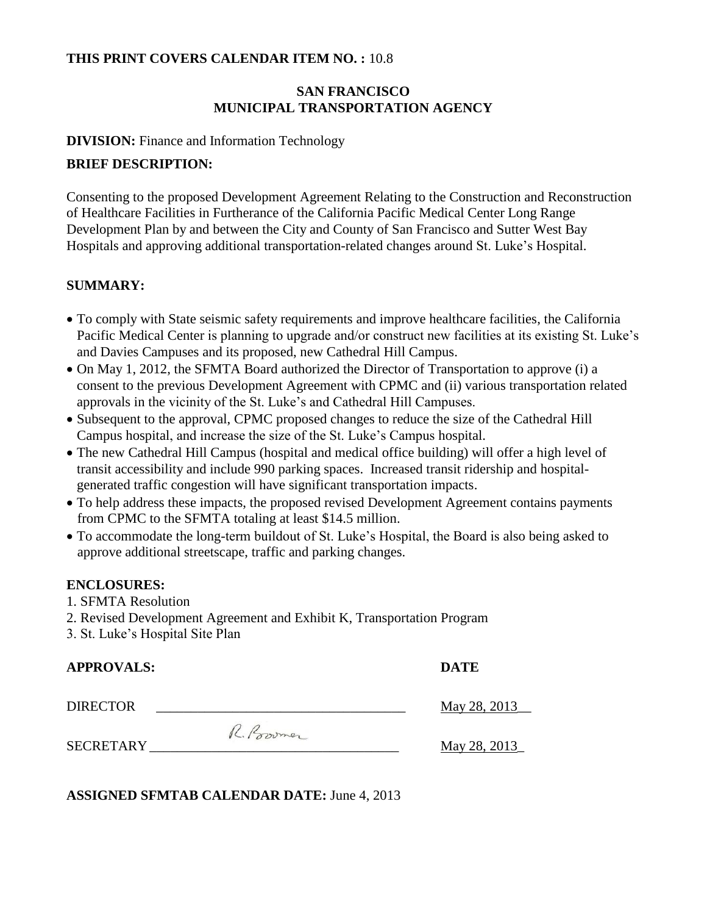#### **THIS PRINT COVERS CALENDAR ITEM NO. :** 10.8

## **SAN FRANCISCO MUNICIPAL TRANSPORTATION AGENCY**

#### **DIVISION:** Finance and Information Technology

#### **BRIEF DESCRIPTION:**

Consenting to the proposed Development Agreement Relating to the Construction and Reconstruction of Healthcare Facilities in Furtherance of the California Pacific Medical Center Long Range Development Plan by and between the City and County of San Francisco and Sutter West Bay Hospitals and approving additional transportation-related changes around St. Luke's Hospital.

#### **SUMMARY:**

- To comply with State seismic safety requirements and improve healthcare facilities, the California Pacific Medical Center is planning to upgrade and/or construct new facilities at its existing St. Luke's and Davies Campuses and its proposed, new Cathedral Hill Campus.
- On May 1, 2012, the SFMTA Board authorized the Director of Transportation to approve (i) a consent to the previous Development Agreement with CPMC and (ii) various transportation related approvals in the vicinity of the St. Luke's and Cathedral Hill Campuses.
- Subsequent to the approval, CPMC proposed changes to reduce the size of the Cathedral Hill Campus hospital, and increase the size of the St. Luke's Campus hospital.
- The new Cathedral Hill Campus (hospital and medical office building) will offer a high level of transit accessibility and include 990 parking spaces. Increased transit ridership and hospitalgenerated traffic congestion will have significant transportation impacts.
- To help address these impacts, the proposed revised Development Agreement contains payments from CPMC to the SFMTA totaling at least \$14.5 million.
- To accommodate the long-term buildout of St. Luke's Hospital, the Board is also being asked to approve additional streetscape, traffic and parking changes.

#### **ENCLOSURES:**

- 1. SFMTA Resolution
- 2. Revised Development Agreement and Exhibit K, Transportation Program
- 3. St. Luke's Hospital Site Plan

| <b>APPROVALS:</b> |             | <b>DATE</b> |
|-------------------|-------------|-------------|
| <b>DIRECTOR</b>   |             | May $28$    |
|                   | IL. Browner |             |

 $SECRETARY$  May 28, 2013

May 28, 2013\_

**ASSIGNED SFMTAB CALENDAR DATE:** June 4, 2013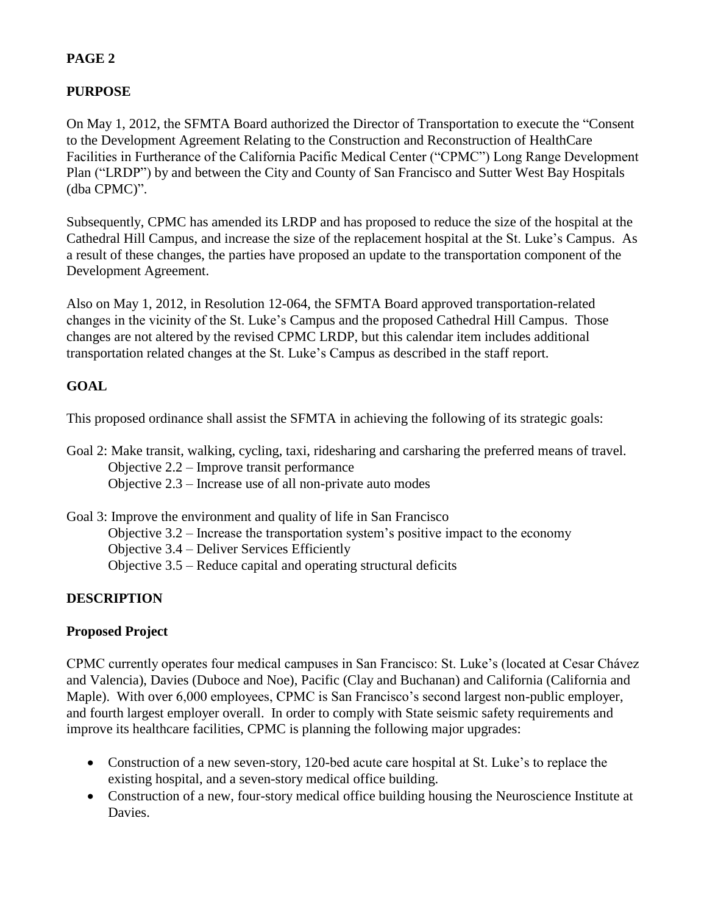## **PURPOSE**

On May 1, 2012, the SFMTA Board authorized the Director of Transportation to execute the "Consent to the Development Agreement Relating to the Construction and Reconstruction of HealthCare Facilities in Furtherance of the California Pacific Medical Center ("CPMC") Long Range Development Plan ("LRDP") by and between the City and County of San Francisco and Sutter West Bay Hospitals (dba CPMC)".

Subsequently, CPMC has amended its LRDP and has proposed to reduce the size of the hospital at the Cathedral Hill Campus, and increase the size of the replacement hospital at the St. Luke's Campus. As a result of these changes, the parties have proposed an update to the transportation component of the Development Agreement.

Also on May 1, 2012, in Resolution 12-064, the SFMTA Board approved transportation-related changes in the vicinity of the St. Luke's Campus and the proposed Cathedral Hill Campus. Those changes are not altered by the revised CPMC LRDP, but this calendar item includes additional transportation related changes at the St. Luke's Campus as described in the staff report.

## **GOAL**

This proposed ordinance shall assist the SFMTA in achieving the following of its strategic goals:

Goal 2: Make transit, walking, cycling, taxi, ridesharing and carsharing the preferred means of travel. Objective 2.2 – Improve transit performance Objective 2.3 – Increase use of all non-private auto modes

Goal 3: Improve the environment and quality of life in San Francisco Objective 3.2 – Increase the transportation system's positive impact to the economy Objective 3.4 – Deliver Services Efficiently Objective 3.5 – Reduce capital and operating structural deficits

# **DESCRIPTION**

# **Proposed Project**

CPMC currently operates four medical campuses in San Francisco: St. Luke's (located at Cesar Chávez and Valencia), Davies (Duboce and Noe), Pacific (Clay and Buchanan) and California (California and Maple). With over 6,000 employees, CPMC is San Francisco's second largest non-public employer, and fourth largest employer overall. In order to comply with State seismic safety requirements and improve its healthcare facilities, CPMC is planning the following major upgrades:

- Construction of a new seven-story, 120-bed acute care hospital at St. Luke's to replace the existing hospital, and a seven-story medical office building.
- Construction of a new, four-story medical office building housing the Neuroscience Institute at Davies.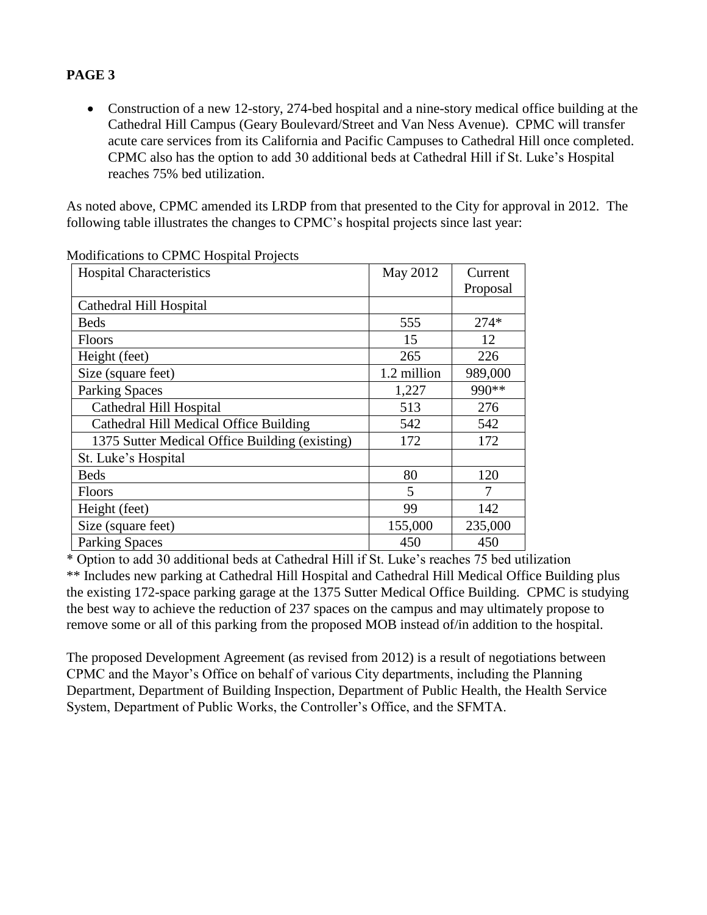• Construction of a new 12-story, 274-bed hospital and a nine-story medical office building at the Cathedral Hill Campus (Geary Boulevard/Street and Van Ness Avenue). CPMC will transfer acute care services from its California and Pacific Campuses to Cathedral Hill once completed. CPMC also has the option to add 30 additional beds at Cathedral Hill if St. Luke's Hospital reaches 75% bed utilization.

As noted above, CPMC amended its LRDP from that presented to the City for approval in 2012. The following table illustrates the changes to CPMC's hospital projects since last year:

| <b>Hospital Characteristics</b>                | May 2012    | Current  |
|------------------------------------------------|-------------|----------|
|                                                |             | Proposal |
| Cathedral Hill Hospital                        |             |          |
| <b>Beds</b>                                    | 555         | $274*$   |
| <b>Floors</b>                                  | 15          | 12       |
| Height (feet)                                  | 265         | 226      |
| Size (square feet)                             | 1.2 million | 989,000  |
| <b>Parking Spaces</b>                          | 1,227       | 990**    |
| Cathedral Hill Hospital                        | 513         | 276      |
| Cathedral Hill Medical Office Building         | 542         | 542      |
| 1375 Sutter Medical Office Building (existing) | 172         | 172      |
| St. Luke's Hospital                            |             |          |
| <b>Beds</b>                                    | 80          | 120      |
| Floors                                         | 5           |          |
| Height (feet)                                  | 99          | 142      |
| Size (square feet)                             | 155,000     | 235,000  |
| <b>Parking Spaces</b>                          | 450         | 450      |

Modifications to CPMC Hospital Projects

\* Option to add 30 additional beds at Cathedral Hill if St. Luke's reaches 75 bed utilization \*\* Includes new parking at Cathedral Hill Hospital and Cathedral Hill Medical Office Building plus the existing 172-space parking garage at the 1375 Sutter Medical Office Building. CPMC is studying the best way to achieve the reduction of 237 spaces on the campus and may ultimately propose to remove some or all of this parking from the proposed MOB instead of/in addition to the hospital.

The proposed Development Agreement (as revised from 2012) is a result of negotiations between CPMC and the Mayor's Office on behalf of various City departments, including the Planning Department, Department of Building Inspection, Department of Public Health, the Health Service System, Department of Public Works, the Controller's Office, and the SFMTA.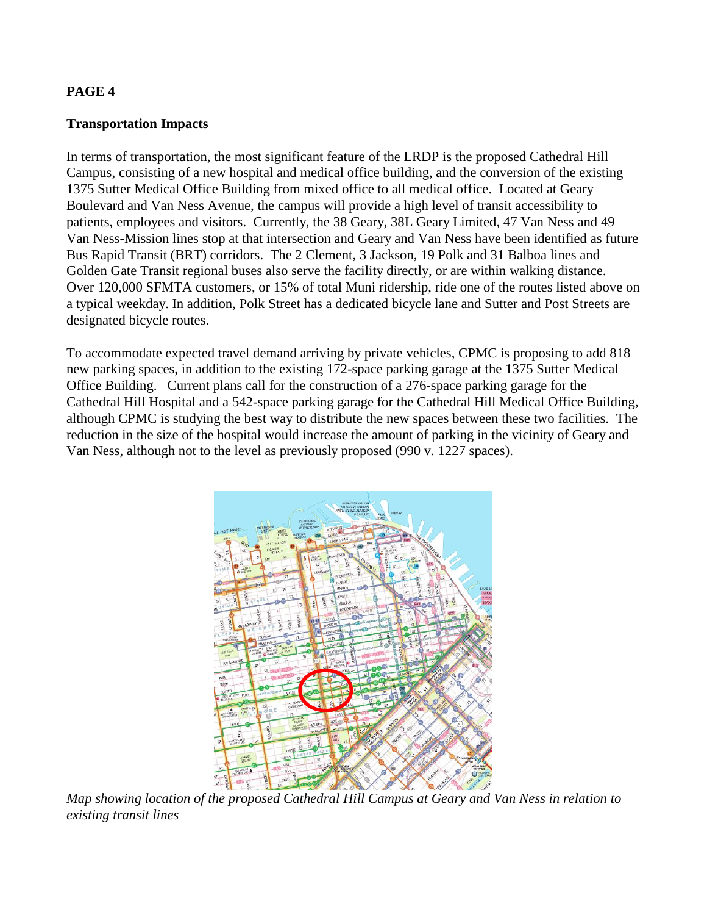### **Transportation Impacts**

In terms of transportation, the most significant feature of the LRDP is the proposed Cathedral Hill Campus, consisting of a new hospital and medical office building, and the conversion of the existing 1375 Sutter Medical Office Building from mixed office to all medical office. Located at Geary Boulevard and Van Ness Avenue, the campus will provide a high level of transit accessibility to patients, employees and visitors. Currently, the 38 Geary, 38L Geary Limited, 47 Van Ness and 49 Van Ness-Mission lines stop at that intersection and Geary and Van Ness have been identified as future Bus Rapid Transit (BRT) corridors. The 2 Clement, 3 Jackson, 19 Polk and 31 Balboa lines and Golden Gate Transit regional buses also serve the facility directly, or are within walking distance. Over 120,000 SFMTA customers, or 15% of total Muni ridership, ride one of the routes listed above on a typical weekday. In addition, Polk Street has a dedicated bicycle lane and Sutter and Post Streets are designated bicycle routes.

To accommodate expected travel demand arriving by private vehicles, CPMC is proposing to add 818 new parking spaces, in addition to the existing 172-space parking garage at the 1375 Sutter Medical Office Building. Current plans call for the construction of a 276-space parking garage for the Cathedral Hill Hospital and a 542-space parking garage for the Cathedral Hill Medical Office Building, although CPMC is studying the best way to distribute the new spaces between these two facilities. The reduction in the size of the hospital would increase the amount of parking in the vicinity of Geary and Van Ness, although not to the level as previously proposed (990 v. 1227 spaces).



*Map showing location of the proposed Cathedral Hill Campus at Geary and Van Ness in relation to existing transit lines*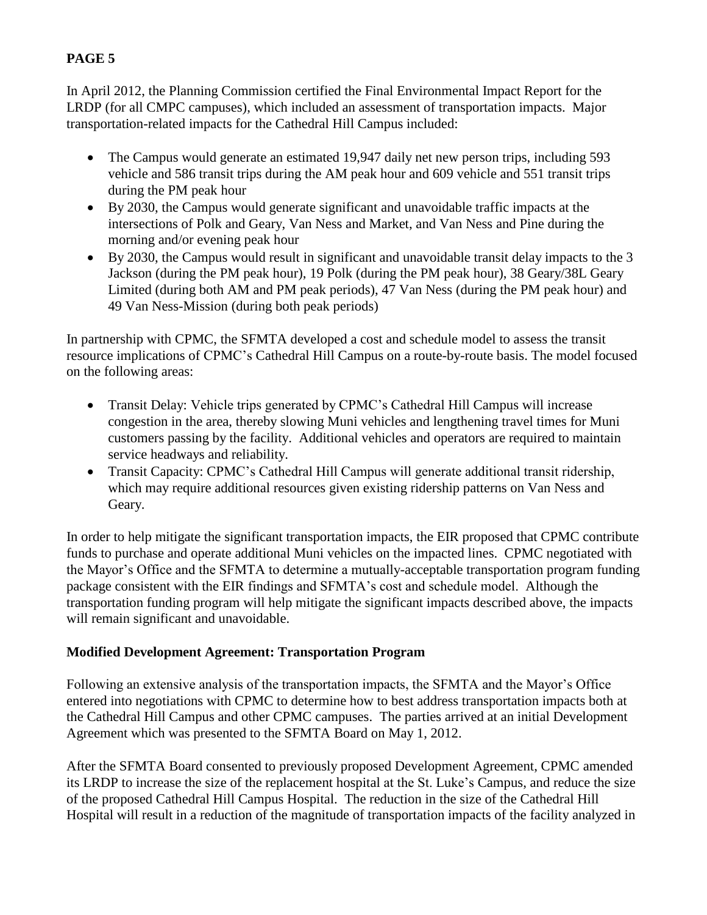In April 2012, the Planning Commission certified the Final Environmental Impact Report for the LRDP (for all CMPC campuses), which included an assessment of transportation impacts. Major transportation-related impacts for the Cathedral Hill Campus included:

- The Campus would generate an estimated 19,947 daily net new person trips, including 593 vehicle and 586 transit trips during the AM peak hour and 609 vehicle and 551 transit trips during the PM peak hour
- By 2030, the Campus would generate significant and unavoidable traffic impacts at the intersections of Polk and Geary, Van Ness and Market, and Van Ness and Pine during the morning and/or evening peak hour
- By 2030, the Campus would result in significant and unavoidable transit delay impacts to the 3 Jackson (during the PM peak hour), 19 Polk (during the PM peak hour), 38 Geary/38L Geary Limited (during both AM and PM peak periods), 47 Van Ness (during the PM peak hour) and 49 Van Ness-Mission (during both peak periods)

In partnership with CPMC, the SFMTA developed a cost and schedule model to assess the transit resource implications of CPMC's Cathedral Hill Campus on a route-by-route basis. The model focused on the following areas:

- Transit Delay: Vehicle trips generated by CPMC's Cathedral Hill Campus will increase congestion in the area, thereby slowing Muni vehicles and lengthening travel times for Muni customers passing by the facility. Additional vehicles and operators are required to maintain service headways and reliability.
- Transit Capacity: CPMC's Cathedral Hill Campus will generate additional transit ridership, which may require additional resources given existing ridership patterns on Van Ness and Geary.

In order to help mitigate the significant transportation impacts, the EIR proposed that CPMC contribute funds to purchase and operate additional Muni vehicles on the impacted lines. CPMC negotiated with the Mayor's Office and the SFMTA to determine a mutually-acceptable transportation program funding package consistent with the EIR findings and SFMTA's cost and schedule model. Although the transportation funding program will help mitigate the significant impacts described above, the impacts will remain significant and unavoidable.

# **Modified Development Agreement: Transportation Program**

Following an extensive analysis of the transportation impacts, the SFMTA and the Mayor's Office entered into negotiations with CPMC to determine how to best address transportation impacts both at the Cathedral Hill Campus and other CPMC campuses. The parties arrived at an initial Development Agreement which was presented to the SFMTA Board on May 1, 2012.

After the SFMTA Board consented to previously proposed Development Agreement, CPMC amended its LRDP to increase the size of the replacement hospital at the St. Luke's Campus, and reduce the size of the proposed Cathedral Hill Campus Hospital. The reduction in the size of the Cathedral Hill Hospital will result in a reduction of the magnitude of transportation impacts of the facility analyzed in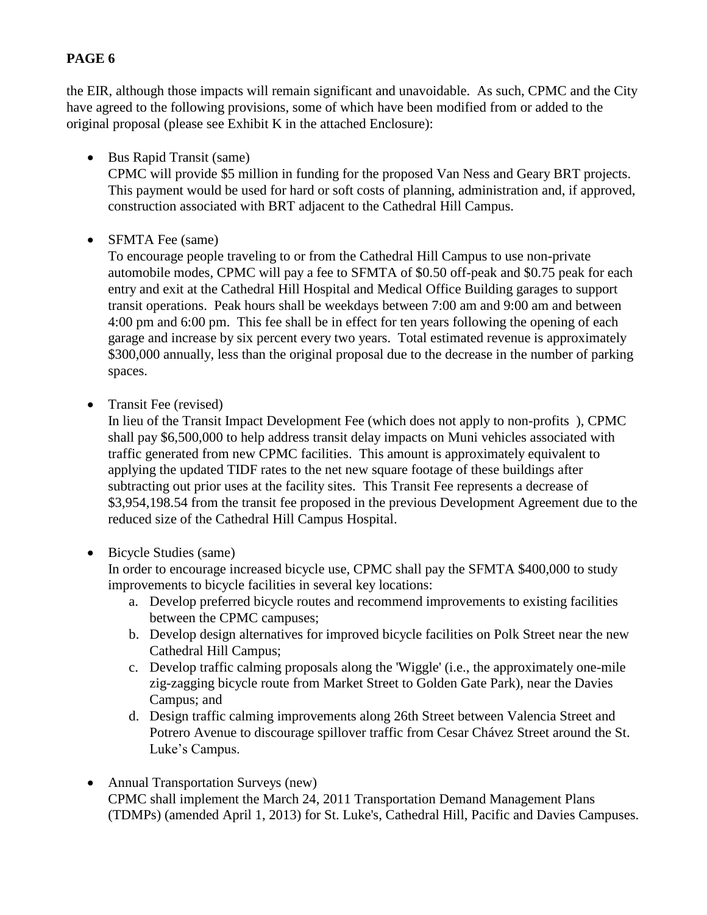the EIR, although those impacts will remain significant and unavoidable. As such, CPMC and the City have agreed to the following provisions, some of which have been modified from or added to the original proposal (please see Exhibit K in the attached Enclosure):

• Bus Rapid Transit (same)

CPMC will provide \$5 million in funding for the proposed Van Ness and Geary BRT projects. This payment would be used for hard or soft costs of planning, administration and, if approved, construction associated with BRT adjacent to the Cathedral Hill Campus.

• SFMTA Fee (same)

To encourage people traveling to or from the Cathedral Hill Campus to use non-private automobile modes, CPMC will pay a fee to SFMTA of \$0.50 off-peak and \$0.75 peak for each entry and exit at the Cathedral Hill Hospital and Medical Office Building garages to support transit operations. Peak hours shall be weekdays between 7:00 am and 9:00 am and between 4:00 pm and 6:00 pm. This fee shall be in effect for ten years following the opening of each garage and increase by six percent every two years. Total estimated revenue is approximately \$300,000 annually, less than the original proposal due to the decrease in the number of parking spaces.

• Transit Fee (revised)

In lieu of the Transit Impact Development Fee (which does not apply to non-profits ), CPMC shall pay \$6,500,000 to help address transit delay impacts on Muni vehicles associated with traffic generated from new CPMC facilities. This amount is approximately equivalent to applying the updated TIDF rates to the net new square footage of these buildings after subtracting out prior uses at the facility sites. This Transit Fee represents a decrease of \$3,954,198.54 from the transit fee proposed in the previous Development Agreement due to the reduced size of the Cathedral Hill Campus Hospital.

Bicycle Studies (same)

In order to encourage increased bicycle use, CPMC shall pay the SFMTA \$400,000 to study improvements to bicycle facilities in several key locations:

- a. Develop preferred bicycle routes and recommend improvements to existing facilities between the CPMC campuses;
- b. Develop design alternatives for improved bicycle facilities on Polk Street near the new Cathedral Hill Campus;
- c. Develop traffic calming proposals along the 'Wiggle' (i.e., the approximately one-mile zig-zagging bicycle route from Market Street to Golden Gate Park), near the Davies Campus; and
- d. Design traffic calming improvements along 26th Street between Valencia Street and Potrero Avenue to discourage spillover traffic from Cesar Chávez Street around the St. Luke's Campus.
- Annual Transportation Surveys (new) CPMC shall implement the March 24, 2011 Transportation Demand Management Plans (TDMPs) (amended April 1, 2013) for St. Luke's, Cathedral Hill, Pacific and Davies Campuses.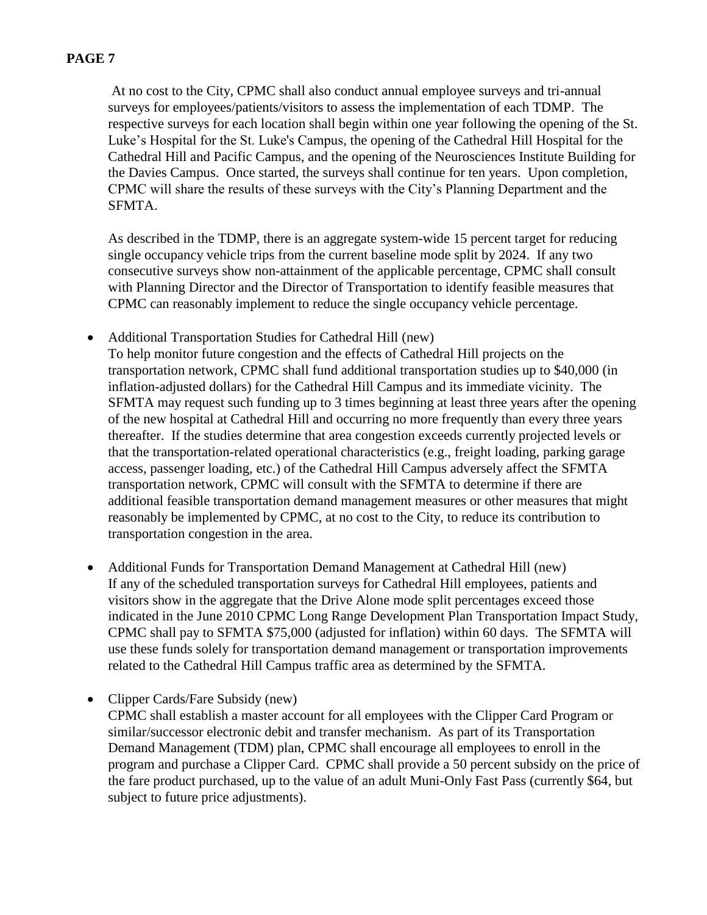At no cost to the City, CPMC shall also conduct annual employee surveys and tri-annual surveys for employees/patients/visitors to assess the implementation of each TDMP. The respective surveys for each location shall begin within one year following the opening of the St. Luke's Hospital for the St. Luke's Campus, the opening of the Cathedral Hill Hospital for the Cathedral Hill and Pacific Campus, and the opening of the Neurosciences Institute Building for the Davies Campus. Once started, the surveys shall continue for ten years. Upon completion, CPMC will share the results of these surveys with the City's Planning Department and the SFMTA.

As described in the TDMP, there is an aggregate system-wide 15 percent target for reducing single occupancy vehicle trips from the current baseline mode split by 2024. If any two consecutive surveys show non-attainment of the applicable percentage, CPMC shall consult with Planning Director and the Director of Transportation to identify feasible measures that CPMC can reasonably implement to reduce the single occupancy vehicle percentage.

- Additional Transportation Studies for Cathedral Hill (new)
- To help monitor future congestion and the effects of Cathedral Hill projects on the transportation network, CPMC shall fund additional transportation studies up to \$40,000 (in inflation-adjusted dollars) for the Cathedral Hill Campus and its immediate vicinity. The SFMTA may request such funding up to 3 times beginning at least three years after the opening of the new hospital at Cathedral Hill and occurring no more frequently than every three years thereafter. If the studies determine that area congestion exceeds currently projected levels or that the transportation-related operational characteristics (e.g., freight loading, parking garage access, passenger loading, etc.) of the Cathedral Hill Campus adversely affect the SFMTA transportation network, CPMC will consult with the SFMTA to determine if there are additional feasible transportation demand management measures or other measures that might reasonably be implemented by CPMC, at no cost to the City, to reduce its contribution to transportation congestion in the area.
- Additional Funds for Transportation Demand Management at Cathedral Hill (new) If any of the scheduled transportation surveys for Cathedral Hill employees, patients and visitors show in the aggregate that the Drive Alone mode split percentages exceed those indicated in the June 2010 CPMC Long Range Development Plan Transportation Impact Study, CPMC shall pay to SFMTA \$75,000 (adjusted for inflation) within 60 days. The SFMTA will use these funds solely for transportation demand management or transportation improvements related to the Cathedral Hill Campus traffic area as determined by the SFMTA.
- Clipper Cards/Fare Subsidy (new) CPMC shall establish a master account for all employees with the Clipper Card Program or similar/successor electronic debit and transfer mechanism. As part of its Transportation Demand Management (TDM) plan, CPMC shall encourage all employees to enroll in the program and purchase a Clipper Card. CPMC shall provide a 50 percent subsidy on the price of the fare product purchased, up to the value of an adult Muni-Only Fast Pass (currently \$64, but subject to future price adjustments).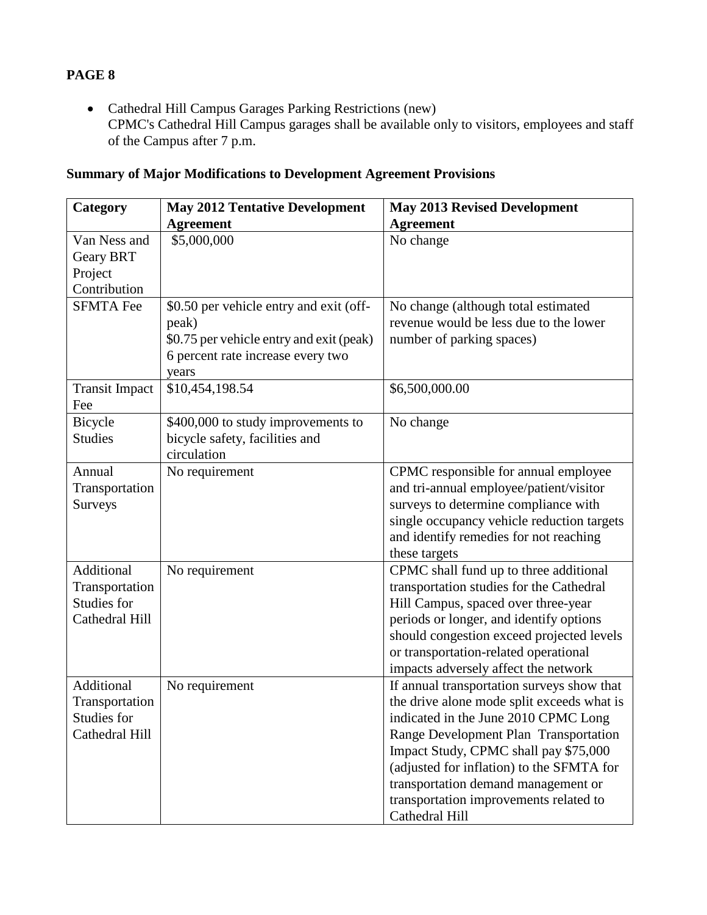Cathedral Hill Campus Garages Parking Restrictions (new) CPMC's Cathedral Hill Campus garages shall be available only to visitors, employees and staff of the Campus after 7 p.m.

# **Summary of Major Modifications to Development Agreement Provisions**

| Category              | <b>May 2012 Tentative Development</b>         | <b>May 2013 Revised Development</b>                                                |
|-----------------------|-----------------------------------------------|------------------------------------------------------------------------------------|
|                       | <b>Agreement</b>                              | <b>Agreement</b>                                                                   |
| Van Ness and          | \$5,000,000                                   | No change                                                                          |
| <b>Geary BRT</b>      |                                               |                                                                                    |
| Project               |                                               |                                                                                    |
| Contribution          |                                               |                                                                                    |
| <b>SFMTA Fee</b>      | \$0.50 per vehicle entry and exit (off-       | No change (although total estimated                                                |
|                       | peak)                                         | revenue would be less due to the lower                                             |
|                       | \$0.75 per vehicle entry and exit (peak)      | number of parking spaces)                                                          |
|                       | 6 percent rate increase every two             |                                                                                    |
|                       | years                                         |                                                                                    |
| <b>Transit Impact</b> | \$10,454,198.54                               | \$6,500,000.00                                                                     |
| Fee                   |                                               |                                                                                    |
| Bicycle               | \$400,000 to study improvements to            | No change                                                                          |
| <b>Studies</b>        | bicycle safety, facilities and<br>circulation |                                                                                    |
|                       |                                               |                                                                                    |
| Annual                | No requirement                                | CPMC responsible for annual employee                                               |
| Transportation        |                                               | and tri-annual employee/patient/visitor                                            |
| Surveys               |                                               | surveys to determine compliance with<br>single occupancy vehicle reduction targets |
|                       |                                               | and identify remedies for not reaching                                             |
|                       |                                               | these targets                                                                      |
| Additional            | No requirement                                | CPMC shall fund up to three additional                                             |
| Transportation        |                                               | transportation studies for the Cathedral                                           |
| Studies for           |                                               | Hill Campus, spaced over three-year                                                |
| Cathedral Hill        |                                               | periods or longer, and identify options                                            |
|                       |                                               | should congestion exceed projected levels                                          |
|                       |                                               | or transportation-related operational                                              |
|                       |                                               | impacts adversely affect the network                                               |
| Additional            | No requirement                                | If annual transportation surveys show that                                         |
| Transportation        |                                               | the drive alone mode split exceeds what is                                         |
| Studies for           |                                               | indicated in the June 2010 CPMC Long                                               |
| Cathedral Hill        |                                               | Range Development Plan Transportation                                              |
|                       |                                               | Impact Study, CPMC shall pay \$75,000                                              |
|                       |                                               | (adjusted for inflation) to the SFMTA for                                          |
|                       |                                               | transportation demand management or                                                |
|                       |                                               | transportation improvements related to                                             |
|                       |                                               | Cathedral Hill                                                                     |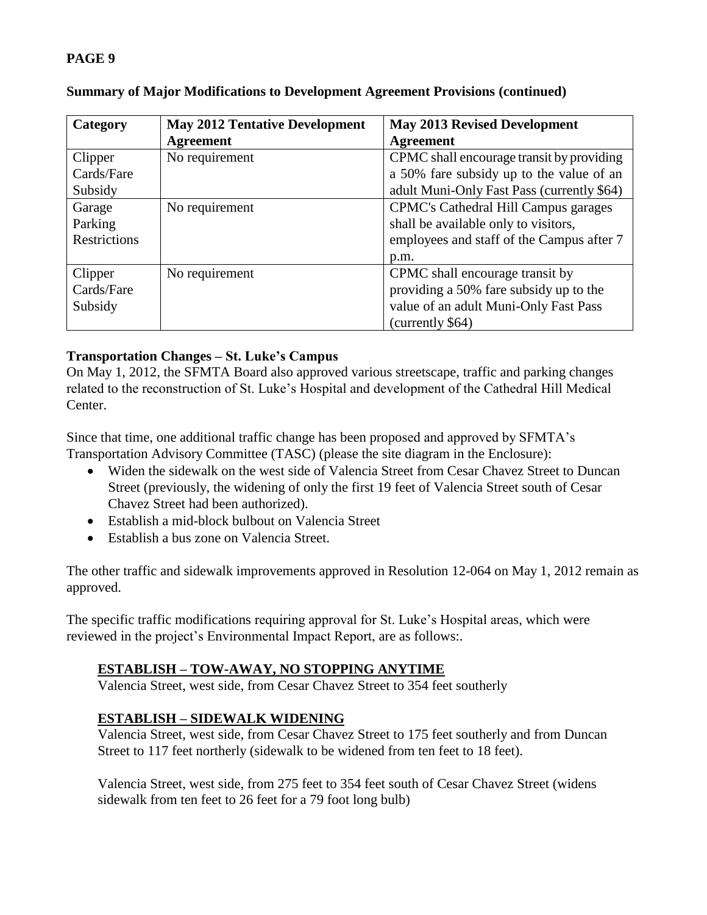| Category     | <b>May 2012 Tentative Development</b> | <b>May 2013 Revised Development</b>        |
|--------------|---------------------------------------|--------------------------------------------|
|              | <b>Agreement</b>                      | <b>Agreement</b>                           |
| Clipper      | No requirement                        | CPMC shall encourage transit by providing  |
| Cards/Fare   |                                       | a 50% fare subsidy up to the value of an   |
| Subsidy      |                                       | adult Muni-Only Fast Pass (currently \$64) |
| Garage       | No requirement                        | CPMC's Cathedral Hill Campus garages       |
| Parking      |                                       | shall be available only to visitors,       |
| Restrictions |                                       | employees and staff of the Campus after 7  |
|              |                                       | p.m.                                       |
| Clipper      | No requirement                        | CPMC shall encourage transit by            |
| Cards/Fare   |                                       | providing a 50% fare subsidy up to the     |
| Subsidy      |                                       | value of an adult Muni-Only Fast Pass      |
|              |                                       | (currently \$64)                           |

## **Summary of Major Modifications to Development Agreement Provisions (continued)**

## **Transportation Changes – St. Luke's Campus**

On May 1, 2012, the SFMTA Board also approved various streetscape, traffic and parking changes related to the reconstruction of St. Luke's Hospital and development of the Cathedral Hill Medical Center.

Since that time, one additional traffic change has been proposed and approved by SFMTA's Transportation Advisory Committee (TASC) (please the site diagram in the Enclosure):

- Widen the sidewalk on the west side of Valencia Street from Cesar Chavez Street to Duncan Street (previously, the widening of only the first 19 feet of Valencia Street south of Cesar Chavez Street had been authorized).
- Establish a mid-block bulbout on Valencia Street
- Establish a bus zone on Valencia Street.

The other traffic and sidewalk improvements approved in Resolution 12-064 on May 1, 2012 remain as approved.

The specific traffic modifications requiring approval for St. Luke's Hospital areas, which were reviewed in the project's Environmental Impact Report, are as follows:.

## **ESTABLISH – TOW-AWAY, NO STOPPING ANYTIME**

Valencia Street, west side, from Cesar Chavez Street to 354 feet southerly

# **ESTABLISH – SIDEWALK WIDENING**

Valencia Street, west side, from Cesar Chavez Street to 175 feet southerly and from Duncan Street to 117 feet northerly (sidewalk to be widened from ten feet to 18 feet).

Valencia Street, west side, from 275 feet to 354 feet south of Cesar Chavez Street (widens sidewalk from ten feet to 26 feet for a 79 foot long bulb)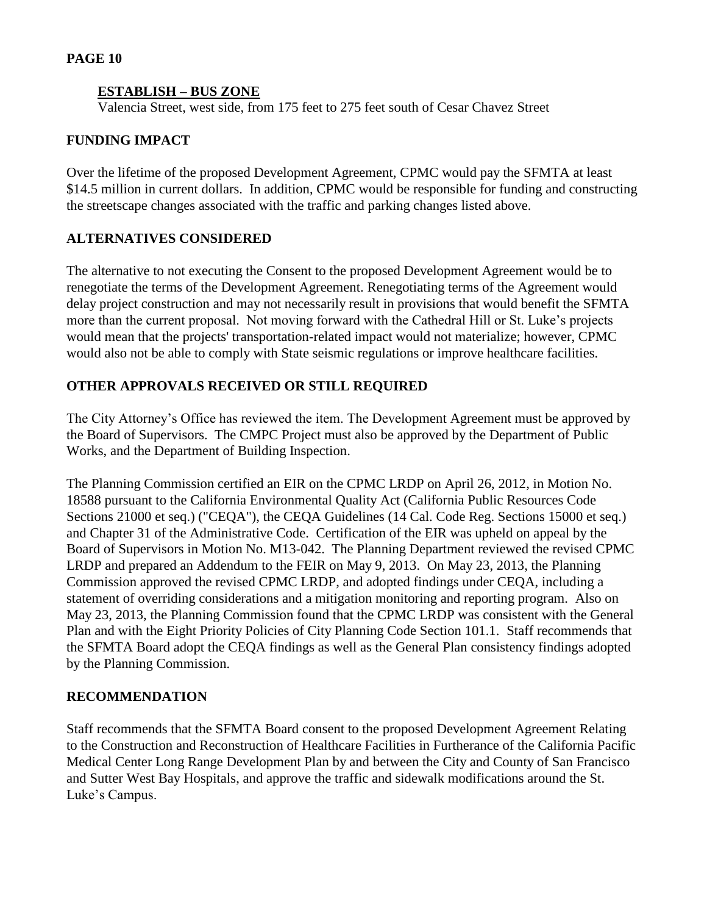### **ESTABLISH – BUS ZONE**

Valencia Street, west side, from 175 feet to 275 feet south of Cesar Chavez Street

### **FUNDING IMPACT**

Over the lifetime of the proposed Development Agreement, CPMC would pay the SFMTA at least \$14.5 million in current dollars. In addition, CPMC would be responsible for funding and constructing the streetscape changes associated with the traffic and parking changes listed above.

### **ALTERNATIVES CONSIDERED**

The alternative to not executing the Consent to the proposed Development Agreement would be to renegotiate the terms of the Development Agreement. Renegotiating terms of the Agreement would delay project construction and may not necessarily result in provisions that would benefit the SFMTA more than the current proposal. Not moving forward with the Cathedral Hill or St. Luke's projects would mean that the projects' transportation-related impact would not materialize; however, CPMC would also not be able to comply with State seismic regulations or improve healthcare facilities.

### **OTHER APPROVALS RECEIVED OR STILL REQUIRED**

The City Attorney's Office has reviewed the item. The Development Agreement must be approved by the Board of Supervisors. The CMPC Project must also be approved by the Department of Public Works, and the Department of Building Inspection.

The Planning Commission certified an EIR on the CPMC LRDP on April 26, 2012, in Motion No. 18588 pursuant to the California Environmental Quality Act (California Public Resources Code Sections 21000 et seq.) ("CEQA"), the CEQA Guidelines (14 Cal. Code Reg. Sections 15000 et seq.) and Chapter 31 of the Administrative Code. Certification of the EIR was upheld on appeal by the Board of Supervisors in Motion No. M13-042. The Planning Department reviewed the revised CPMC LRDP and prepared an Addendum to the FEIR on May 9, 2013. On May 23, 2013, the Planning Commission approved the revised CPMC LRDP, and adopted findings under CEQA, including a statement of overriding considerations and a mitigation monitoring and reporting program. Also on May 23, 2013, the Planning Commission found that the CPMC LRDP was consistent with the General Plan and with the Eight Priority Policies of City Planning Code Section 101.1. Staff recommends that the SFMTA Board adopt the CEQA findings as well as the General Plan consistency findings adopted by the Planning Commission.

#### **RECOMMENDATION**

Staff recommends that the SFMTA Board consent to the proposed Development Agreement Relating to the Construction and Reconstruction of Healthcare Facilities in Furtherance of the California Pacific Medical Center Long Range Development Plan by and between the City and County of San Francisco and Sutter West Bay Hospitals, and approve the traffic and sidewalk modifications around the St. Luke's Campus.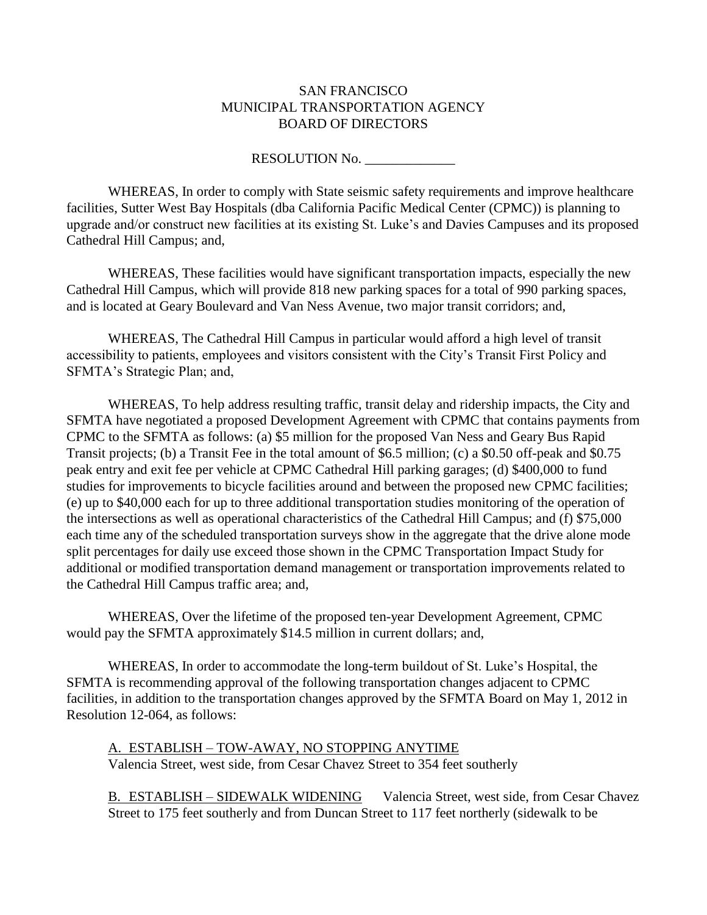## SAN FRANCISCO MUNICIPAL TRANSPORTATION AGENCY BOARD OF DIRECTORS

RESOLUTION No.

WHEREAS, In order to comply with State seismic safety requirements and improve healthcare facilities, Sutter West Bay Hospitals (dba California Pacific Medical Center (CPMC)) is planning to upgrade and/or construct new facilities at its existing St. Luke's and Davies Campuses and its proposed Cathedral Hill Campus; and,

WHEREAS, These facilities would have significant transportation impacts, especially the new Cathedral Hill Campus, which will provide 818 new parking spaces for a total of 990 parking spaces, and is located at Geary Boulevard and Van Ness Avenue, two major transit corridors; and,

WHEREAS, The Cathedral Hill Campus in particular would afford a high level of transit accessibility to patients, employees and visitors consistent with the City's Transit First Policy and SFMTA's Strategic Plan; and,

WHEREAS, To help address resulting traffic, transit delay and ridership impacts, the City and SFMTA have negotiated a proposed Development Agreement with CPMC that contains payments from CPMC to the SFMTA as follows: (a) \$5 million for the proposed Van Ness and Geary Bus Rapid Transit projects; (b) a Transit Fee in the total amount of \$6.5 million; (c) a \$0.50 off-peak and \$0.75 peak entry and exit fee per vehicle at CPMC Cathedral Hill parking garages; (d) \$400,000 to fund studies for improvements to bicycle facilities around and between the proposed new CPMC facilities; (e) up to \$40,000 each for up to three additional transportation studies monitoring of the operation of the intersections as well as operational characteristics of the Cathedral Hill Campus; and (f) \$75,000 each time any of the scheduled transportation surveys show in the aggregate that the drive alone mode split percentages for daily use exceed those shown in the CPMC Transportation Impact Study for additional or modified transportation demand management or transportation improvements related to the Cathedral Hill Campus traffic area; and,

WHEREAS, Over the lifetime of the proposed ten-year Development Agreement, CPMC would pay the SFMTA approximately \$14.5 million in current dollars; and,

WHEREAS, In order to accommodate the long-term buildout of St. Luke's Hospital, the SFMTA is recommending approval of the following transportation changes adjacent to CPMC facilities, in addition to the transportation changes approved by the SFMTA Board on May 1, 2012 in Resolution 12-064, as follows:

A. ESTABLISH – TOW-AWAY, NO STOPPING ANYTIME Valencia Street, west side, from Cesar Chavez Street to 354 feet southerly

B. ESTABLISH – SIDEWALK WIDENING Valencia Street, west side, from Cesar Chavez Street to 175 feet southerly and from Duncan Street to 117 feet northerly (sidewalk to be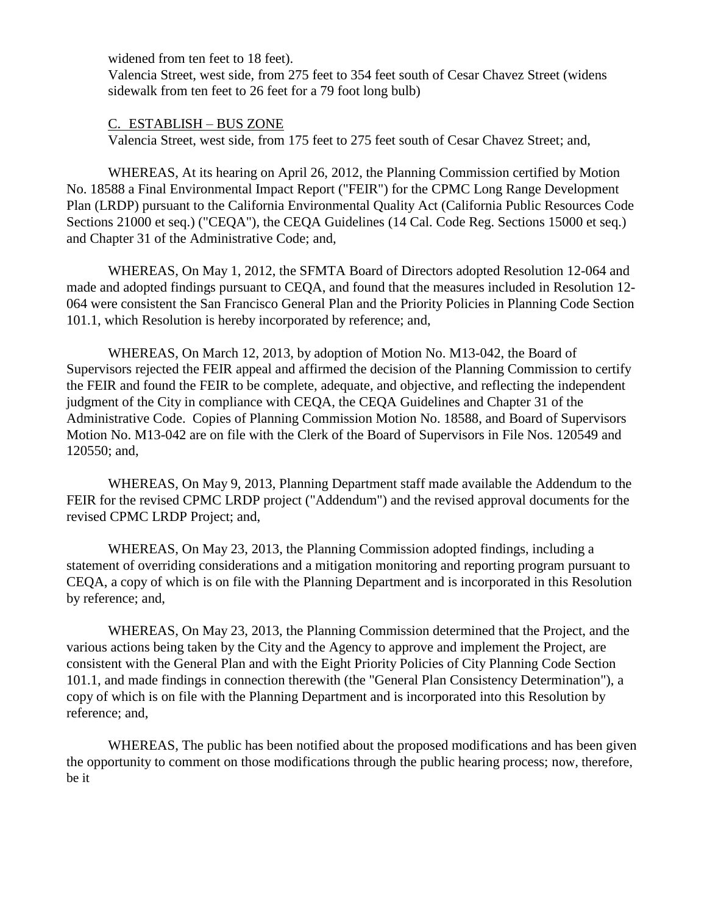widened from ten feet to 18 feet).

 Valencia Street, west side, from 275 feet to 354 feet south of Cesar Chavez Street (widens sidewalk from ten feet to 26 feet for a 79 foot long bulb)

### C. ESTABLISH – BUS ZONE

Valencia Street, west side, from 175 feet to 275 feet south of Cesar Chavez Street; and,

WHEREAS, At its hearing on April 26, 2012, the Planning Commission certified by Motion No. 18588 a Final Environmental Impact Report ("FEIR") for the CPMC Long Range Development Plan (LRDP) pursuant to the California Environmental Quality Act (California Public Resources Code Sections 21000 et seq.) ("CEQA"), the CEQA Guidelines (14 Cal. Code Reg. Sections 15000 et seq.) and Chapter 31 of the Administrative Code; and,

WHEREAS, On May 1, 2012, the SFMTA Board of Directors adopted Resolution 12-064 and made and adopted findings pursuant to CEQA, and found that the measures included in Resolution 12- 064 were consistent the San Francisco General Plan and the Priority Policies in Planning Code Section 101.1, which Resolution is hereby incorporated by reference; and,

WHEREAS, On March 12, 2013, by adoption of Motion No. M13-042, the Board of Supervisors rejected the FEIR appeal and affirmed the decision of the Planning Commission to certify the FEIR and found the FEIR to be complete, adequate, and objective, and reflecting the independent judgment of the City in compliance with CEQA, the CEQA Guidelines and Chapter 31 of the Administrative Code. Copies of Planning Commission Motion No. 18588, and Board of Supervisors Motion No. M13-042 are on file with the Clerk of the Board of Supervisors in File Nos. 120549 and 120550; and,

WHEREAS, On May 9, 2013, Planning Department staff made available the Addendum to the FEIR for the revised CPMC LRDP project ("Addendum") and the revised approval documents for the revised CPMC LRDP Project; and,

WHEREAS, On May 23, 2013, the Planning Commission adopted findings, including a statement of overriding considerations and a mitigation monitoring and reporting program pursuant to CEQA, a copy of which is on file with the Planning Department and is incorporated in this Resolution by reference; and,

WHEREAS, On May 23, 2013, the Planning Commission determined that the Project, and the various actions being taken by the City and the Agency to approve and implement the Project, are consistent with the General Plan and with the Eight Priority Policies of City Planning Code Section 101.1, and made findings in connection therewith (the "General Plan Consistency Determination"), a copy of which is on file with the Planning Department and is incorporated into this Resolution by reference; and,

WHEREAS, The public has been notified about the proposed modifications and has been given the opportunity to comment on those modifications through the public hearing process; now, therefore, be it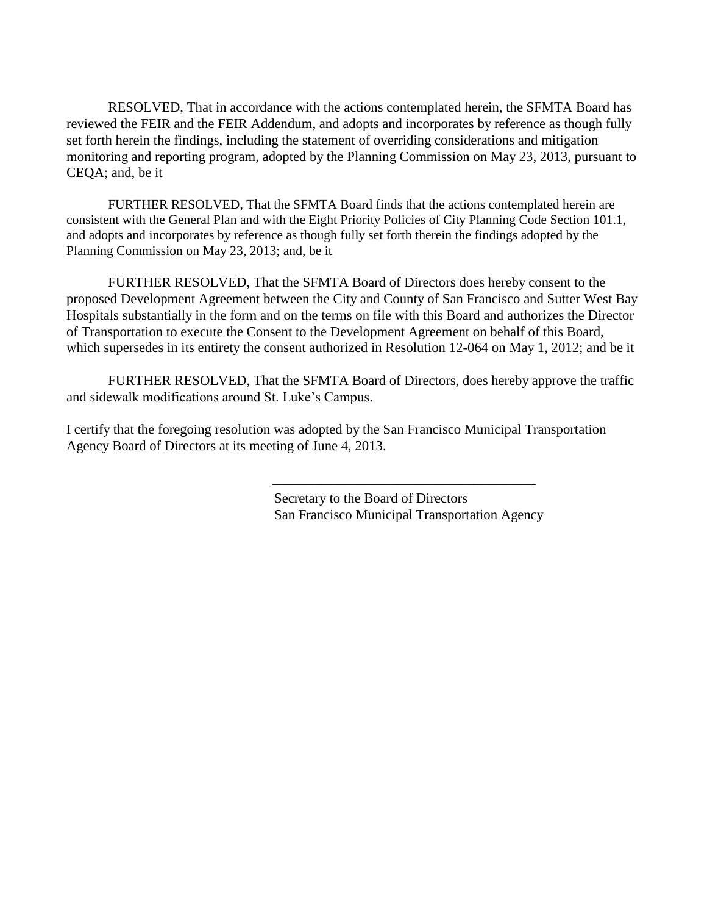RESOLVED, That in accordance with the actions contemplated herein, the SFMTA Board has reviewed the FEIR and the FEIR Addendum, and adopts and incorporates by reference as though fully set forth herein the findings, including the statement of overriding considerations and mitigation monitoring and reporting program, adopted by the Planning Commission on May 23, 2013, pursuant to CEQA; and, be it

FURTHER RESOLVED, That the SFMTA Board finds that the actions contemplated herein are consistent with the General Plan and with the Eight Priority Policies of City Planning Code Section 101.1, and adopts and incorporates by reference as though fully set forth therein the findings adopted by the Planning Commission on May 23, 2013; and, be it

FURTHER RESOLVED, That the SFMTA Board of Directors does hereby consent to the proposed Development Agreement between the City and County of San Francisco and Sutter West Bay Hospitals substantially in the form and on the terms on file with this Board and authorizes the Director of Transportation to execute the Consent to the Development Agreement on behalf of this Board, which supersedes in its entirety the consent authorized in Resolution 12-064 on May 1, 2012; and be it

FURTHER RESOLVED, That the SFMTA Board of Directors, does hereby approve the traffic and sidewalk modifications around St. Luke's Campus.

I certify that the foregoing resolution was adopted by the San Francisco Municipal Transportation Agency Board of Directors at its meeting of June 4, 2013.

> Secretary to the Board of Directors San Francisco Municipal Transportation Agency

\_\_\_\_\_\_\_\_\_\_\_\_\_\_\_\_\_\_\_\_\_\_\_\_\_\_\_\_\_\_\_\_\_\_\_\_\_\_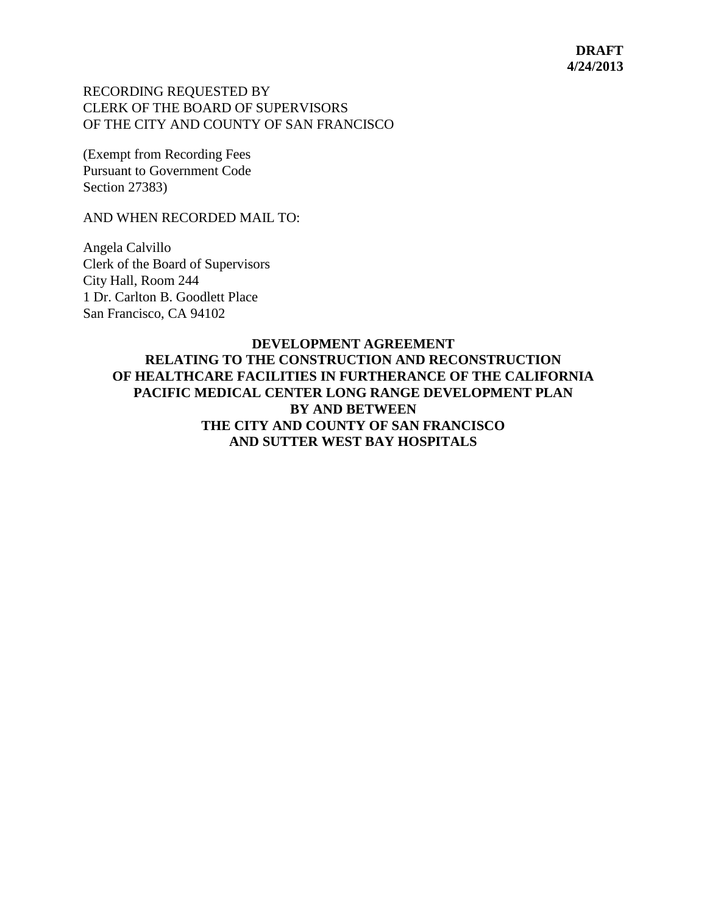### RECORDING REQUESTED BY CLERK OF THE BOARD OF SUPERVISORS OF THE CITY AND COUNTY OF SAN FRANCISCO

(Exempt from Recording Fees Pursuant to Government Code Section 27383)

AND WHEN RECORDED MAIL TO:

Angela Calvillo Clerk of the Board of Supervisors City Hall, Room 244 1 Dr. Carlton B. Goodlett Place San Francisco, CA 94102

## **DEVELOPMENT AGREEMENT RELATING TO THE CONSTRUCTION AND RECONSTRUCTION OF HEALTHCARE FACILITIES IN FURTHERANCE OF THE CALIFORNIA PACIFIC MEDICAL CENTER LONG RANGE DEVELOPMENT PLAN BY AND BETWEEN THE CITY AND COUNTY OF SAN FRANCISCO AND SUTTER WEST BAY HOSPITALS**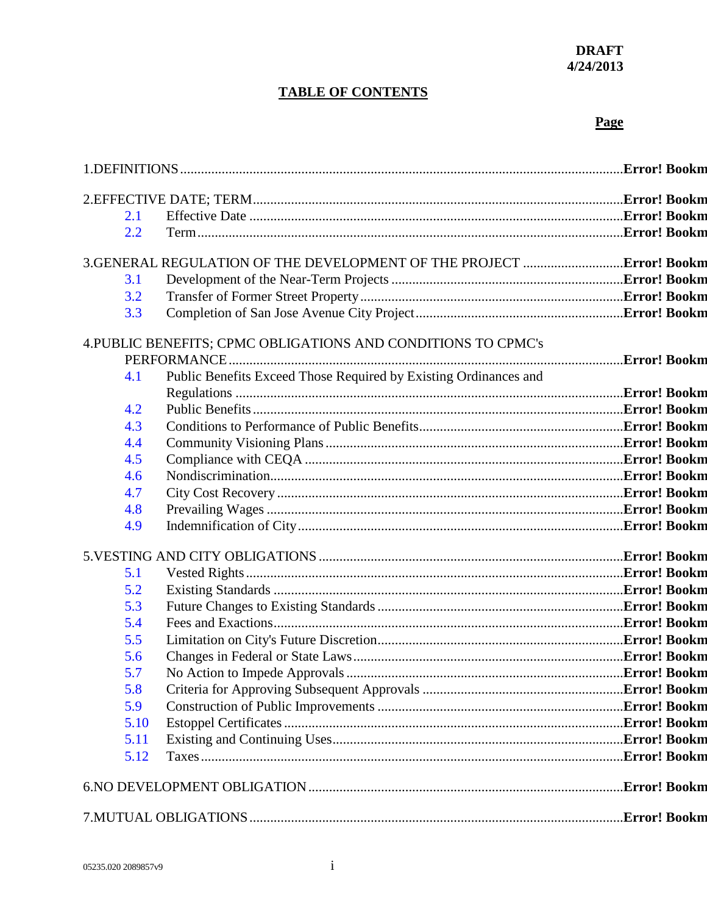#### **DRAFT 4/24/2013**

# **TABLE OF CONTENTS**

# **Page**

| 2.1  |                                                                  |  |
|------|------------------------------------------------------------------|--|
| 2.2  |                                                                  |  |
|      |                                                                  |  |
| 3.1  |                                                                  |  |
| 3.2  |                                                                  |  |
| 3.3  |                                                                  |  |
|      | 4. PUBLIC BENEFITS; CPMC OBLIGATIONS AND CONDITIONS TO CPMC's    |  |
|      |                                                                  |  |
| 4.1  | Public Benefits Exceed Those Required by Existing Ordinances and |  |
|      |                                                                  |  |
| 4.2  |                                                                  |  |
| 4.3  |                                                                  |  |
| 4.4  |                                                                  |  |
| 4.5  |                                                                  |  |
| 4.6  |                                                                  |  |
| 4.7  |                                                                  |  |
| 4.8  |                                                                  |  |
| 4.9  |                                                                  |  |
|      |                                                                  |  |
| 5.1  |                                                                  |  |
| 5.2  |                                                                  |  |
| 5.3  |                                                                  |  |
| 5.4  |                                                                  |  |
| 5.5  |                                                                  |  |
| 5.6  |                                                                  |  |
| 5.7  |                                                                  |  |
| 5.8  |                                                                  |  |
| 5.9  |                                                                  |  |
| 5.10 |                                                                  |  |
| 5.11 |                                                                  |  |
| 5.12 |                                                                  |  |
|      |                                                                  |  |
|      |                                                                  |  |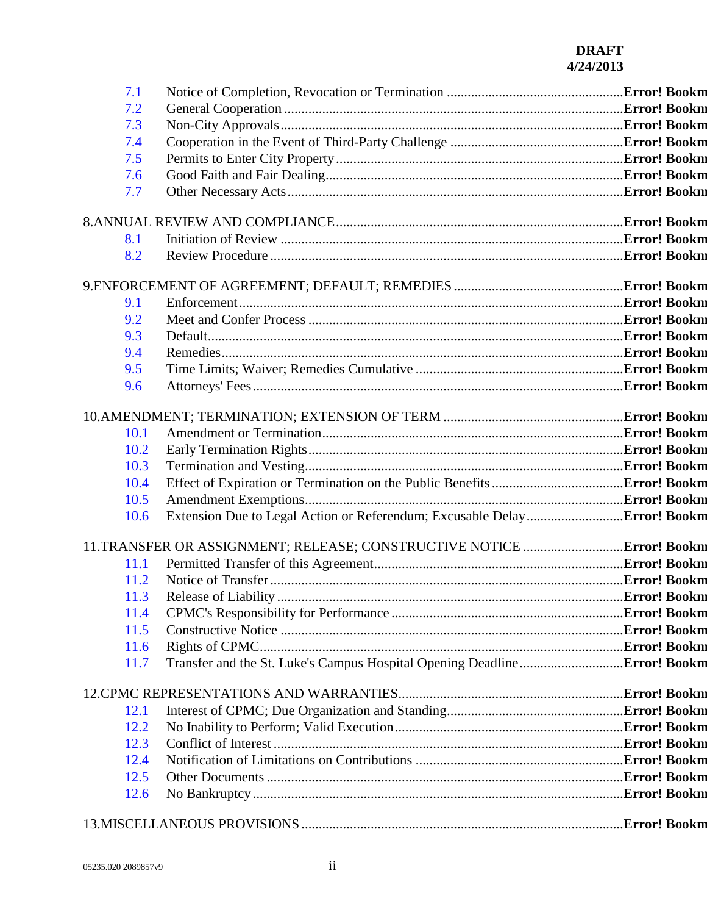## **DRAFT 4/24/2013**

| 7.1  |  |
|------|--|
| 7.2  |  |
| 7.3  |  |
| 7.4  |  |
| 7.5  |  |
| 7.6  |  |
| 7.7  |  |
|      |  |
|      |  |
| 8.1  |  |
| 8.2  |  |
|      |  |
|      |  |
| 9.1  |  |
| 9.2  |  |
| 9.3  |  |
| 9.4  |  |
| 9.5  |  |
| 9.6  |  |
|      |  |
|      |  |
| 10.1 |  |
| 10.2 |  |
| 10.3 |  |
| 10.4 |  |
| 10.5 |  |
| 10.6 |  |
|      |  |
|      |  |
| 11.1 |  |
| 11.2 |  |
|      |  |
| 11.4 |  |
| 11.5 |  |
| 11.6 |  |
| 11.7 |  |
|      |  |
|      |  |
| 12.1 |  |
| 12.2 |  |
| 12.3 |  |
| 12.4 |  |
| 12.5 |  |
| 12.6 |  |
|      |  |
|      |  |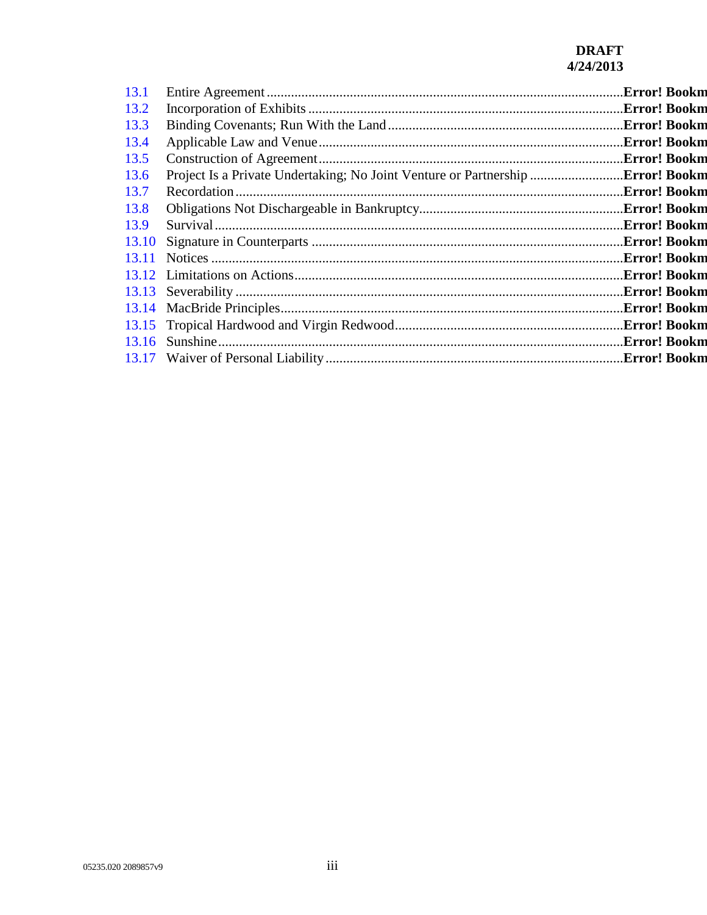## **DRAFT 4/24/2013**

| 13.1  |                                                                                       |              |
|-------|---------------------------------------------------------------------------------------|--------------|
| 13.2  |                                                                                       |              |
| 13.3  |                                                                                       |              |
| 13.4  |                                                                                       | Error! Bookm |
| 13.5  |                                                                                       |              |
| 13.6  | Project Is a Private Undertaking; No Joint Venture or Partnership <b>Error! Bookm</b> |              |
| 13.7  |                                                                                       | Error! Bookm |
| 13.8  |                                                                                       |              |
| 13.9  |                                                                                       |              |
| 13.10 |                                                                                       |              |
| 13.11 |                                                                                       |              |
|       |                                                                                       |              |
|       |                                                                                       |              |
|       |                                                                                       |              |
|       |                                                                                       |              |
|       |                                                                                       |              |
|       |                                                                                       |              |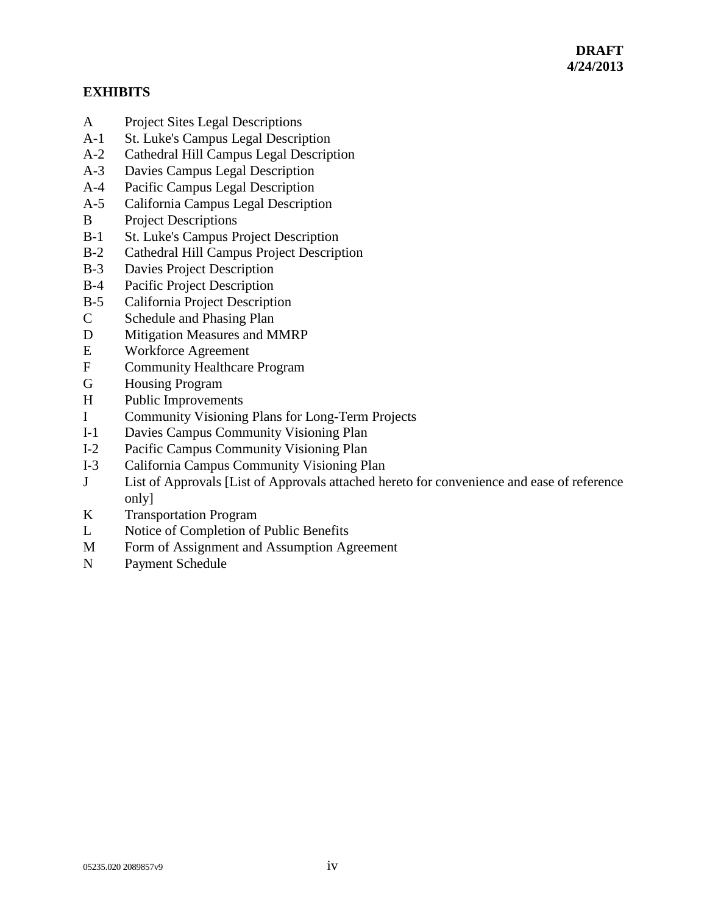## **EXHIBITS**

- A Project Sites Legal Descriptions
- A-1 St. Luke's Campus Legal Description
- A-2 Cathedral Hill Campus Legal Description
- A-3 Davies Campus Legal Description
- A-4 Pacific Campus Legal Description
- A-5 California Campus Legal Description
- B Project Descriptions
- B-1 St. Luke's Campus Project Description
- B-2 Cathedral Hill Campus Project Description
- B-3 Davies Project Description
- B-4 Pacific Project Description
- B-5 California Project Description
- C Schedule and Phasing Plan
- D Mitigation Measures and MMRP
- E Workforce Agreement
- F Community Healthcare Program
- G Housing Program
- H Public Improvements
- I Community Visioning Plans for Long-Term Projects
- I-1 Davies Campus Community Visioning Plan
- I-2 Pacific Campus Community Visioning Plan
- I-3 California Campus Community Visioning Plan
- J List of Approvals [List of Approvals attached hereto for convenience and ease of reference only]
- K Transportation Program
- L Notice of Completion of Public Benefits
- M Form of Assignment and Assumption Agreement
- N Payment Schedule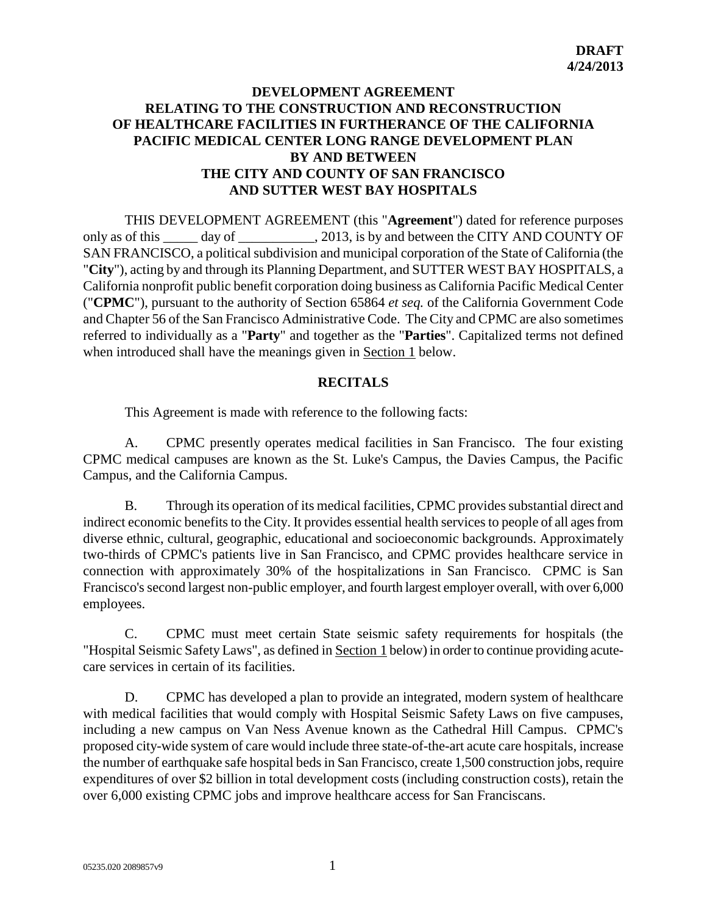## **DEVELOPMENT AGREEMENT RELATING TO THE CONSTRUCTION AND RECONSTRUCTION OF HEALTHCARE FACILITIES IN FURTHERANCE OF THE CALIFORNIA PACIFIC MEDICAL CENTER LONG RANGE DEVELOPMENT PLAN BY AND BETWEEN THE CITY AND COUNTY OF SAN FRANCISCO AND SUTTER WEST BAY HOSPITALS**

THIS DEVELOPMENT AGREEMENT (this "**Agreement**") dated for reference purposes only as of this day of  $\qquad \qquad$ , 2013, is by and between the CITY AND COUNTY OF SAN FRANCISCO, a political subdivision and municipal corporation of the State of California (the "**City**"), acting by and through its Planning Department, and SUTTER WEST BAY HOSPITALS, a California nonprofit public benefit corporation doing business as California Pacific Medical Center ("**CPMC**"), pursuant to the authority of Section 65864 *et seq.* of the California Government Code and Chapter 56 of the San Francisco Administrative Code. The City and CPMC are also sometimes referred to individually as a "**Party**" and together as the "**Parties**". Capitalized terms not defined when introduced shall have the meanings given in Section 1 below.

#### **RECITALS**

This Agreement is made with reference to the following facts:

A. CPMC presently operates medical facilities in San Francisco. The four existing CPMC medical campuses are known as the St. Luke's Campus, the Davies Campus, the Pacific Campus, and the California Campus.

B. Through its operation of its medical facilities, CPMC provides substantial direct and indirect economic benefits to the City. It provides essential health services to people of all ages from diverse ethnic, cultural, geographic, educational and socioeconomic backgrounds. Approximately two-thirds of CPMC's patients live in San Francisco, and CPMC provides healthcare service in connection with approximately 30% of the hospitalizations in San Francisco. CPMC is San Francisco's second largest non-public employer, and fourth largest employer overall, with over 6,000 employees.

C. CPMC must meet certain State seismic safety requirements for hospitals (the "Hospital Seismic Safety Laws", as defined in Section 1 below) in order to continue providing acutecare services in certain of its facilities.

D. CPMC has developed a plan to provide an integrated, modern system of healthcare with medical facilities that would comply with Hospital Seismic Safety Laws on five campuses, including a new campus on Van Ness Avenue known as the Cathedral Hill Campus. CPMC's proposed city-wide system of care would include three state-of-the-art acute care hospitals, increase the number of earthquake safe hospital beds in San Francisco, create 1,500 construction jobs, require expenditures of over \$2 billion in total development costs (including construction costs), retain the over 6,000 existing CPMC jobs and improve healthcare access for San Franciscans.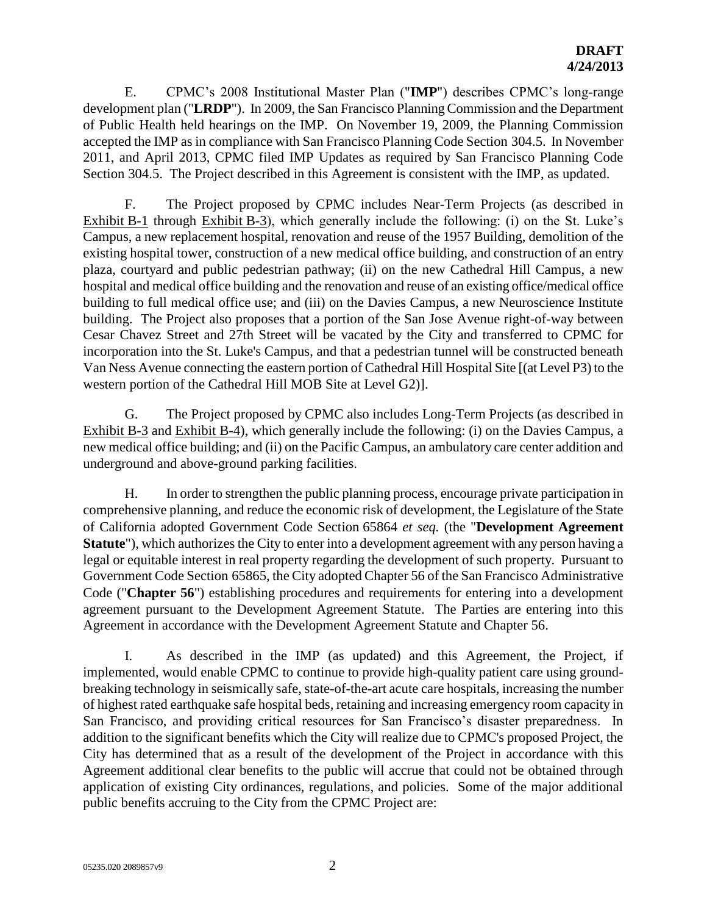E. CPMC's 2008 Institutional Master Plan ("**IMP**") describes CPMC's long-range development plan ("**LRDP**"). In 2009, the San Francisco Planning Commission and the Department of Public Health held hearings on the IMP. On November 19, 2009, the Planning Commission accepted the IMP as in compliance with San Francisco Planning Code Section 304.5. In November 2011, and April 2013, CPMC filed IMP Updates as required by San Francisco Planning Code Section 304.5. The Project described in this Agreement is consistent with the IMP, as updated.

F. The Project proposed by CPMC includes Near-Term Projects (as described in Exhibit B-1 through Exhibit B-3), which generally include the following: (i) on the St. Luke's Campus, a new replacement hospital, renovation and reuse of the 1957 Building, demolition of the existing hospital tower, construction of a new medical office building, and construction of an entry plaza, courtyard and public pedestrian pathway; (ii) on the new Cathedral Hill Campus, a new hospital and medical office building and the renovation and reuse of an existing office/medical office building to full medical office use; and (iii) on the Davies Campus, a new Neuroscience Institute building. The Project also proposes that a portion of the San Jose Avenue right-of-way between Cesar Chavez Street and 27th Street will be vacated by the City and transferred to CPMC for incorporation into the St. Luke's Campus, and that a pedestrian tunnel will be constructed beneath Van Ness Avenue connecting the eastern portion of Cathedral Hill Hospital Site [(at Level P3) to the western portion of the Cathedral Hill MOB Site at Level G2)].

G. The Project proposed by CPMC also includes Long-Term Projects (as described in Exhibit B-3 and Exhibit B-4), which generally include the following: (i) on the Davies Campus, a new medical office building; and (ii) on the Pacific Campus, an ambulatory care center addition and underground and above-ground parking facilities.

H. In order to strengthen the public planning process, encourage private participation in comprehensive planning, and reduce the economic risk of development, the Legislature of the State of California adopted Government Code Section 65864 *et seq.* (the "**Development Agreement Statute**"), which authorizes the City to enter into a development agreement with any person having a legal or equitable interest in real property regarding the development of such property. Pursuant to Government Code Section 65865, the City adopted Chapter 56 of the San Francisco Administrative Code ("**Chapter 56**") establishing procedures and requirements for entering into a development agreement pursuant to the Development Agreement Statute. The Parties are entering into this Agreement in accordance with the Development Agreement Statute and Chapter 56.

I. As described in the IMP (as updated) and this Agreement, the Project, if implemented, would enable CPMC to continue to provide high-quality patient care using groundbreaking technology in seismically safe, state-of-the-art acute care hospitals, increasing the number of highest rated earthquake safe hospital beds, retaining and increasing emergency room capacity in San Francisco, and providing critical resources for San Francisco's disaster preparedness. In addition to the significant benefits which the City will realize due to CPMC's proposed Project, the City has determined that as a result of the development of the Project in accordance with this Agreement additional clear benefits to the public will accrue that could not be obtained through application of existing City ordinances, regulations, and policies. Some of the major additional public benefits accruing to the City from the CPMC Project are: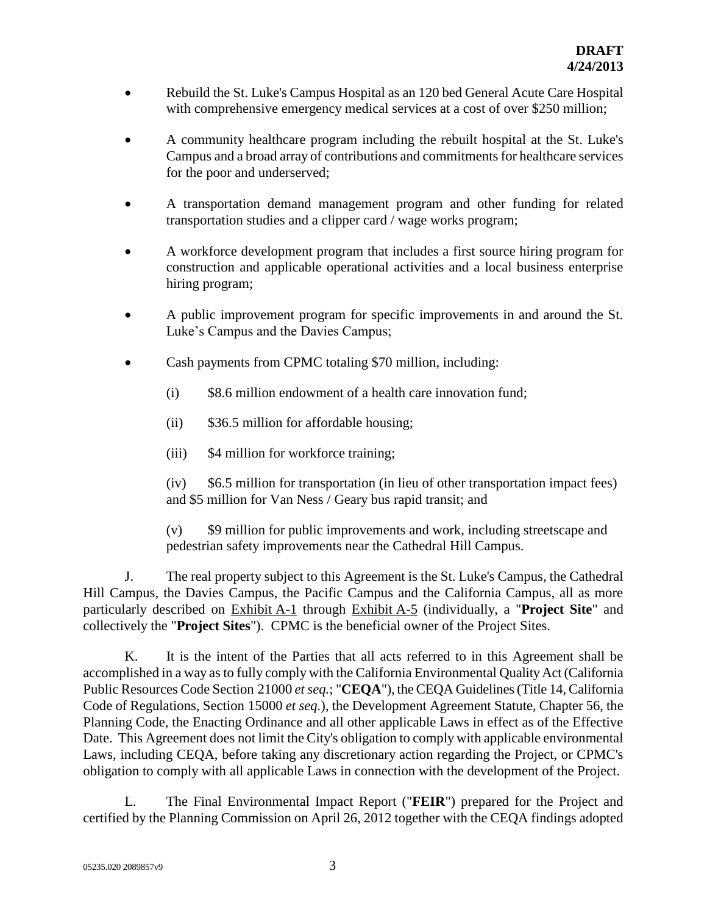- Rebuild the St. Luke's Campus Hospital as an 120 bed General Acute Care Hospital with comprehensive emergency medical services at a cost of over \$250 million;
- A community healthcare program including the rebuilt hospital at the St. Luke's Campus and a broad array of contributions and commitments for healthcare services for the poor and underserved;
- A transportation demand management program and other funding for related transportation studies and a clipper card / wage works program;
- A workforce development program that includes a first source hiring program for construction and applicable operational activities and a local business enterprise hiring program;
- A public improvement program for specific improvements in and around the St. Luke's Campus and the Davies Campus;
- Cash payments from CPMC totaling \$70 million, including:
	- (i) \$8.6 million endowment of a health care innovation fund;
	- (ii) \$36.5 million for affordable housing;
	- (iii) \$4 million for workforce training;

(iv) \$6.5 million for transportation (in lieu of other transportation impact fees) and \$5 million for Van Ness / Geary bus rapid transit; and

(v) \$9 million for public improvements and work, including streetscape and pedestrian safety improvements near the Cathedral Hill Campus.

J. The real property subject to this Agreement is the St. Luke's Campus, the Cathedral Hill Campus, the Davies Campus, the Pacific Campus and the California Campus, all as more particularly described on Exhibit A-1 through Exhibit A-5 (individually, a "**Project Site**" and collectively the "**Project Sites**"). CPMC is the beneficial owner of the Project Sites.

K. It is the intent of the Parties that all acts referred to in this Agreement shall be accomplished in a way as to fully comply with the California Environmental Quality Act (California Public Resources Code Section 21000 *et seq.*; "**CEQA**"), the CEQA Guidelines (Title 14, California Code of Regulations, Section 15000 *et seq.*), the Development Agreement Statute, Chapter 56, the Planning Code, the Enacting Ordinance and all other applicable Laws in effect as of the Effective Date. This Agreement does not limit the City's obligation to comply with applicable environmental Laws, including CEQA, before taking any discretionary action regarding the Project, or CPMC's obligation to comply with all applicable Laws in connection with the development of the Project.

L. The Final Environmental Impact Report ("**FEIR**") prepared for the Project and certified by the Planning Commission on April 26, 2012 together with the CEQA findings adopted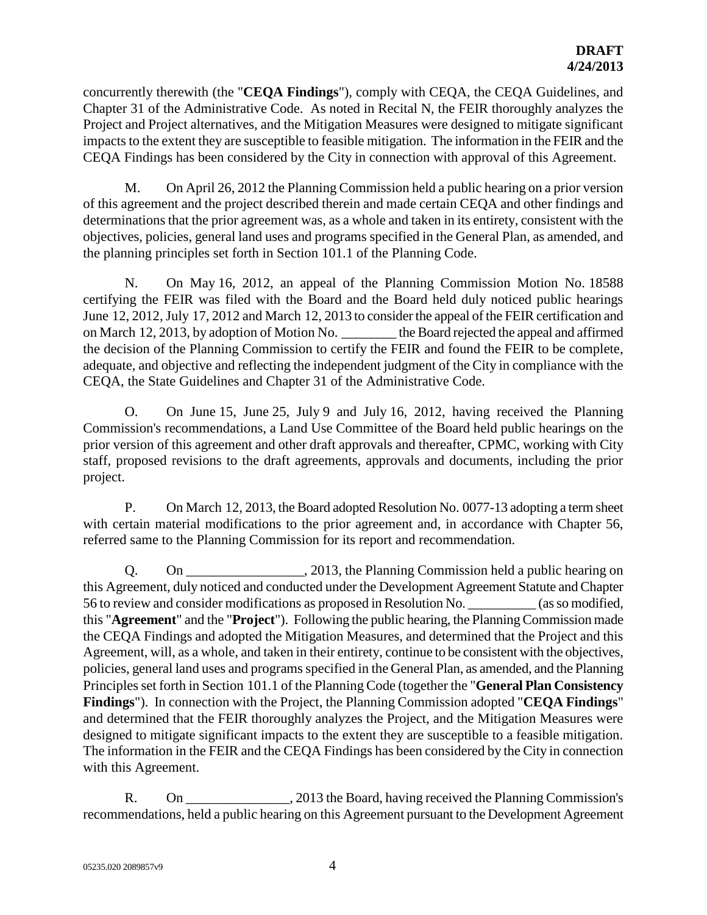concurrently therewith (the "**CEQA Findings**"), comply with CEQA, the CEQA Guidelines, and Chapter 31 of the Administrative Code. As noted in Recital N, the FEIR thoroughly analyzes the Project and Project alternatives, and the Mitigation Measures were designed to mitigate significant impacts to the extent they are susceptible to feasible mitigation. The information in the FEIR and the CEQA Findings has been considered by the City in connection with approval of this Agreement.

M. On April 26, 2012 the Planning Commission held a public hearing on a prior version of this agreement and the project described therein and made certain CEQA and other findings and determinations that the prior agreement was, as a whole and taken in its entirety, consistent with the objectives, policies, general land uses and programs specified in the General Plan, as amended, and the planning principles set forth in Section 101.1 of the Planning Code.

N. On May 16, 2012, an appeal of the Planning Commission Motion No. 18588 certifying the FEIR was filed with the Board and the Board held duly noticed public hearings June 12, 2012, July 17, 2012 and March 12, 2013 to consider the appeal of the FEIR certification and on March 12, 2013, by adoption of Motion No. <br>the Board rejected the appeal and affirmed the decision of the Planning Commission to certify the FEIR and found the FEIR to be complete, adequate, and objective and reflecting the independent judgment of the City in compliance with the CEQA, the State Guidelines and Chapter 31 of the Administrative Code.

O. On June 15, June 25, July 9 and July 16, 2012, having received the Planning Commission's recommendations, a Land Use Committee of the Board held public hearings on the prior version of this agreement and other draft approvals and thereafter, CPMC, working with City staff, proposed revisions to the draft agreements, approvals and documents, including the prior project.

P. On March 12, 2013, the Board adopted Resolution No. 0077-13 adopting a term sheet with certain material modifications to the prior agreement and, in accordance with Chapter 56, referred same to the Planning Commission for its report and recommendation.

Q. On 2013, the Planning Commission held a public hearing on this Agreement, duly noticed and conducted under the Development Agreement Statute and Chapter 56 to review and consider modifications as proposed in Resolution No. \_\_\_\_\_\_\_\_\_\_ (as so modified, this "**Agreement**" and the "**Project**"). Following the public hearing, the Planning Commission made the CEQA Findings and adopted the Mitigation Measures, and determined that the Project and this Agreement, will, as a whole, and taken in their entirety, continue to be consistent with the objectives, policies, general land uses and programs specified in the General Plan, as amended, and the Planning Principles set forth in Section 101.1 of the Planning Code (together the "**General Plan Consistency Findings**"). In connection with the Project, the Planning Commission adopted "**CEQA Findings**" and determined that the FEIR thoroughly analyzes the Project, and the Mitigation Measures were designed to mitigate significant impacts to the extent they are susceptible to a feasible mitigation. The information in the FEIR and the CEQA Findings has been considered by the City in connection with this Agreement.

R. On 2013 the Board, having received the Planning Commission's recommendations, held a public hearing on this Agreement pursuant to the Development Agreement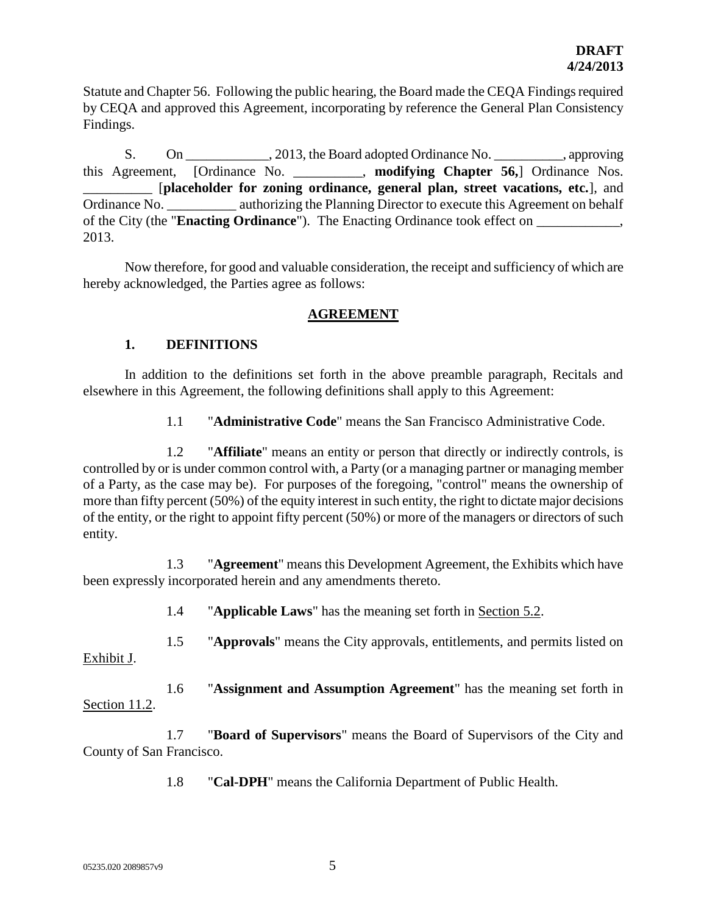Statute and Chapter 56. Following the public hearing, the Board made the CEQA Findings required by CEQA and approved this Agreement, incorporating by reference the General Plan Consistency Findings.

S. On \_\_\_\_\_\_\_\_\_\_\_\_, 2013, the Board adopted Ordinance No. \_\_\_\_\_\_\_\_\_\_, approving this Agreement, [Ordinance No. \_\_\_\_\_\_\_\_\_\_, **modifying Chapter 56,**] Ordinance Nos. \_\_\_\_\_\_\_\_\_\_ [**placeholder for zoning ordinance, general plan, street vacations, etc.**], and Ordinance No. 2011 authorizing the Planning Director to execute this Agreement on behalf of the City (the "**Enacting Ordinance**"). The Enacting Ordinance took effect on \_\_\_\_\_\_\_\_\_\_\_\_, 2013.

Now therefore, for good and valuable consideration, the receipt and sufficiency of which are hereby acknowledged, the Parties agree as follows:

## **AGREEMENT**

### **1. DEFINITIONS**

In addition to the definitions set forth in the above preamble paragraph, Recitals and elsewhere in this Agreement, the following definitions shall apply to this Agreement:

1.1 "**Administrative Code**" means the San Francisco Administrative Code.

1.2 "**Affiliate**" means an entity or person that directly or indirectly controls, is controlled by or is under common control with, a Party (or a managing partner or managing member of a Party, as the case may be). For purposes of the foregoing, "control" means the ownership of more than fifty percent (50%) of the equity interest in such entity, the right to dictate major decisions of the entity, or the right to appoint fifty percent (50%) or more of the managers or directors of such entity.

1.3 "**Agreement**" means this Development Agreement, the Exhibits which have been expressly incorporated herein and any amendments thereto.

1.4 "**Applicable Laws**" has the meaning set forth in Section 5.2.

1.5 "**Approvals**" means the City approvals, entitlements, and permits listed on

Exhibit J.

1.6 "**Assignment and Assumption Agreement**" has the meaning set forth in Section 11.2.

1.7 "**Board of Supervisors**" means the Board of Supervisors of the City and County of San Francisco.

1.8 "**Cal-DPH**" means the California Department of Public Health.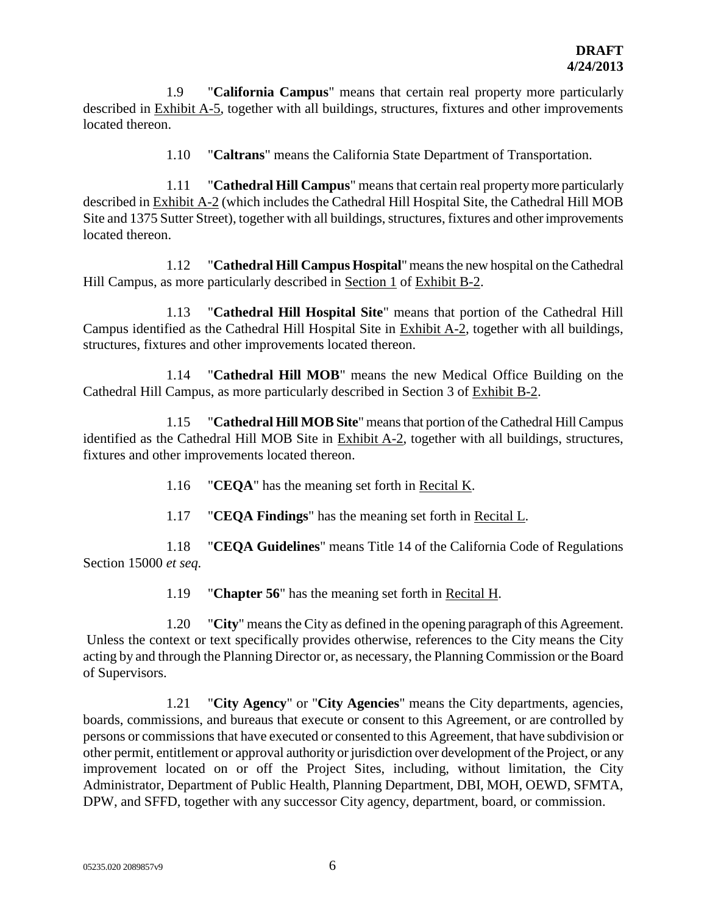1.9 "**California Campus**" means that certain real property more particularly described in Exhibit A-5, together with all buildings, structures, fixtures and other improvements located thereon.

1.10 "**Caltrans**" means the California State Department of Transportation.

1.11 "**Cathedral Hill Campus**" means that certain real property more particularly described in Exhibit A-2 (which includes the Cathedral Hill Hospital Site, the Cathedral Hill MOB Site and 1375 Sutter Street), together with all buildings, structures, fixtures and other improvements located thereon.

1.12 "**Cathedral Hill Campus Hospital**" means the new hospital on the Cathedral Hill Campus, as more particularly described in Section 1 of Exhibit B-2.

1.13 "**Cathedral Hill Hospital Site**" means that portion of the Cathedral Hill Campus identified as the Cathedral Hill Hospital Site in Exhibit A-2, together with all buildings, structures, fixtures and other improvements located thereon.

1.14 "**Cathedral Hill MOB**" means the new Medical Office Building on the Cathedral Hill Campus, as more particularly described in Section 3 of Exhibit B-2.

1.15 "**Cathedral Hill MOB Site**" means that portion of the Cathedral Hill Campus identified as the Cathedral Hill MOB Site in Exhibit A-2, together with all buildings, structures, fixtures and other improvements located thereon.

1.16 "**CEQA**" has the meaning set forth in Recital K.

1.17 "**CEQA Findings**" has the meaning set forth in Recital L.

1.18 "**CEQA Guidelines**" means Title 14 of the California Code of Regulations Section 15000 *et seq.*

1.19 "**Chapter 56**" has the meaning set forth in Recital H.

1.20 "**City**" means the City as defined in the opening paragraph of this Agreement. Unless the context or text specifically provides otherwise, references to the City means the City acting by and through the Planning Director or, as necessary, the Planning Commission or the Board of Supervisors.

1.21 "**City Agency**" or "**City Agencies**" means the City departments, agencies, boards, commissions, and bureaus that execute or consent to this Agreement, or are controlled by persons or commissions that have executed or consented to this Agreement, that have subdivision or other permit, entitlement or approval authority or jurisdiction over development of the Project, or any improvement located on or off the Project Sites, including, without limitation, the City Administrator, Department of Public Health, Planning Department, DBI, MOH, OEWD, SFMTA, DPW, and SFFD, together with any successor City agency, department, board, or commission.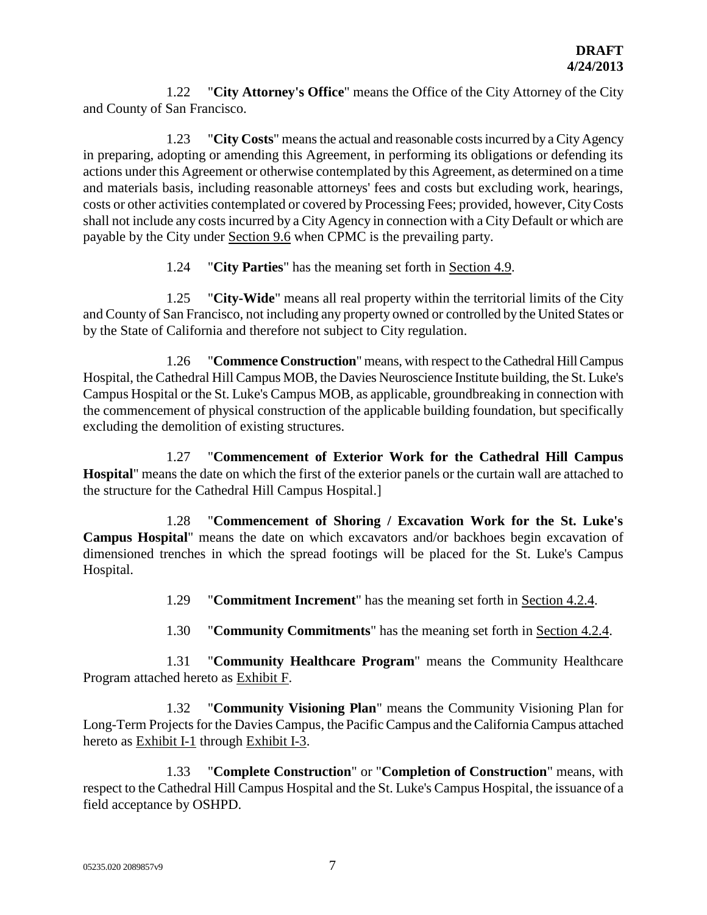1.22 "**City Attorney's Office**" means the Office of the City Attorney of the City and County of San Francisco.

1.23 "**City Costs**" means the actual and reasonable costs incurred by a City Agency in preparing, adopting or amending this Agreement, in performing its obligations or defending its actions under this Agreement or otherwise contemplated by this Agreement, as determined on a time and materials basis, including reasonable attorneys' fees and costs but excluding work, hearings, costs or other activities contemplated or covered by Processing Fees; provided, however, City Costs shall not include any costs incurred by a City Agency in connection with a City Default or which are payable by the City under Section 9.6 when CPMC is the prevailing party.

1.24 "**City Parties**" has the meaning set forth in Section 4.9.

1.25 "**City-Wide**" means all real property within the territorial limits of the City and County of San Francisco, not including any property owned or controlled by the United States or by the State of California and therefore not subject to City regulation.

1.26 "**Commence Construction**" means, with respect to the Cathedral Hill Campus Hospital, the Cathedral Hill Campus MOB, the Davies Neuroscience Institute building, the St. Luke's Campus Hospital or the St. Luke's Campus MOB, as applicable, groundbreaking in connection with the commencement of physical construction of the applicable building foundation, but specifically excluding the demolition of existing structures.

1.27 "**Commencement of Exterior Work for the Cathedral Hill Campus Hospital**" means the date on which the first of the exterior panels or the curtain wall are attached to the structure for the Cathedral Hill Campus Hospital.]

1.28 "**Commencement of Shoring / Excavation Work for the St. Luke's Campus Hospital**" means the date on which excavators and/or backhoes begin excavation of dimensioned trenches in which the spread footings will be placed for the St. Luke's Campus Hospital.

1.29 "**Commitment Increment**" has the meaning set forth in Section 4.2.4.

1.30 "**Community Commitments**" has the meaning set forth in Section 4.2.4.

1.31 "**Community Healthcare Program**" means the Community Healthcare Program attached hereto as Exhibit F.

1.32 "**Community Visioning Plan**" means the Community Visioning Plan for Long-Term Projects for the Davies Campus, the Pacific Campus and the California Campus attached hereto as Exhibit I-1 through Exhibit I-3.

1.33 "**Complete Construction**" or "**Completion of Construction**" means, with respect to the Cathedral Hill Campus Hospital and the St. Luke's Campus Hospital, the issuance of a field acceptance by OSHPD.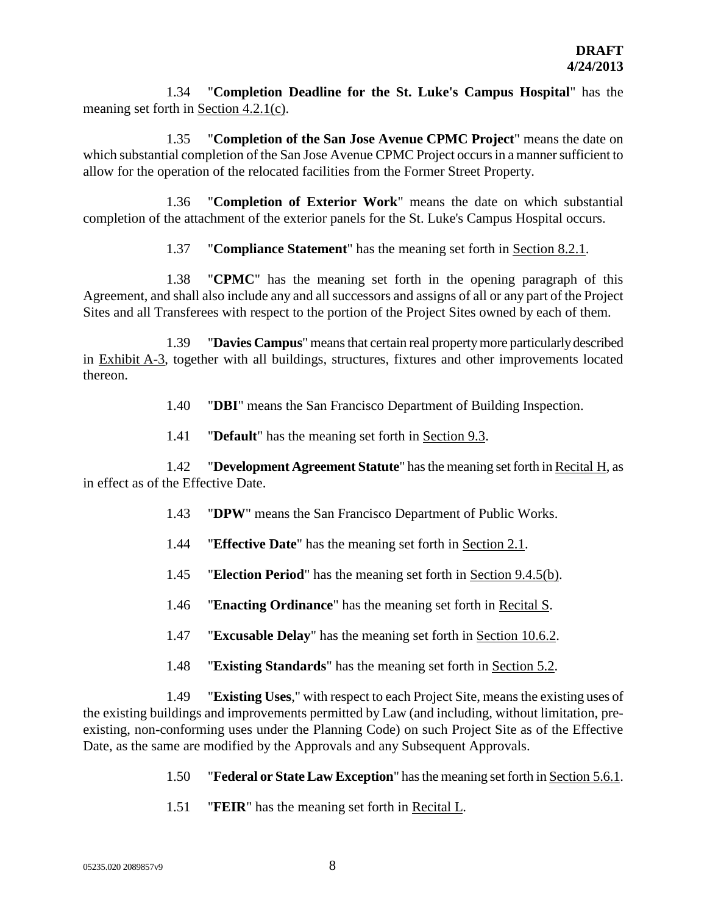1.34 "**Completion Deadline for the St. Luke's Campus Hospital**" has the meaning set forth in Section 4.2.1(c).

1.35 "**Completion of the San Jose Avenue CPMC Project**" means the date on which substantial completion of the San Jose Avenue CPMC Project occurs in a manner sufficient to allow for the operation of the relocated facilities from the Former Street Property.

1.36 "**Completion of Exterior Work**" means the date on which substantial completion of the attachment of the exterior panels for the St. Luke's Campus Hospital occurs.

1.37 "**Compliance Statement**" has the meaning set forth in Section 8.2.1.

1.38 "**CPMC**" has the meaning set forth in the opening paragraph of this Agreement, and shall also include any and all successors and assigns of all or any part of the Project Sites and all Transferees with respect to the portion of the Project Sites owned by each of them.

1.39 "**Davies Campus**" means that certain real property more particularly described in Exhibit A-3, together with all buildings, structures, fixtures and other improvements located thereon.

1.40 "**DBI**" means the San Francisco Department of Building Inspection.

1.41 "**Default**" has the meaning set forth in Section 9.3.

1.42 "**Development Agreement Statute**" has the meaning set forth in Recital H, as in effect as of the Effective Date.

- 1.43 "**DPW**" means the San Francisco Department of Public Works.
- 1.44 "**Effective Date**" has the meaning set forth in Section 2.1.
- 1.45 "**Election Period**" has the meaning set forth in Section 9.4.5(b).
- 1.46 "**Enacting Ordinance**" has the meaning set forth in Recital S.
- 1.47 "**Excusable Delay**" has the meaning set forth in Section 10.6.2.
- 1.48 "**Existing Standards**" has the meaning set forth in Section 5.2.

1.49 "**Existing Uses**," with respect to each Project Site, means the existing uses of the existing buildings and improvements permitted by Law (and including, without limitation, preexisting, non-conforming uses under the Planning Code) on such Project Site as of the Effective Date, as the same are modified by the Approvals and any Subsequent Approvals.

- 1.50 "**Federal or State Law Exception**" has the meaning set forth in Section 5.6.1.
- 1.51 "**FEIR**" has the meaning set forth in Recital L.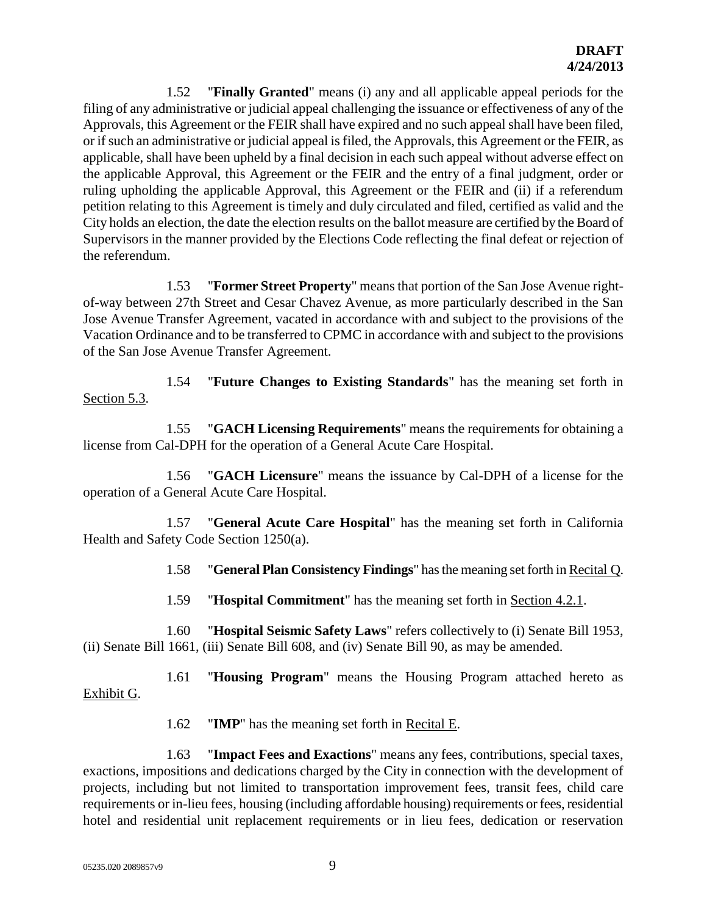1.52 "**Finally Granted**" means (i) any and all applicable appeal periods for the filing of any administrative or judicial appeal challenging the issuance or effectiveness of any of the Approvals, this Agreement or the FEIR shall have expired and no such appeal shall have been filed, or if such an administrative or judicial appeal is filed, the Approvals, this Agreement or the FEIR, as applicable, shall have been upheld by a final decision in each such appeal without adverse effect on the applicable Approval, this Agreement or the FEIR and the entry of a final judgment, order or ruling upholding the applicable Approval, this Agreement or the FEIR and (ii) if a referendum petition relating to this Agreement is timely and duly circulated and filed, certified as valid and the City holds an election, the date the election results on the ballot measure are certified by the Board of Supervisors in the manner provided by the Elections Code reflecting the final defeat or rejection of the referendum.

1.53 "**Former Street Property**" means that portion of the San Jose Avenue rightof-way between 27th Street and Cesar Chavez Avenue, as more particularly described in the San Jose Avenue Transfer Agreement, vacated in accordance with and subject to the provisions of the Vacation Ordinance and to be transferred to CPMC in accordance with and subject to the provisions of the San Jose Avenue Transfer Agreement.

1.54 "**Future Changes to Existing Standards**" has the meaning set forth in Section 5.3.

1.55 "**GACH Licensing Requirements**" means the requirements for obtaining a license from Cal-DPH for the operation of a General Acute Care Hospital.

1.56 "**GACH Licensure**" means the issuance by Cal-DPH of a license for the operation of a General Acute Care Hospital.

1.57 "**General Acute Care Hospital**" has the meaning set forth in California Health and Safety Code Section 1250(a).

1.58 "**General Plan Consistency Findings**" has the meaning set forth in Recital Q.

1.59 "**Hospital Commitment**" has the meaning set forth in Section 4.2.1.

1.60 "**Hospital Seismic Safety Laws**" refers collectively to (i) Senate Bill 1953, (ii) Senate Bill 1661, (iii) Senate Bill 608, and (iv) Senate Bill 90, as may be amended.

1.61 "**Housing Program**" means the Housing Program attached hereto as Exhibit G.

1.62 "**IMP**" has the meaning set forth in Recital E.

1.63 "**Impact Fees and Exactions**" means any fees, contributions, special taxes, exactions, impositions and dedications charged by the City in connection with the development of projects, including but not limited to transportation improvement fees, transit fees, child care requirements or in-lieu fees, housing (including affordable housing) requirements or fees, residential hotel and residential unit replacement requirements or in lieu fees, dedication or reservation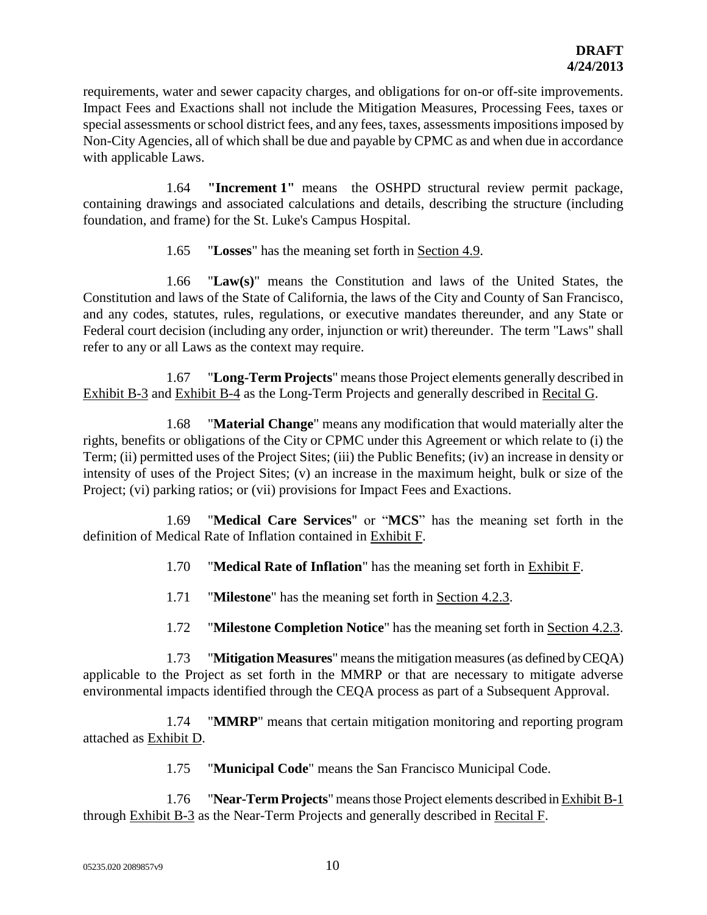requirements, water and sewer capacity charges, and obligations for on-or off-site improvements. Impact Fees and Exactions shall not include the Mitigation Measures, Processing Fees, taxes or special assessments or school district fees, and any fees, taxes, assessments impositions imposed by Non-City Agencies, all of which shall be due and payable by CPMC as and when due in accordance with applicable Laws.

1.64 **"Increment 1"** means the OSHPD structural review permit package, containing drawings and associated calculations and details, describing the structure (including foundation, and frame) for the St. Luke's Campus Hospital.

1.65 "**Losses**" has the meaning set forth in Section 4.9.

1.66 "**Law(s)**" means the Constitution and laws of the United States, the Constitution and laws of the State of California, the laws of the City and County of San Francisco, and any codes, statutes, rules, regulations, or executive mandates thereunder, and any State or Federal court decision (including any order, injunction or writ) thereunder. The term "Laws" shall refer to any or all Laws as the context may require.

1.67 "**Long-Term Projects**" means those Project elements generally described in Exhibit B-3 and Exhibit B-4 as the Long-Term Projects and generally described in Recital G.

1.68 "**Material Change**" means any modification that would materially alter the rights, benefits or obligations of the City or CPMC under this Agreement or which relate to (i) the Term; (ii) permitted uses of the Project Sites; (iii) the Public Benefits; (iv) an increase in density or intensity of uses of the Project Sites; (v) an increase in the maximum height, bulk or size of the Project; (vi) parking ratios; or (vii) provisions for Impact Fees and Exactions.

1.69 "**Medical Care Services**" or "**MCS**" has the meaning set forth in the definition of Medical Rate of Inflation contained in Exhibit F.

1.70 "**Medical Rate of Inflation**" has the meaning set forth in Exhibit F.

1.71 "**Milestone**" has the meaning set forth in Section 4.2.3.

1.72 "**Milestone Completion Notice**" has the meaning set forth in Section 4.2.3.

1.73 "**Mitigation Measures**" means the mitigation measures (as defined by CEQA) applicable to the Project as set forth in the MMRP or that are necessary to mitigate adverse environmental impacts identified through the CEQA process as part of a Subsequent Approval.

1.74 "**MMRP**" means that certain mitigation monitoring and reporting program attached as Exhibit D.

1.75 "**Municipal Code**" means the San Francisco Municipal Code.

1.76 "**Near-Term Projects**" means those Project elements described in Exhibit B-1 through Exhibit B-3 as the Near-Term Projects and generally described in Recital F.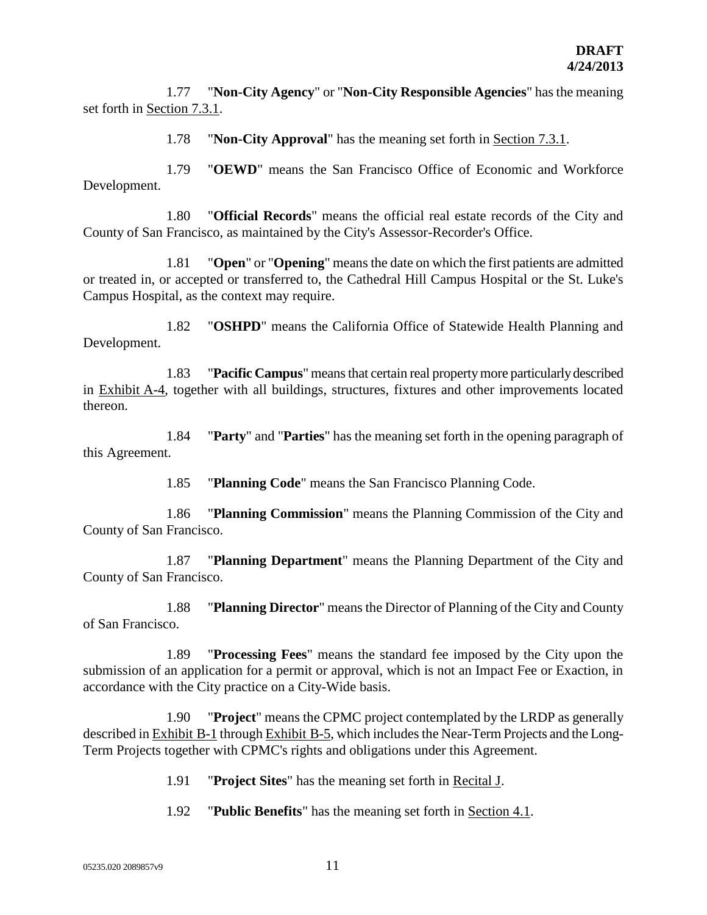1.77 "**Non-City Agency**" or "**Non-City Responsible Agencies**" has the meaning set forth in Section 7.3.1.

1.78 "**Non-City Approval**" has the meaning set forth in Section 7.3.1.

1.79 "**OEWD**" means the San Francisco Office of Economic and Workforce Development.

1.80 "**Official Records**" means the official real estate records of the City and County of San Francisco, as maintained by the City's Assessor-Recorder's Office.

1.81 "**Open**" or "**Opening**" means the date on which the first patients are admitted or treated in, or accepted or transferred to, the Cathedral Hill Campus Hospital or the St. Luke's Campus Hospital, as the context may require.

1.82 "**OSHPD**" means the California Office of Statewide Health Planning and Development.

1.83 "**Pacific Campus**" means that certain real property more particularly described in Exhibit A-4, together with all buildings, structures, fixtures and other improvements located thereon.

1.84 "**Party**" and "**Parties**" has the meaning set forth in the opening paragraph of this Agreement.

1.85 "**Planning Code**" means the San Francisco Planning Code.

1.86 "**Planning Commission**" means the Planning Commission of the City and County of San Francisco.

1.87 "**Planning Department**" means the Planning Department of the City and County of San Francisco.

1.88 "**Planning Director**" means the Director of Planning of the City and County of San Francisco.

1.89 "**Processing Fees**" means the standard fee imposed by the City upon the submission of an application for a permit or approval, which is not an Impact Fee or Exaction, in accordance with the City practice on a City-Wide basis.

1.90 "**Project**" means the CPMC project contemplated by the LRDP as generally described in Exhibit B-1 through Exhibit B-5, which includes the Near-Term Projects and the Long-Term Projects together with CPMC's rights and obligations under this Agreement.

1.91 "**Project Sites**" has the meaning set forth in Recital J.

1.92 "**Public Benefits**" has the meaning set forth in Section 4.1.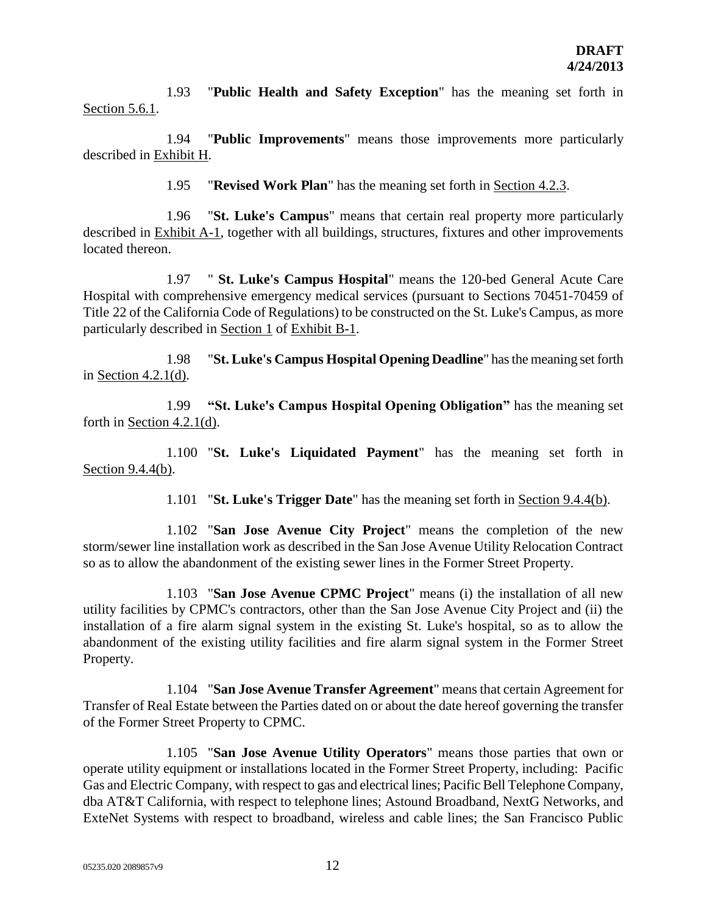1.93 "**Public Health and Safety Exception**" has the meaning set forth in Section 5.6.1.

1.94 "**Public Improvements**" means those improvements more particularly described in Exhibit H.

1.95 "**Revised Work Plan**" has the meaning set forth in Section 4.2.3.

1.96 "**St. Luke's Campus**" means that certain real property more particularly described in Exhibit A-1, together with all buildings, structures, fixtures and other improvements located thereon.

1.97 " **St. Luke's Campus Hospital**" means the 120-bed General Acute Care Hospital with comprehensive emergency medical services (pursuant to Sections 70451-70459 of Title 22 of the California Code of Regulations) to be constructed on the St. Luke's Campus, as more particularly described in Section 1 of Exhibit B-1.

1.98 "**St. Luke's Campus Hospital Opening Deadline**" has the meaning set forth in Section 4.2.1(d).

1.99 **"St. Luke's Campus Hospital Opening Obligation"** has the meaning set forth in Section 4.2.1(d).

1.100 "**St. Luke's Liquidated Payment**" has the meaning set forth in Section 9.4.4(b).

1.101 "**St. Luke's Trigger Date**" has the meaning set forth in Section 9.4.4(b).

1.102 "**San Jose Avenue City Project**" means the completion of the new storm/sewer line installation work as described in the San Jose Avenue Utility Relocation Contract so as to allow the abandonment of the existing sewer lines in the Former Street Property.

1.103 "**San Jose Avenue CPMC Project**" means (i) the installation of all new utility facilities by CPMC's contractors, other than the San Jose Avenue City Project and (ii) the installation of a fire alarm signal system in the existing St. Luke's hospital, so as to allow the abandonment of the existing utility facilities and fire alarm signal system in the Former Street Property.

1.104 "**San Jose Avenue Transfer Agreement**" means that certain Agreement for Transfer of Real Estate between the Parties dated on or about the date hereof governing the transfer of the Former Street Property to CPMC.

1.105 "**San Jose Avenue Utility Operators**" means those parties that own or operate utility equipment or installations located in the Former Street Property, including: Pacific Gas and Electric Company, with respect to gas and electrical lines; Pacific Bell Telephone Company, dba AT&T California, with respect to telephone lines; Astound Broadband, NextG Networks, and ExteNet Systems with respect to broadband, wireless and cable lines; the San Francisco Public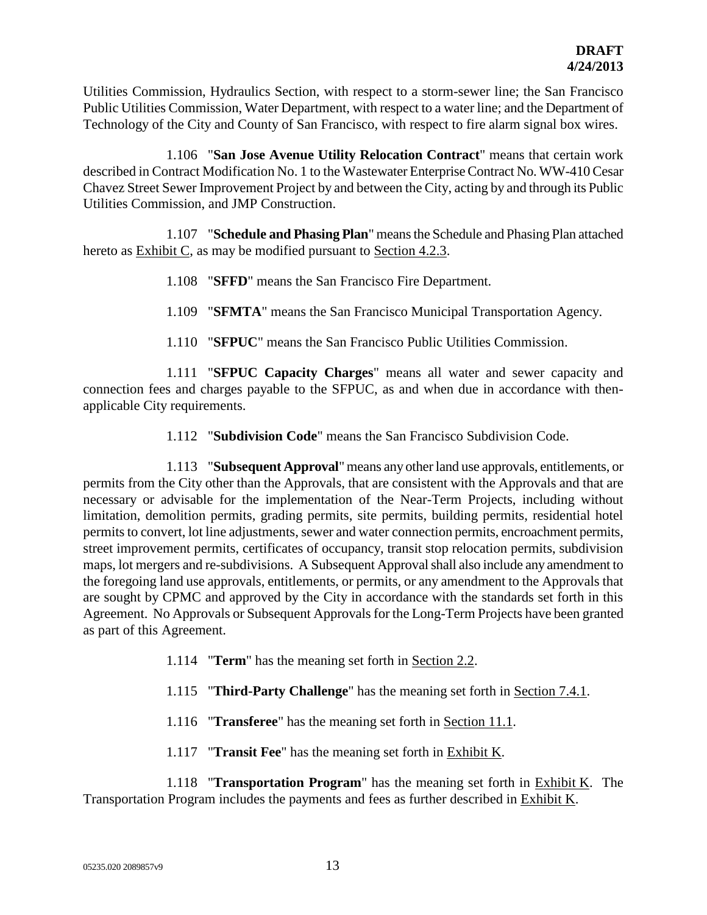Utilities Commission, Hydraulics Section, with respect to a storm-sewer line; the San Francisco Public Utilities Commission, Water Department, with respect to a water line; and the Department of Technology of the City and County of San Francisco, with respect to fire alarm signal box wires.

1.106 "**San Jose Avenue Utility Relocation Contract**" means that certain work described in Contract Modification No. 1 to the Wastewater Enterprise Contract No. WW-410 Cesar Chavez Street Sewer Improvement Project by and between the City, acting by and through its Public Utilities Commission, and JMP Construction.

1.107 "**Schedule and Phasing Plan**" means the Schedule and Phasing Plan attached hereto as Exhibit C, as may be modified pursuant to Section 4.2.3.

- 1.108 "**SFFD**" means the San Francisco Fire Department.
- 1.109 "**SFMTA**" means the San Francisco Municipal Transportation Agency.
- 1.110 "**SFPUC**" means the San Francisco Public Utilities Commission.

1.111 "**SFPUC Capacity Charges**" means all water and sewer capacity and connection fees and charges payable to the SFPUC, as and when due in accordance with thenapplicable City requirements.

1.112 "**Subdivision Code**" means the San Francisco Subdivision Code.

1.113 "**Subsequent Approval**" means any other land use approvals, entitlements, or permits from the City other than the Approvals, that are consistent with the Approvals and that are necessary or advisable for the implementation of the Near-Term Projects, including without limitation, demolition permits, grading permits, site permits, building permits, residential hotel permits to convert, lot line adjustments, sewer and water connection permits, encroachment permits, street improvement permits, certificates of occupancy, transit stop relocation permits, subdivision maps, lot mergers and re-subdivisions. A Subsequent Approval shall also include any amendment to the foregoing land use approvals, entitlements, or permits, or any amendment to the Approvals that are sought by CPMC and approved by the City in accordance with the standards set forth in this Agreement. No Approvals or Subsequent Approvals for the Long-Term Projects have been granted as part of this Agreement.

- 1.114 "**Term**" has the meaning set forth in Section 2.2.
- 1.115 "**Third-Party Challenge**" has the meaning set forth in Section 7.4.1.
- 1.116 "**Transferee**" has the meaning set forth in Section 11.1.
- 1.117 "**Transit Fee**" has the meaning set forth in Exhibit K.

1.118 "**Transportation Program**" has the meaning set forth in Exhibit K. The Transportation Program includes the payments and fees as further described in Exhibit K.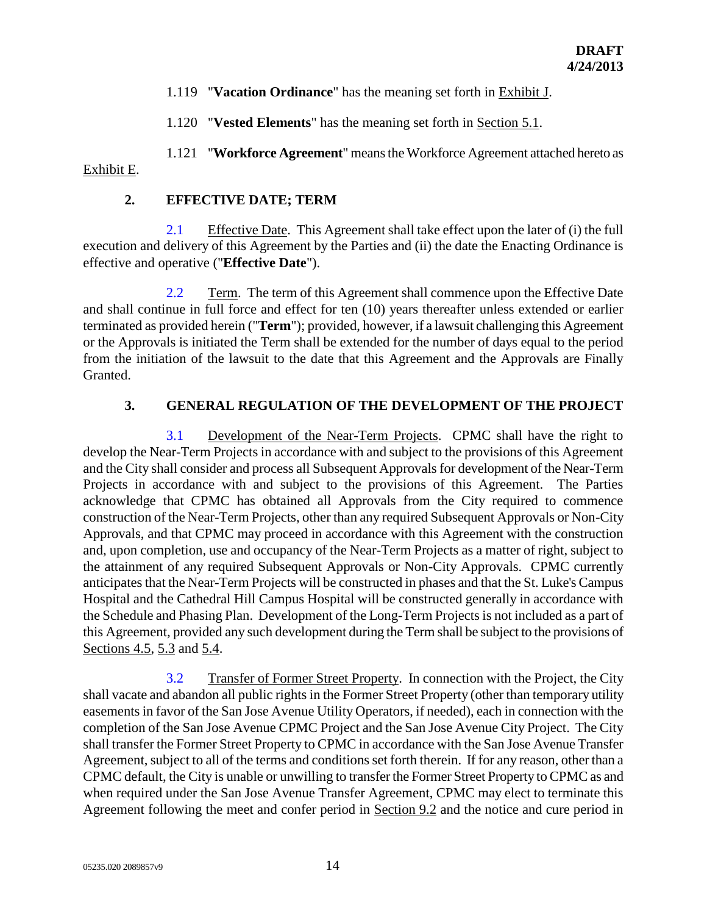- 1.119 "**Vacation Ordinance**" has the meaning set forth in Exhibit J.
- 1.120 "**Vested Elements**" has the meaning set forth in Section 5.1.

1.121 "**Workforce Agreement**" means the Workforce Agreement attached hereto as Exhibit E.

### **2. EFFECTIVE DATE; TERM**

2.1 Effective Date. This Agreement shall take effect upon the later of (i) the full execution and delivery of this Agreement by the Parties and (ii) the date the Enacting Ordinance is effective and operative ("**Effective Date**").

2.2 Term. The term of this Agreement shall commence upon the Effective Date and shall continue in full force and effect for ten (10) years thereafter unless extended or earlier terminated as provided herein ("**Term**"); provided, however, if a lawsuit challenging this Agreement or the Approvals is initiated the Term shall be extended for the number of days equal to the period from the initiation of the lawsuit to the date that this Agreement and the Approvals are Finally Granted.

## **3. GENERAL REGULATION OF THE DEVELOPMENT OF THE PROJECT**

3.1 Development of the Near-Term Projects. CPMC shall have the right to develop the Near-Term Projects in accordance with and subject to the provisions of this Agreement and the City shall consider and process all Subsequent Approvals for development of the Near-Term Projects in accordance with and subject to the provisions of this Agreement. The Parties acknowledge that CPMC has obtained all Approvals from the City required to commence construction of the Near-Term Projects, other than any required Subsequent Approvals or Non-City Approvals, and that CPMC may proceed in accordance with this Agreement with the construction and, upon completion, use and occupancy of the Near-Term Projects as a matter of right, subject to the attainment of any required Subsequent Approvals or Non-City Approvals. CPMC currently anticipates that the Near-Term Projects will be constructed in phases and that the St. Luke's Campus Hospital and the Cathedral Hill Campus Hospital will be constructed generally in accordance with the Schedule and Phasing Plan. Development of the Long-Term Projects is not included as a part of this Agreement, provided any such development during the Term shall be subject to the provisions of Sections 4.5, 5.3 and 5.4.

3.2 Transfer of Former Street Property. In connection with the Project, the City shall vacate and abandon all public rights in the Former Street Property (other than temporary utility easements in favor of the San Jose Avenue Utility Operators, if needed), each in connection with the completion of the San Jose Avenue CPMC Project and the San Jose Avenue City Project. The City shall transfer the Former Street Property to CPMC in accordance with the San Jose Avenue Transfer Agreement, subject to all of the terms and conditions set forth therein. If for any reason, other than a CPMC default, the City is unable or unwilling to transfer the Former Street Property to CPMC as and when required under the San Jose Avenue Transfer Agreement, CPMC may elect to terminate this Agreement following the meet and confer period in Section 9.2 and the notice and cure period in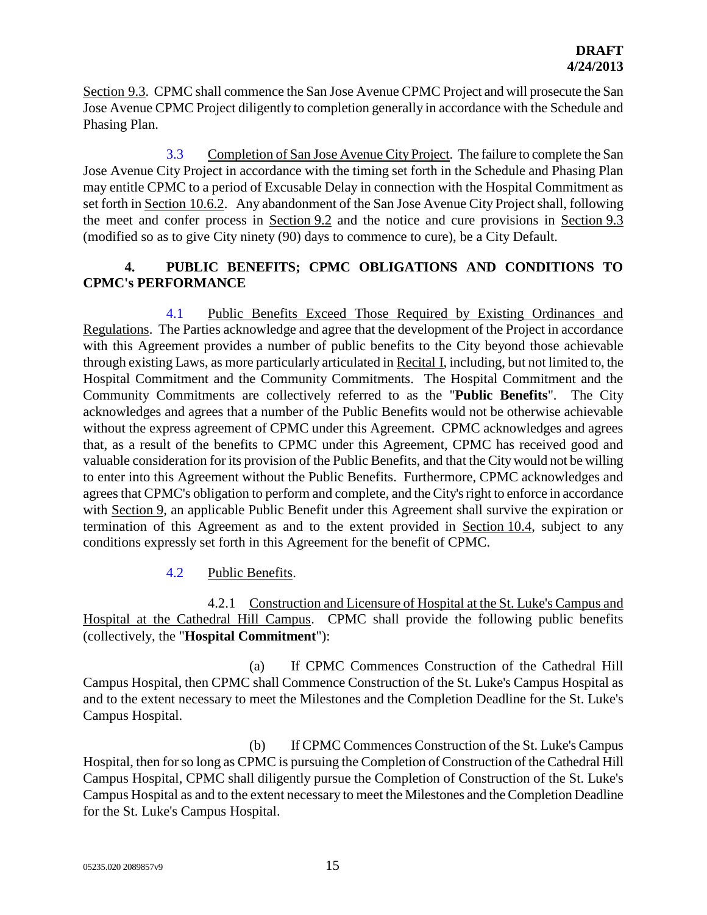Section 9.3. CPMC shall commence the San Jose Avenue CPMC Project and will prosecute the San Jose Avenue CPMC Project diligently to completion generally in accordance with the Schedule and Phasing Plan.

3.3 Completion of San Jose Avenue City Project. The failure to complete the San Jose Avenue City Project in accordance with the timing set forth in the Schedule and Phasing Plan may entitle CPMC to a period of Excusable Delay in connection with the Hospital Commitment as set forth in Section 10.6.2. Any abandonment of the San Jose Avenue City Project shall, following the meet and confer process in Section 9.2 and the notice and cure provisions in Section 9.3 (modified so as to give City ninety (90) days to commence to cure), be a City Default.

# **4. PUBLIC BENEFITS; CPMC OBLIGATIONS AND CONDITIONS TO CPMC's PERFORMANCE**

4.1 Public Benefits Exceed Those Required by Existing Ordinances and Regulations. The Parties acknowledge and agree that the development of the Project in accordance with this Agreement provides a number of public benefits to the City beyond those achievable through existing Laws, as more particularly articulated in Recital I, including, but not limited to, the Hospital Commitment and the Community Commitments. The Hospital Commitment and the Community Commitments are collectively referred to as the "**Public Benefits**". The City acknowledges and agrees that a number of the Public Benefits would not be otherwise achievable without the express agreement of CPMC under this Agreement. CPMC acknowledges and agrees that, as a result of the benefits to CPMC under this Agreement, CPMC has received good and valuable consideration for its provision of the Public Benefits, and that the City would not be willing to enter into this Agreement without the Public Benefits. Furthermore, CPMC acknowledges and agrees that CPMC's obligation to perform and complete, and the City's right to enforce in accordance with Section 9, an applicable Public Benefit under this Agreement shall survive the expiration or termination of this Agreement as and to the extent provided in Section 10.4, subject to any conditions expressly set forth in this Agreement for the benefit of CPMC.

## 4.2 Public Benefits.

4.2.1 Construction and Licensure of Hospital at the St. Luke's Campus and Hospital at the Cathedral Hill Campus. CPMC shall provide the following public benefits (collectively, the "**Hospital Commitment**"):

(a) If CPMC Commences Construction of the Cathedral Hill Campus Hospital, then CPMC shall Commence Construction of the St. Luke's Campus Hospital as and to the extent necessary to meet the Milestones and the Completion Deadline for the St. Luke's Campus Hospital.

(b) If CPMC Commences Construction of the St. Luke's Campus Hospital, then for so long as CPMC is pursuing the Completion of Construction of the Cathedral Hill Campus Hospital, CPMC shall diligently pursue the Completion of Construction of the St. Luke's Campus Hospital as and to the extent necessary to meet the Milestones and the Completion Deadline for the St. Luke's Campus Hospital.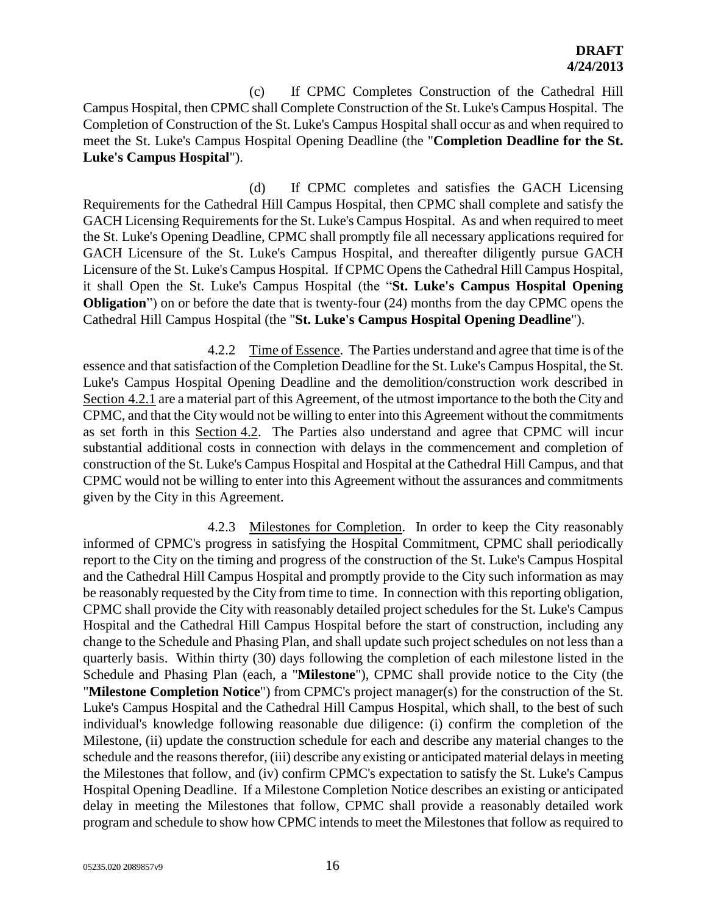(c) If CPMC Completes Construction of the Cathedral Hill Campus Hospital, then CPMC shall Complete Construction of the St. Luke's Campus Hospital. The Completion of Construction of the St. Luke's Campus Hospital shall occur as and when required to meet the St. Luke's Campus Hospital Opening Deadline (the "**Completion Deadline for the St. Luke's Campus Hospital**").

(d) If CPMC completes and satisfies the GACH Licensing Requirements for the Cathedral Hill Campus Hospital, then CPMC shall complete and satisfy the GACH Licensing Requirements for the St. Luke's Campus Hospital. As and when required to meet the St. Luke's Opening Deadline, CPMC shall promptly file all necessary applications required for GACH Licensure of the St. Luke's Campus Hospital, and thereafter diligently pursue GACH Licensure of the St. Luke's Campus Hospital. If CPMC Opens the Cathedral Hill Campus Hospital, it shall Open the St. Luke's Campus Hospital (the "**St. Luke's Campus Hospital Opening Obligation**") on or before the date that is twenty-four (24) months from the day CPMC opens the Cathedral Hill Campus Hospital (the "**St. Luke's Campus Hospital Opening Deadline**").

4.2.2 Time of Essence. The Parties understand and agree that time is of the essence and that satisfaction of the Completion Deadline for the St. Luke's Campus Hospital, the St. Luke's Campus Hospital Opening Deadline and the demolition/construction work described in Section 4.2.1 are a material part of this Agreement, of the utmost importance to the both the City and CPMC, and that the City would not be willing to enter into this Agreement without the commitments as set forth in this Section 4.2. The Parties also understand and agree that CPMC will incur substantial additional costs in connection with delays in the commencement and completion of construction of the St. Luke's Campus Hospital and Hospital at the Cathedral Hill Campus, and that CPMC would not be willing to enter into this Agreement without the assurances and commitments given by the City in this Agreement.

4.2.3 Milestones for Completion. In order to keep the City reasonably informed of CPMC's progress in satisfying the Hospital Commitment, CPMC shall periodically report to the City on the timing and progress of the construction of the St. Luke's Campus Hospital and the Cathedral Hill Campus Hospital and promptly provide to the City such information as may be reasonably requested by the City from time to time. In connection with this reporting obligation, CPMC shall provide the City with reasonably detailed project schedules for the St. Luke's Campus Hospital and the Cathedral Hill Campus Hospital before the start of construction, including any change to the Schedule and Phasing Plan, and shall update such project schedules on not less than a quarterly basis. Within thirty (30) days following the completion of each milestone listed in the Schedule and Phasing Plan (each, a "**Milestone**"), CPMC shall provide notice to the City (the "**Milestone Completion Notice**") from CPMC's project manager(s) for the construction of the St. Luke's Campus Hospital and the Cathedral Hill Campus Hospital, which shall, to the best of such individual's knowledge following reasonable due diligence: (i) confirm the completion of the Milestone, (ii) update the construction schedule for each and describe any material changes to the schedule and the reasons therefor, (iii) describe any existing or anticipated material delays in meeting the Milestones that follow, and (iv) confirm CPMC's expectation to satisfy the St. Luke's Campus Hospital Opening Deadline. If a Milestone Completion Notice describes an existing or anticipated delay in meeting the Milestones that follow, CPMC shall provide a reasonably detailed work program and schedule to show how CPMC intends to meet the Milestones that follow as required to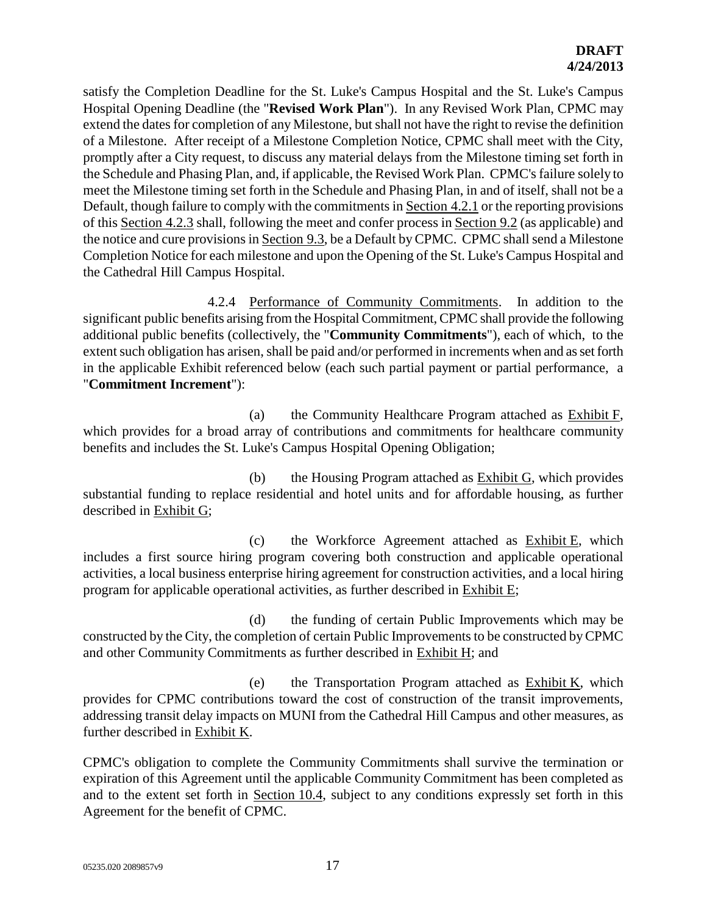satisfy the Completion Deadline for the St. Luke's Campus Hospital and the St. Luke's Campus Hospital Opening Deadline (the "**Revised Work Plan**"). In any Revised Work Plan, CPMC may extend the dates for completion of any Milestone, but shall not have the right to revise the definition of a Milestone. After receipt of a Milestone Completion Notice, CPMC shall meet with the City, promptly after a City request, to discuss any material delays from the Milestone timing set forth in the Schedule and Phasing Plan, and, if applicable, the Revised Work Plan. CPMC's failure solely to meet the Milestone timing set forth in the Schedule and Phasing Plan, in and of itself, shall not be a Default, though failure to comply with the commitments in Section 4.2.1 or the reporting provisions of this Section 4.2.3 shall, following the meet and confer process in Section 9.2 (as applicable) and the notice and cure provisions in Section 9.3, be a Default by CPMC. CPMC shall send a Milestone Completion Notice for each milestone and upon the Opening of the St. Luke's Campus Hospital and the Cathedral Hill Campus Hospital.

4.2.4 Performance of Community Commitments. In addition to the significant public benefits arising from the Hospital Commitment, CPMC shall provide the following additional public benefits (collectively, the "**Community Commitments**"), each of which, to the extent such obligation has arisen, shall be paid and/or performed in increments when and as set forth in the applicable Exhibit referenced below (each such partial payment or partial performance, a "**Commitment Increment**"):

(a) the Community Healthcare Program attached as Exhibit F, which provides for a broad array of contributions and commitments for healthcare community benefits and includes the St. Luke's Campus Hospital Opening Obligation;

(b) the Housing Program attached as Exhibit G, which provides substantial funding to replace residential and hotel units and for affordable housing, as further described in Exhibit G;

(c) the Workforce Agreement attached as Exhibit E, which includes a first source hiring program covering both construction and applicable operational activities, a local business enterprise hiring agreement for construction activities, and a local hiring program for applicable operational activities, as further described in Exhibit E;

(d) the funding of certain Public Improvements which may be constructed by the City, the completion of certain Public Improvements to be constructed by CPMC and other Community Commitments as further described in Exhibit H; and

(e) the Transportation Program attached as Exhibit K, which provides for CPMC contributions toward the cost of construction of the transit improvements, addressing transit delay impacts on MUNI from the Cathedral Hill Campus and other measures, as further described in Exhibit K.

CPMC's obligation to complete the Community Commitments shall survive the termination or expiration of this Agreement until the applicable Community Commitment has been completed as and to the extent set forth in Section 10.4, subject to any conditions expressly set forth in this Agreement for the benefit of CPMC.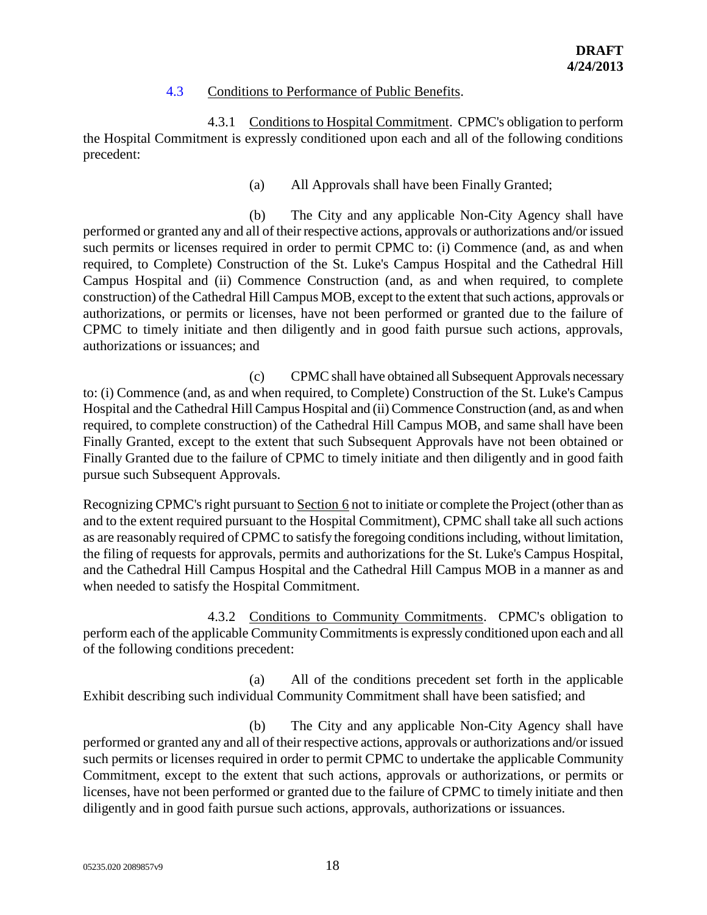### 4.3 Conditions to Performance of Public Benefits.

4.3.1 Conditions to Hospital Commitment. CPMC's obligation to perform the Hospital Commitment is expressly conditioned upon each and all of the following conditions precedent:

(a) All Approvals shall have been Finally Granted;

(b) The City and any applicable Non-City Agency shall have performed or granted any and all of their respective actions, approvals or authorizations and/or issued such permits or licenses required in order to permit CPMC to: (i) Commence (and, as and when required, to Complete) Construction of the St. Luke's Campus Hospital and the Cathedral Hill Campus Hospital and (ii) Commence Construction (and, as and when required, to complete construction) of the Cathedral Hill Campus MOB, except to the extent that such actions, approvals or authorizations, or permits or licenses, have not been performed or granted due to the failure of CPMC to timely initiate and then diligently and in good faith pursue such actions, approvals, authorizations or issuances; and

(c) CPMC shall have obtained all Subsequent Approvals necessary to: (i) Commence (and, as and when required, to Complete) Construction of the St. Luke's Campus Hospital and the Cathedral Hill Campus Hospital and (ii) Commence Construction (and, as and when required, to complete construction) of the Cathedral Hill Campus MOB, and same shall have been Finally Granted, except to the extent that such Subsequent Approvals have not been obtained or Finally Granted due to the failure of CPMC to timely initiate and then diligently and in good faith pursue such Subsequent Approvals.

Recognizing CPMC's right pursuant to Section 6 not to initiate or complete the Project (other than as and to the extent required pursuant to the Hospital Commitment), CPMC shall take all such actions as are reasonably required of CPMC to satisfy the foregoing conditions including, without limitation, the filing of requests for approvals, permits and authorizations for the St. Luke's Campus Hospital, and the Cathedral Hill Campus Hospital and the Cathedral Hill Campus MOB in a manner as and when needed to satisfy the Hospital Commitment.

4.3.2 Conditions to Community Commitments. CPMC's obligation to perform each of the applicable Community Commitments is expressly conditioned upon each and all of the following conditions precedent:

(a) All of the conditions precedent set forth in the applicable Exhibit describing such individual Community Commitment shall have been satisfied; and

(b) The City and any applicable Non-City Agency shall have performed or granted any and all of their respective actions, approvals or authorizations and/or issued such permits or licenses required in order to permit CPMC to undertake the applicable Community Commitment, except to the extent that such actions, approvals or authorizations, or permits or licenses, have not been performed or granted due to the failure of CPMC to timely initiate and then diligently and in good faith pursue such actions, approvals, authorizations or issuances.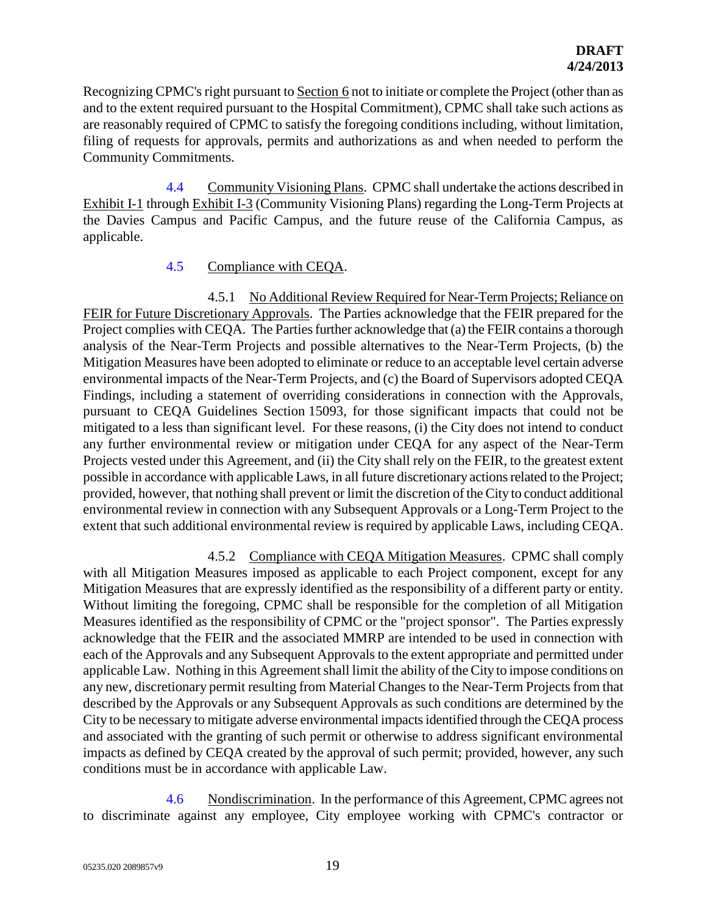Recognizing CPMC's right pursuant to Section 6 not to initiate or complete the Project (other than as and to the extent required pursuant to the Hospital Commitment), CPMC shall take such actions as are reasonably required of CPMC to satisfy the foregoing conditions including, without limitation, filing of requests for approvals, permits and authorizations as and when needed to perform the Community Commitments.

4.4 Community Visioning Plans. CPMC shall undertake the actions described in Exhibit I-1 through Exhibit I-3 (Community Visioning Plans) regarding the Long-Term Projects at the Davies Campus and Pacific Campus, and the future reuse of the California Campus, as applicable.

# 4.5 Compliance with CEQA.

4.5.1 No Additional Review Required for Near-Term Projects; Reliance on FEIR for Future Discretionary Approvals. The Parties acknowledge that the FEIR prepared for the Project complies with CEQA. The Parties further acknowledge that (a) the FEIR contains a thorough analysis of the Near-Term Projects and possible alternatives to the Near-Term Projects, (b) the Mitigation Measures have been adopted to eliminate or reduce to an acceptable level certain adverse environmental impacts of the Near-Term Projects, and (c) the Board of Supervisors adopted CEQA Findings, including a statement of overriding considerations in connection with the Approvals, pursuant to CEQA Guidelines Section 15093, for those significant impacts that could not be mitigated to a less than significant level. For these reasons, (i) the City does not intend to conduct any further environmental review or mitigation under CEQA for any aspect of the Near-Term Projects vested under this Agreement, and (ii) the City shall rely on the FEIR, to the greatest extent possible in accordance with applicable Laws, in all future discretionary actions related to the Project; provided, however, that nothing shall prevent or limit the discretion of the City to conduct additional environmental review in connection with any Subsequent Approvals or a Long-Term Project to the extent that such additional environmental review is required by applicable Laws, including CEQA.

4.5.2 Compliance with CEQA Mitigation Measures. CPMC shall comply with all Mitigation Measures imposed as applicable to each Project component, except for any Mitigation Measures that are expressly identified as the responsibility of a different party or entity. Without limiting the foregoing, CPMC shall be responsible for the completion of all Mitigation Measures identified as the responsibility of CPMC or the "project sponsor". The Parties expressly acknowledge that the FEIR and the associated MMRP are intended to be used in connection with each of the Approvals and any Subsequent Approvals to the extent appropriate and permitted under applicable Law. Nothing in this Agreement shall limit the ability of the City to impose conditions on any new, discretionary permit resulting from Material Changes to the Near-Term Projects from that described by the Approvals or any Subsequent Approvals as such conditions are determined by the City to be necessary to mitigate adverse environmental impacts identified through the CEQA process and associated with the granting of such permit or otherwise to address significant environmental impacts as defined by CEQA created by the approval of such permit; provided, however, any such conditions must be in accordance with applicable Law.

4.6 Nondiscrimination. In the performance of this Agreement, CPMC agrees not to discriminate against any employee, City employee working with CPMC's contractor or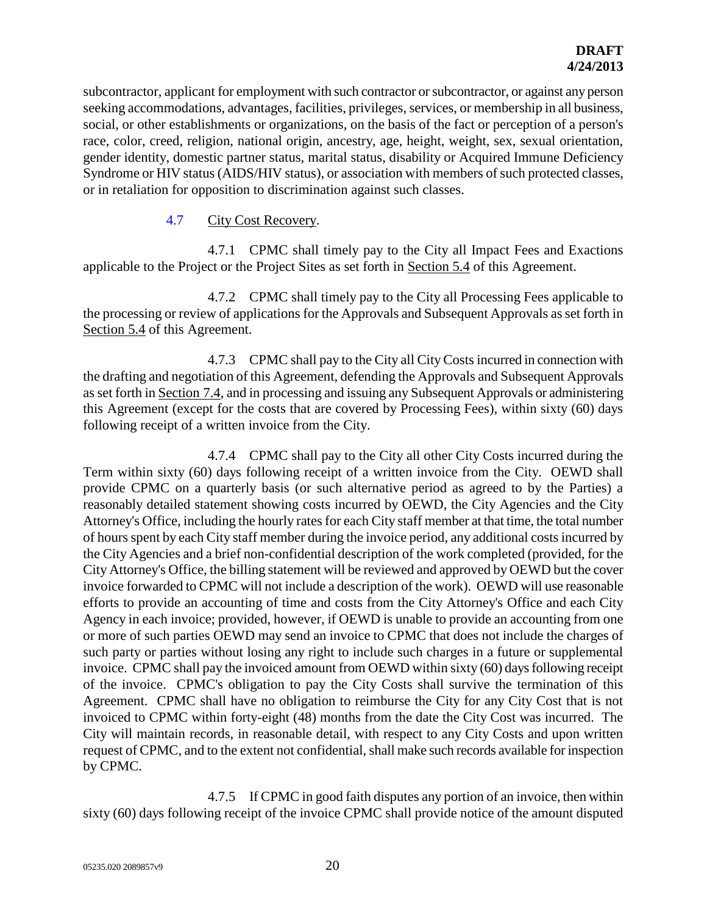subcontractor, applicant for employment with such contractor or subcontractor, or against any person seeking accommodations, advantages, facilities, privileges, services, or membership in all business, social, or other establishments or organizations, on the basis of the fact or perception of a person's race, color, creed, religion, national origin, ancestry, age, height, weight, sex, sexual orientation, gender identity, domestic partner status, marital status, disability or Acquired Immune Deficiency Syndrome or HIV status (AIDS/HIV status), or association with members of such protected classes, or in retaliation for opposition to discrimination against such classes.

## 4.7 City Cost Recovery.

4.7.1 CPMC shall timely pay to the City all Impact Fees and Exactions applicable to the Project or the Project Sites as set forth in Section 5.4 of this Agreement.

4.7.2 CPMC shall timely pay to the City all Processing Fees applicable to the processing or review of applications for the Approvals and Subsequent Approvals as set forth in Section 5.4 of this Agreement.

4.7.3 CPMC shall pay to the City all City Costs incurred in connection with the drafting and negotiation of this Agreement, defending the Approvals and Subsequent Approvals as set forth in Section 7.4, and in processing and issuing any Subsequent Approvals or administering this Agreement (except for the costs that are covered by Processing Fees), within sixty (60) days following receipt of a written invoice from the City.

4.7.4 CPMC shall pay to the City all other City Costs incurred during the Term within sixty (60) days following receipt of a written invoice from the City. OEWD shall provide CPMC on a quarterly basis (or such alternative period as agreed to by the Parties) a reasonably detailed statement showing costs incurred by OEWD, the City Agencies and the City Attorney's Office, including the hourly rates for each City staff member at that time, the total number of hours spent by each City staff member during the invoice period, any additional costs incurred by the City Agencies and a brief non-confidential description of the work completed (provided, for the City Attorney's Office, the billing statement will be reviewed and approved by OEWD but the cover invoice forwarded to CPMC will not include a description of the work). OEWD will use reasonable efforts to provide an accounting of time and costs from the City Attorney's Office and each City Agency in each invoice; provided, however, if OEWD is unable to provide an accounting from one or more of such parties OEWD may send an invoice to CPMC that does not include the charges of such party or parties without losing any right to include such charges in a future or supplemental invoice. CPMC shall pay the invoiced amount from OEWD within sixty (60) days following receipt of the invoice. CPMC's obligation to pay the City Costs shall survive the termination of this Agreement. CPMC shall have no obligation to reimburse the City for any City Cost that is not invoiced to CPMC within forty-eight (48) months from the date the City Cost was incurred. The City will maintain records, in reasonable detail, with respect to any City Costs and upon written request of CPMC, and to the extent not confidential, shall make such records available for inspection by CPMC.

4.7.5 If CPMC in good faith disputes any portion of an invoice, then within sixty (60) days following receipt of the invoice CPMC shall provide notice of the amount disputed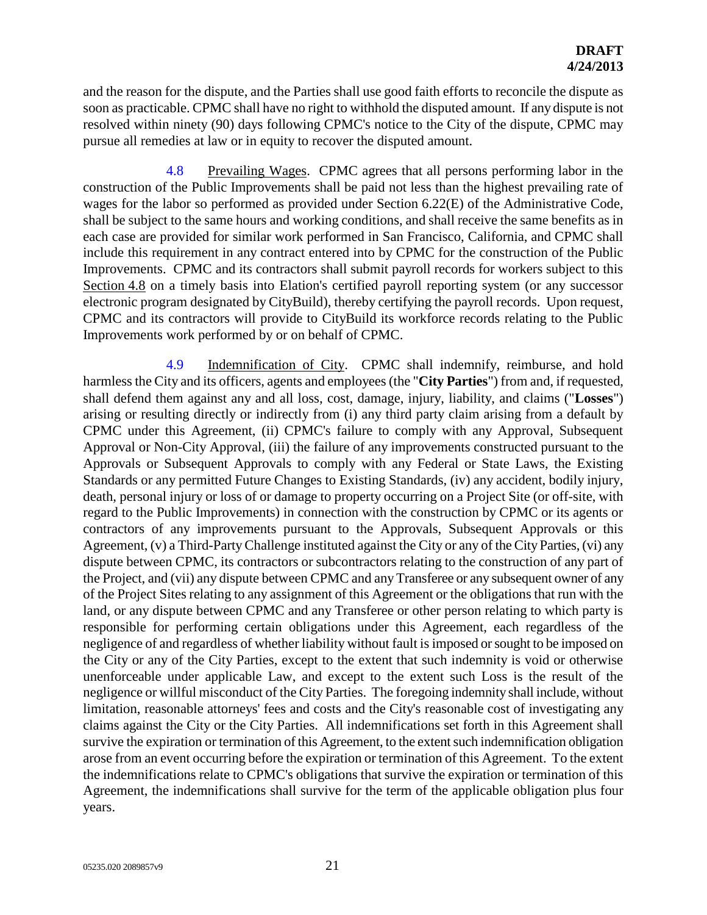and the reason for the dispute, and the Parties shall use good faith efforts to reconcile the dispute as soon as practicable. CPMC shall have no right to withhold the disputed amount. If any dispute is not resolved within ninety (90) days following CPMC's notice to the City of the dispute, CPMC may pursue all remedies at law or in equity to recover the disputed amount.

4.8 Prevailing Wages. CPMC agrees that all persons performing labor in the construction of the Public Improvements shall be paid not less than the highest prevailing rate of wages for the labor so performed as provided under Section 6.22(E) of the Administrative Code, shall be subject to the same hours and working conditions, and shall receive the same benefits as in each case are provided for similar work performed in San Francisco, California, and CPMC shall include this requirement in any contract entered into by CPMC for the construction of the Public Improvements. CPMC and its contractors shall submit payroll records for workers subject to this Section 4.8 on a timely basis into Elation's certified payroll reporting system (or any successor electronic program designated by CityBuild), thereby certifying the payroll records. Upon request, CPMC and its contractors will provide to CityBuild its workforce records relating to the Public Improvements work performed by or on behalf of CPMC.

4.9 Indemnification of City. CPMC shall indemnify, reimburse, and hold harmless the City and its officers, agents and employees (the "**City Parties**") from and, if requested, shall defend them against any and all loss, cost, damage, injury, liability, and claims ("**Losses**") arising or resulting directly or indirectly from (i) any third party claim arising from a default by CPMC under this Agreement, (ii) CPMC's failure to comply with any Approval, Subsequent Approval or Non-City Approval, (iii) the failure of any improvements constructed pursuant to the Approvals or Subsequent Approvals to comply with any Federal or State Laws, the Existing Standards or any permitted Future Changes to Existing Standards, (iv) any accident, bodily injury, death, personal injury or loss of or damage to property occurring on a Project Site (or off-site, with regard to the Public Improvements) in connection with the construction by CPMC or its agents or contractors of any improvements pursuant to the Approvals, Subsequent Approvals or this Agreement, (v) a Third-PartyChallenge instituted against the City or any of the City Parties, (vi) any dispute between CPMC, its contractors or subcontractors relating to the construction of any part of the Project, and (vii) any dispute between CPMC and any Transferee or any subsequent owner of any of the Project Sites relating to any assignment of this Agreement or the obligations that run with the land, or any dispute between CPMC and any Transferee or other person relating to which party is responsible for performing certain obligations under this Agreement, each regardless of the negligence of and regardless of whether liability without fault is imposed or sought to be imposed on the City or any of the City Parties, except to the extent that such indemnity is void or otherwise unenforceable under applicable Law, and except to the extent such Loss is the result of the negligence or willful misconduct of the City Parties. The foregoing indemnity shall include, without limitation, reasonable attorneys' fees and costs and the City's reasonable cost of investigating any claims against the City or the City Parties. All indemnifications set forth in this Agreement shall survive the expiration or termination of this Agreement, to the extent such indemnification obligation arose from an event occurring before the expiration or termination of this Agreement. To the extent the indemnifications relate to CPMC's obligations that survive the expiration or termination of this Agreement, the indemnifications shall survive for the term of the applicable obligation plus four years.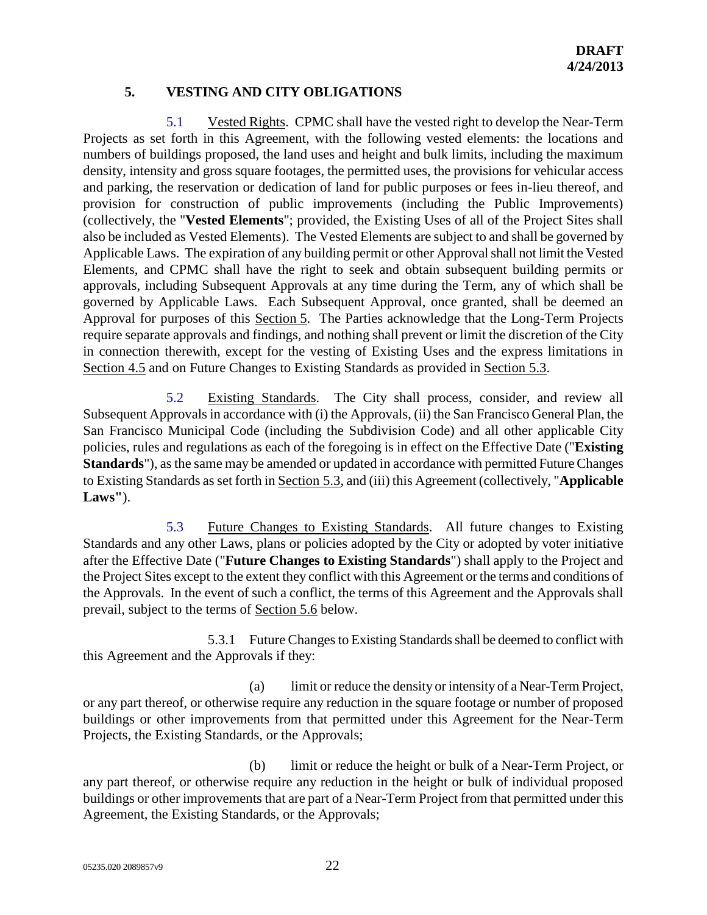# **5. VESTING AND CITY OBLIGATIONS**

5.1 Vested Rights. CPMC shall have the vested right to develop the Near-Term Projects as set forth in this Agreement, with the following vested elements: the locations and numbers of buildings proposed, the land uses and height and bulk limits, including the maximum density, intensity and gross square footages, the permitted uses, the provisions for vehicular access and parking, the reservation or dedication of land for public purposes or fees in-lieu thereof, and provision for construction of public improvements (including the Public Improvements) (collectively, the "**Vested Elements**"; provided, the Existing Uses of all of the Project Sites shall also be included as Vested Elements). The Vested Elements are subject to and shall be governed by Applicable Laws. The expiration of any building permit or other Approval shall not limit the Vested Elements, and CPMC shall have the right to seek and obtain subsequent building permits or approvals, including Subsequent Approvals at any time during the Term, any of which shall be governed by Applicable Laws. Each Subsequent Approval, once granted, shall be deemed an Approval for purposes of this Section 5. The Parties acknowledge that the Long-Term Projects require separate approvals and findings, and nothing shall prevent or limit the discretion of the City in connection therewith, except for the vesting of Existing Uses and the express limitations in Section 4.5 and on Future Changes to Existing Standards as provided in Section 5.3.

5.2 Existing Standards. The City shall process, consider, and review all Subsequent Approvals in accordance with (i) the Approvals, (ii) the San Francisco General Plan, the San Francisco Municipal Code (including the Subdivision Code) and all other applicable City policies, rules and regulations as each of the foregoing is in effect on the Effective Date ("**Existing Standards**"), as the same may be amended or updated in accordance with permitted Future Changes to Existing Standards as set forth in Section 5.3, and (iii) this Agreement (collectively, "**Applicable Laws"**).

5.3 Future Changes to Existing Standards. All future changes to Existing Standards and any other Laws, plans or policies adopted by the City or adopted by voter initiative after the Effective Date ("**Future Changes to Existing Standards**") shall apply to the Project and the Project Sites except to the extent they conflict with this Agreement or the terms and conditions of the Approvals. In the event of such a conflict, the terms of this Agreement and the Approvals shall prevail, subject to the terms of Section 5.6 below.

5.3.1 Future Changes to Existing Standards shall be deemed to conflict with this Agreement and the Approvals if they:

(a) limit or reduce the density or intensity of a Near-Term Project, or any part thereof, or otherwise require any reduction in the square footage or number of proposed buildings or other improvements from that permitted under this Agreement for the Near-Term Projects, the Existing Standards, or the Approvals;

(b) limit or reduce the height or bulk of a Near-Term Project, or any part thereof, or otherwise require any reduction in the height or bulk of individual proposed buildings or other improvements that are part of a Near-Term Project from that permitted under this Agreement, the Existing Standards, or the Approvals;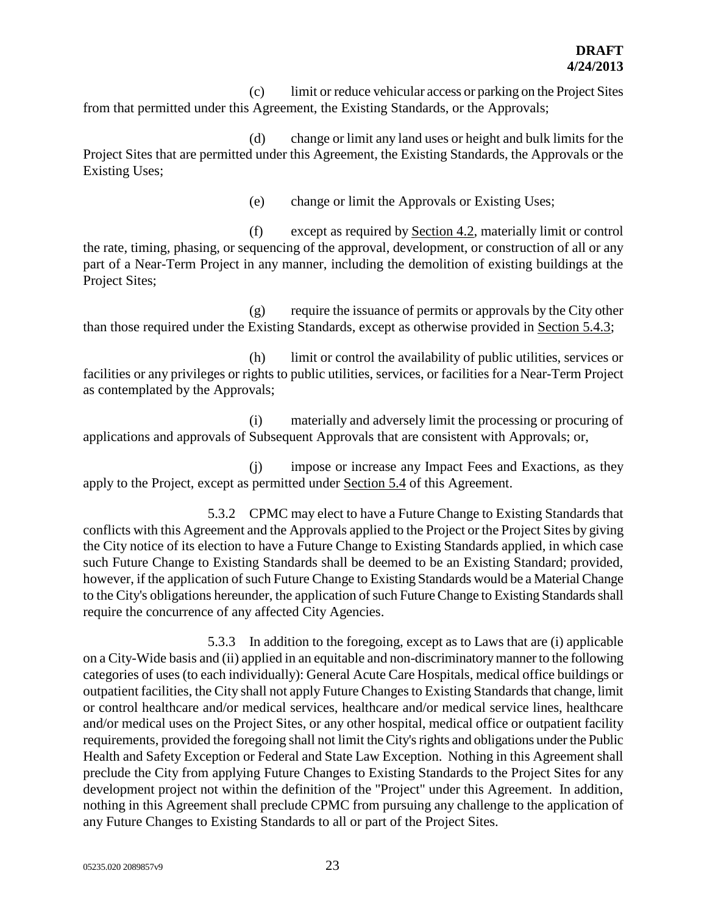(c) limit or reduce vehicular access or parking on the Project Sites from that permitted under this Agreement, the Existing Standards, or the Approvals;

(d) change or limit any land uses or height and bulk limits for the Project Sites that are permitted under this Agreement, the Existing Standards, the Approvals or the Existing Uses;

(e) change or limit the Approvals or Existing Uses;

(f) except as required by Section 4.2, materially limit or control the rate, timing, phasing, or sequencing of the approval, development, or construction of all or any part of a Near-Term Project in any manner, including the demolition of existing buildings at the Project Sites;

(g) require the issuance of permits or approvals by the City other than those required under the Existing Standards, except as otherwise provided in Section 5.4.3;

(h) limit or control the availability of public utilities, services or facilities or any privileges or rights to public utilities, services, or facilities for a Near-Term Project as contemplated by the Approvals;

(i) materially and adversely limit the processing or procuring of applications and approvals of Subsequent Approvals that are consistent with Approvals; or,

(j) impose or increase any Impact Fees and Exactions, as they apply to the Project, except as permitted under Section 5.4 of this Agreement.

5.3.2 CPMC may elect to have a Future Change to Existing Standards that conflicts with this Agreement and the Approvals applied to the Project or the Project Sites by giving the City notice of its election to have a Future Change to Existing Standards applied, in which case such Future Change to Existing Standards shall be deemed to be an Existing Standard; provided, however, if the application of such Future Change to Existing Standards would be a Material Change to the City's obligations hereunder, the application of such Future Change to Existing Standards shall require the concurrence of any affected City Agencies.

5.3.3 In addition to the foregoing, except as to Laws that are (i) applicable on a City-Wide basis and (ii) applied in an equitable and non-discriminatory manner to the following categories of uses (to each individually): General Acute Care Hospitals, medical office buildings or outpatient facilities, the City shall not apply Future Changes to Existing Standards that change, limit or control healthcare and/or medical services, healthcare and/or medical service lines, healthcare and/or medical uses on the Project Sites, or any other hospital, medical office or outpatient facility requirements, provided the foregoing shall not limit the City's rights and obligations under the Public Health and Safety Exception or Federal and State Law Exception. Nothing in this Agreement shall preclude the City from applying Future Changes to Existing Standards to the Project Sites for any development project not within the definition of the "Project" under this Agreement. In addition, nothing in this Agreement shall preclude CPMC from pursuing any challenge to the application of any Future Changes to Existing Standards to all or part of the Project Sites.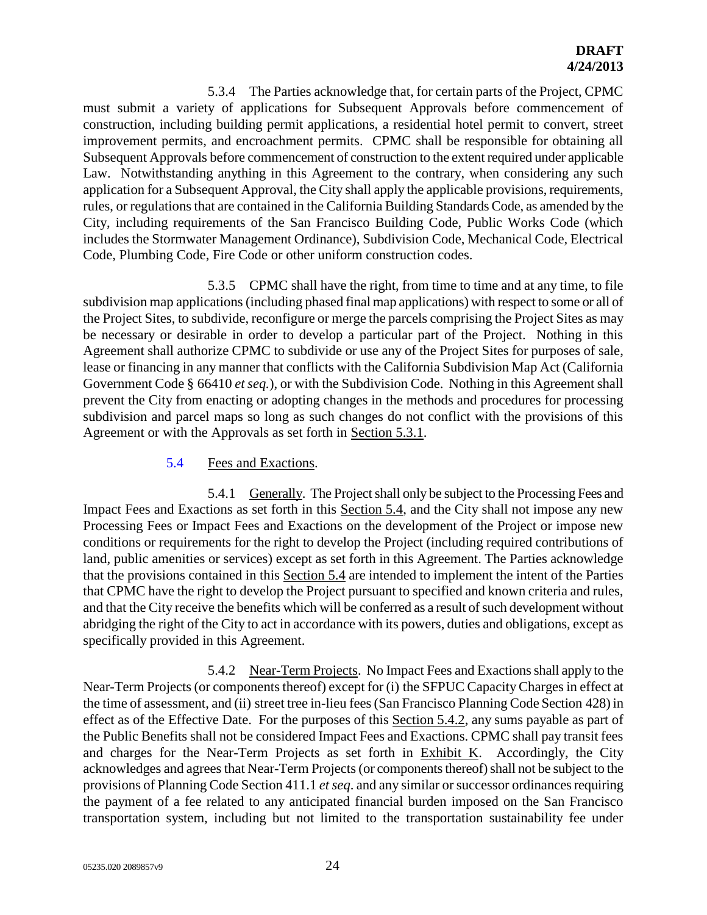5.3.4 The Parties acknowledge that, for certain parts of the Project, CPMC must submit a variety of applications for Subsequent Approvals before commencement of construction, including building permit applications, a residential hotel permit to convert, street improvement permits, and encroachment permits. CPMC shall be responsible for obtaining all Subsequent Approvals before commencement of construction to the extent required under applicable Law. Notwithstanding anything in this Agreement to the contrary, when considering any such application for a Subsequent Approval, the City shall apply the applicable provisions, requirements, rules, or regulations that are contained in the California Building Standards Code, as amended by the City, including requirements of the San Francisco Building Code, Public Works Code (which includes the Stormwater Management Ordinance), Subdivision Code, Mechanical Code, Electrical Code, Plumbing Code, Fire Code or other uniform construction codes.

5.3.5 CPMC shall have the right, from time to time and at any time, to file subdivision map applications (including phased final map applications) with respect to some or all of the Project Sites, to subdivide, reconfigure or merge the parcels comprising the Project Sites as may be necessary or desirable in order to develop a particular part of the Project. Nothing in this Agreement shall authorize CPMC to subdivide or use any of the Project Sites for purposes of sale, lease or financing in any manner that conflicts with the California Subdivision Map Act (California Government Code § 66410 *et seq.*), or with the Subdivision Code. Nothing in this Agreement shall prevent the City from enacting or adopting changes in the methods and procedures for processing subdivision and parcel maps so long as such changes do not conflict with the provisions of this Agreement or with the Approvals as set forth in Section 5.3.1.

#### 5.4 Fees and Exactions.

5.4.1 Generally. The Project shall only be subject to the Processing Fees and Impact Fees and Exactions as set forth in this Section 5.4, and the City shall not impose any new Processing Fees or Impact Fees and Exactions on the development of the Project or impose new conditions or requirements for the right to develop the Project (including required contributions of land, public amenities or services) except as set forth in this Agreement. The Parties acknowledge that the provisions contained in this Section 5.4 are intended to implement the intent of the Parties that CPMC have the right to develop the Project pursuant to specified and known criteria and rules, and that the City receive the benefits which will be conferred as a result of such development without abridging the right of the City to act in accordance with its powers, duties and obligations, except as specifically provided in this Agreement.

5.4.2 Near-Term Projects. No Impact Fees and Exactions shall apply to the Near-Term Projects (or components thereof) except for (i) the SFPUC Capacity Charges in effect at the time of assessment, and (ii) street tree in-lieu fees (San Francisco Planning Code Section 428) in effect as of the Effective Date. For the purposes of this Section 5.4.2, any sums payable as part of the Public Benefits shall not be considered Impact Fees and Exactions. CPMC shall pay transit fees and charges for the Near-Term Projects as set forth in Exhibit K. Accordingly, the City acknowledges and agrees that Near-Term Projects (or components thereof) shall not be subject to the provisions of Planning Code Section 411.1 *et seq*. and any similar or successor ordinances requiring the payment of a fee related to any anticipated financial burden imposed on the San Francisco transportation system, including but not limited to the transportation sustainability fee under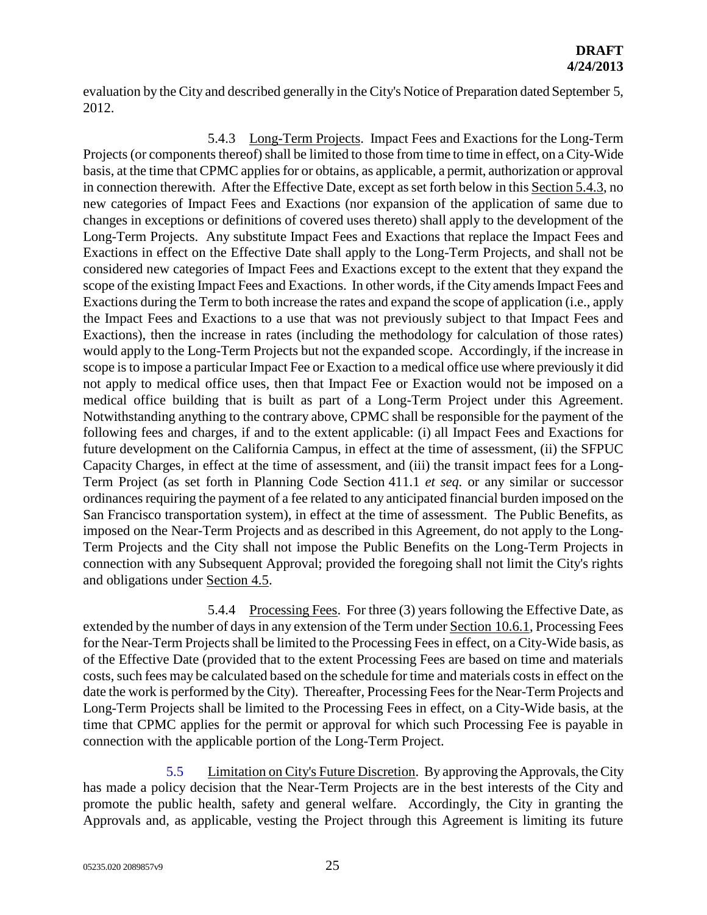evaluation by the City and described generally in the City's Notice of Preparation dated September 5, 2012.

5.4.3 Long-Term Projects. Impact Fees and Exactions for the Long-Term Projects (or components thereof) shall be limited to those from time to time in effect, on a City-Wide basis, at the time that CPMC applies for or obtains, as applicable, a permit, authorization or approval in connection therewith. After the Effective Date, except as set forth below in this Section 5.4.3, no new categories of Impact Fees and Exactions (nor expansion of the application of same due to changes in exceptions or definitions of covered uses thereto) shall apply to the development of the Long-Term Projects. Any substitute Impact Fees and Exactions that replace the Impact Fees and Exactions in effect on the Effective Date shall apply to the Long-Term Projects, and shall not be considered new categories of Impact Fees and Exactions except to the extent that they expand the scope of the existing Impact Fees and Exactions. In other words, if the City amends Impact Fees and Exactions during the Term to both increase the rates and expand the scope of application (i.e., apply the Impact Fees and Exactions to a use that was not previously subject to that Impact Fees and Exactions), then the increase in rates (including the methodology for calculation of those rates) would apply to the Long-Term Projects but not the expanded scope. Accordingly, if the increase in scope is to impose a particular Impact Fee or Exaction to a medical office use where previously it did not apply to medical office uses, then that Impact Fee or Exaction would not be imposed on a medical office building that is built as part of a Long-Term Project under this Agreement. Notwithstanding anything to the contrary above, CPMC shall be responsible for the payment of the following fees and charges, if and to the extent applicable: (i) all Impact Fees and Exactions for future development on the California Campus, in effect at the time of assessment, (ii) the SFPUC Capacity Charges, in effect at the time of assessment, and (iii) the transit impact fees for a Long-Term Project (as set forth in Planning Code Section 411.1 *et seq.* or any similar or successor ordinances requiring the payment of a fee related to any anticipated financial burden imposed on the San Francisco transportation system), in effect at the time of assessment. The Public Benefits, as imposed on the Near-Term Projects and as described in this Agreement, do not apply to the Long-Term Projects and the City shall not impose the Public Benefits on the Long-Term Projects in connection with any Subsequent Approval; provided the foregoing shall not limit the City's rights and obligations under Section 4.5.

5.4.4 Processing Fees. For three (3) years following the Effective Date, as extended by the number of days in any extension of the Term under Section 10.6.1, Processing Fees for the Near-Term Projects shall be limited to the Processing Fees in effect, on a City-Wide basis, as of the Effective Date (provided that to the extent Processing Fees are based on time and materials costs, such fees may be calculated based on the schedule for time and materials costs in effect on the date the work is performed by the City). Thereafter, Processing Fees for the Near-Term Projects and Long-Term Projects shall be limited to the Processing Fees in effect, on a City-Wide basis, at the time that CPMC applies for the permit or approval for which such Processing Fee is payable in connection with the applicable portion of the Long-Term Project.

5.5 Limitation on City's Future Discretion. By approving the Approvals, the City has made a policy decision that the Near-Term Projects are in the best interests of the City and promote the public health, safety and general welfare. Accordingly, the City in granting the Approvals and, as applicable, vesting the Project through this Agreement is limiting its future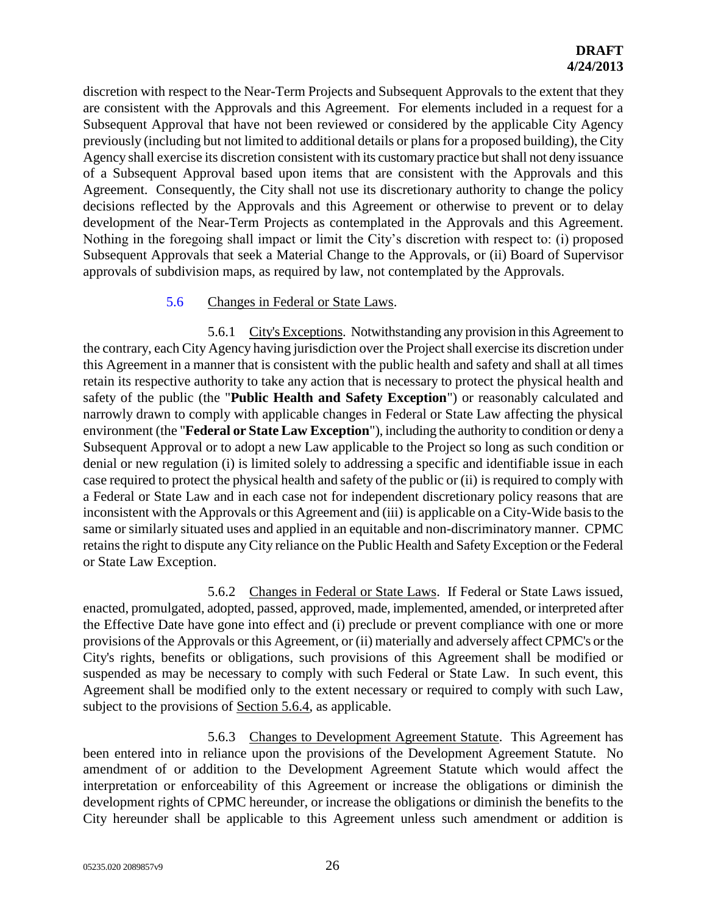discretion with respect to the Near-Term Projects and Subsequent Approvals to the extent that they are consistent with the Approvals and this Agreement. For elements included in a request for a Subsequent Approval that have not been reviewed or considered by the applicable City Agency previously (including but not limited to additional details or plans for a proposed building), the City Agency shall exercise its discretion consistent with its customary practice but shall not deny issuance of a Subsequent Approval based upon items that are consistent with the Approvals and this Agreement. Consequently, the City shall not use its discretionary authority to change the policy decisions reflected by the Approvals and this Agreement or otherwise to prevent or to delay development of the Near-Term Projects as contemplated in the Approvals and this Agreement. Nothing in the foregoing shall impact or limit the City's discretion with respect to: (i) proposed Subsequent Approvals that seek a Material Change to the Approvals, or (ii) Board of Supervisor approvals of subdivision maps, as required by law, not contemplated by the Approvals.

#### 5.6 Changes in Federal or State Laws.

5.6.1 City's Exceptions. Notwithstanding any provision in this Agreement to the contrary, each City Agency having jurisdiction over the Project shall exercise its discretion under this Agreement in a manner that is consistent with the public health and safety and shall at all times retain its respective authority to take any action that is necessary to protect the physical health and safety of the public (the "**Public Health and Safety Exception**") or reasonably calculated and narrowly drawn to comply with applicable changes in Federal or State Law affecting the physical environment (the "**Federal or State Law Exception**"), including the authority to condition or deny a Subsequent Approval or to adopt a new Law applicable to the Project so long as such condition or denial or new regulation (i) is limited solely to addressing a specific and identifiable issue in each case required to protect the physical health and safety of the public or (ii) is required to comply with a Federal or State Law and in each case not for independent discretionary policy reasons that are inconsistent with the Approvals or this Agreement and (iii) is applicable on a City-Wide basis to the same or similarly situated uses and applied in an equitable and non-discriminatory manner. CPMC retains the right to dispute any City reliance on the Public Health and Safety Exception or the Federal or State Law Exception.

5.6.2 Changes in Federal or State Laws. If Federal or State Laws issued, enacted, promulgated, adopted, passed, approved, made, implemented, amended, or interpreted after the Effective Date have gone into effect and (i) preclude or prevent compliance with one or more provisions of the Approvals or this Agreement, or (ii) materially and adversely affect CPMC's or the City's rights, benefits or obligations, such provisions of this Agreement shall be modified or suspended as may be necessary to comply with such Federal or State Law. In such event, this Agreement shall be modified only to the extent necessary or required to comply with such Law, subject to the provisions of Section 5.6.4, as applicable.

5.6.3 Changes to Development Agreement Statute. This Agreement has been entered into in reliance upon the provisions of the Development Agreement Statute. No amendment of or addition to the Development Agreement Statute which would affect the interpretation or enforceability of this Agreement or increase the obligations or diminish the development rights of CPMC hereunder, or increase the obligations or diminish the benefits to the City hereunder shall be applicable to this Agreement unless such amendment or addition is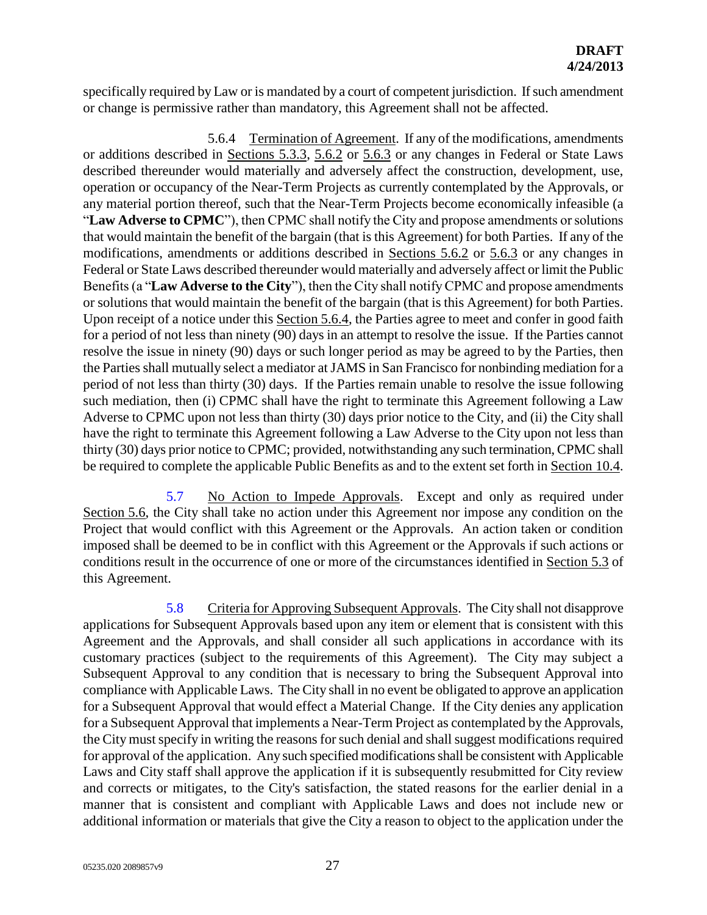specifically required by Law or is mandated by a court of competent jurisdiction. If such amendment or change is permissive rather than mandatory, this Agreement shall not be affected.

5.6.4 Termination of Agreement. If any of the modifications, amendments or additions described in Sections 5.3.3, 5.6.2 or 5.6.3 or any changes in Federal or State Laws described thereunder would materially and adversely affect the construction, development, use, operation or occupancy of the Near-Term Projects as currently contemplated by the Approvals, or any material portion thereof, such that the Near-Term Projects become economically infeasible (a "**Law Adverse to CPMC**"), then CPMC shall notify the City and propose amendments or solutions that would maintain the benefit of the bargain (that is this Agreement) for both Parties. If any of the modifications, amendments or additions described in Sections 5.6.2 or 5.6.3 or any changes in Federal or State Laws described thereunder would materially and adversely affect or limit the Public Benefits (a "**Law Adverse to the City**"), then the City shall notify CPMC and propose amendments or solutions that would maintain the benefit of the bargain (that is this Agreement) for both Parties. Upon receipt of a notice under this Section 5.6.4, the Parties agree to meet and confer in good faith for a period of not less than ninety (90) days in an attempt to resolve the issue. If the Parties cannot resolve the issue in ninety (90) days or such longer period as may be agreed to by the Parties, then the Parties shall mutually select a mediator at JAMS in San Francisco for nonbinding mediation for a period of not less than thirty (30) days. If the Parties remain unable to resolve the issue following such mediation, then (i) CPMC shall have the right to terminate this Agreement following a Law Adverse to CPMC upon not less than thirty (30) days prior notice to the City, and (ii) the City shall have the right to terminate this Agreement following a Law Adverse to the City upon not less than thirty (30) days prior notice to CPMC; provided, notwithstanding any such termination, CPMC shall be required to complete the applicable Public Benefits as and to the extent set forth in Section 10.4.

5.7 No Action to Impede Approvals. Except and only as required under Section 5.6, the City shall take no action under this Agreement nor impose any condition on the Project that would conflict with this Agreement or the Approvals. An action taken or condition imposed shall be deemed to be in conflict with this Agreement or the Approvals if such actions or conditions result in the occurrence of one or more of the circumstances identified in Section 5.3 of this Agreement.

5.8 Criteria for Approving Subsequent Approvals. The City shall not disapprove applications for Subsequent Approvals based upon any item or element that is consistent with this Agreement and the Approvals, and shall consider all such applications in accordance with its customary practices (subject to the requirements of this Agreement). The City may subject a Subsequent Approval to any condition that is necessary to bring the Subsequent Approval into compliance with Applicable Laws. The City shall in no event be obligated to approve an application for a Subsequent Approval that would effect a Material Change. If the City denies any application for a Subsequent Approval that implements a Near-Term Project as contemplated by the Approvals, the City must specify in writing the reasons for such denial and shall suggest modifications required for approval of the application. Any such specified modifications shall be consistent with Applicable Laws and City staff shall approve the application if it is subsequently resubmitted for City review and corrects or mitigates, to the City's satisfaction, the stated reasons for the earlier denial in a manner that is consistent and compliant with Applicable Laws and does not include new or additional information or materials that give the City a reason to object to the application under the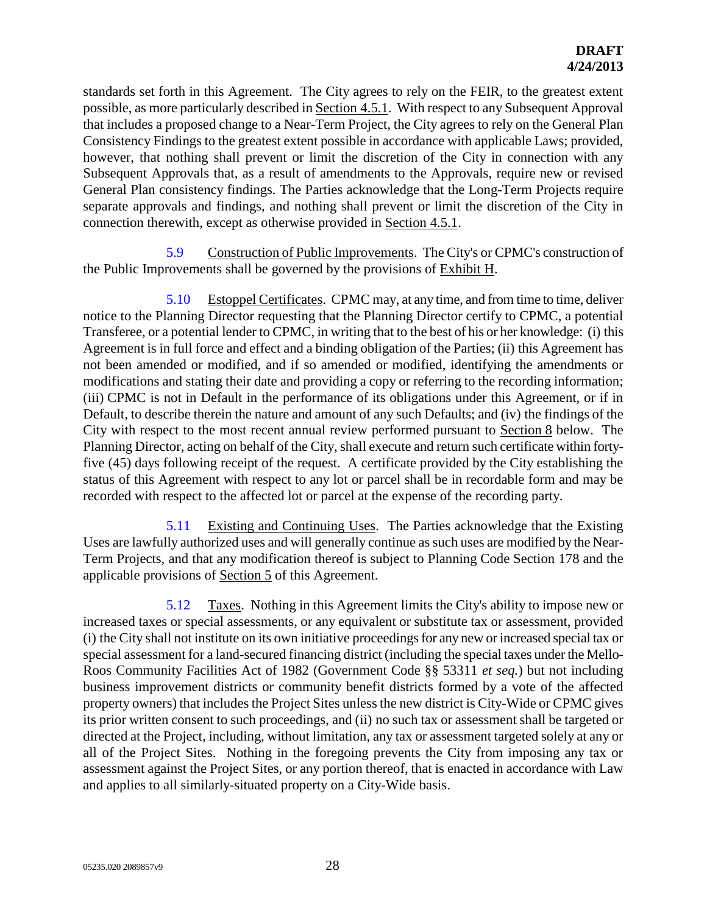standards set forth in this Agreement. The City agrees to rely on the FEIR, to the greatest extent possible, as more particularly described in Section 4.5.1. With respect to any Subsequent Approval that includes a proposed change to a Near-Term Project, the City agrees to rely on the General Plan Consistency Findings to the greatest extent possible in accordance with applicable Laws; provided, however, that nothing shall prevent or limit the discretion of the City in connection with any Subsequent Approvals that, as a result of amendments to the Approvals, require new or revised General Plan consistency findings. The Parties acknowledge that the Long-Term Projects require separate approvals and findings, and nothing shall prevent or limit the discretion of the City in connection therewith, except as otherwise provided in Section 4.5.1.

5.9 Construction of Public Improvements. The City's or CPMC's construction of the Public Improvements shall be governed by the provisions of Exhibit H.

5.10 Estoppel Certificates. CPMC may, at any time, and from time to time, deliver notice to the Planning Director requesting that the Planning Director certify to CPMC, a potential Transferee, or a potential lender to CPMC, in writing that to the best of his or her knowledge: (i) this Agreement is in full force and effect and a binding obligation of the Parties; (ii) this Agreement has not been amended or modified, and if so amended or modified, identifying the amendments or modifications and stating their date and providing a copy or referring to the recording information; (iii) CPMC is not in Default in the performance of its obligations under this Agreement, or if in Default, to describe therein the nature and amount of any such Defaults; and (iv) the findings of the City with respect to the most recent annual review performed pursuant to Section 8 below. The Planning Director, acting on behalf of the City, shall execute and return such certificate within fortyfive (45) days following receipt of the request. A certificate provided by the City establishing the status of this Agreement with respect to any lot or parcel shall be in recordable form and may be recorded with respect to the affected lot or parcel at the expense of the recording party.

5.11 Existing and Continuing Uses. The Parties acknowledge that the Existing Uses are lawfully authorized uses and will generally continue as such uses are modified by the Near-Term Projects, and that any modification thereof is subject to Planning Code Section 178 and the applicable provisions of Section 5 of this Agreement.

5.12 Taxes. Nothing in this Agreement limits the City's ability to impose new or increased taxes or special assessments, or any equivalent or substitute tax or assessment, provided (i) the City shall not institute on its own initiative proceedings for any new or increased special tax or special assessment for a land-secured financing district (including the special taxes under the Mello-Roos Community Facilities Act of 1982 (Government Code §§ 53311 *et seq.*) but not including business improvement districts or community benefit districts formed by a vote of the affected property owners) that includes the Project Sites unless the new district is City-Wide or CPMC gives its prior written consent to such proceedings, and (ii) no such tax or assessment shall be targeted or directed at the Project, including, without limitation, any tax or assessment targeted solely at any or all of the Project Sites. Nothing in the foregoing prevents the City from imposing any tax or assessment against the Project Sites, or any portion thereof, that is enacted in accordance with Law and applies to all similarly-situated property on a City-Wide basis.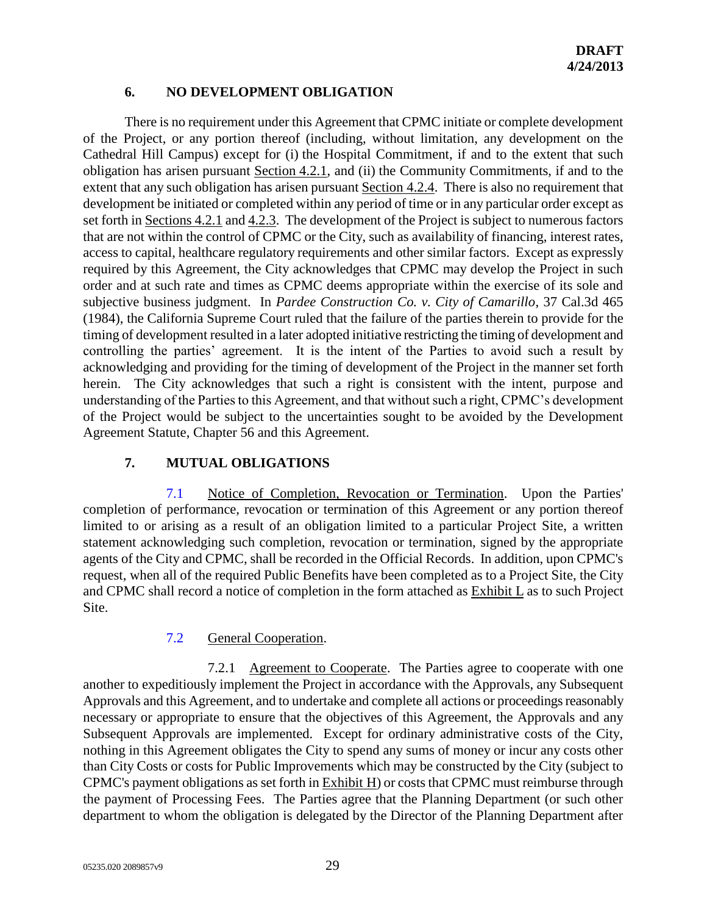## **6. NO DEVELOPMENT OBLIGATION**

There is no requirement under this Agreement that CPMC initiate or complete development of the Project, or any portion thereof (including, without limitation, any development on the Cathedral Hill Campus) except for (i) the Hospital Commitment, if and to the extent that such obligation has arisen pursuant Section 4.2.1, and (ii) the Community Commitments, if and to the extent that any such obligation has arisen pursuant Section 4.2.4. There is also no requirement that development be initiated or completed within any period of time or in any particular order except as set forth in Sections 4.2.1 and 4.2.3. The development of the Project is subject to numerous factors that are not within the control of CPMC or the City, such as availability of financing, interest rates, access to capital, healthcare regulatory requirements and other similar factors. Except as expressly required by this Agreement, the City acknowledges that CPMC may develop the Project in such order and at such rate and times as CPMC deems appropriate within the exercise of its sole and subjective business judgment. In *Pardee Construction Co. v. City of Camarillo*, 37 Cal.3d 465 (1984), the California Supreme Court ruled that the failure of the parties therein to provide for the timing of development resulted in a later adopted initiative restricting the timing of development and controlling the parties' agreement. It is the intent of the Parties to avoid such a result by acknowledging and providing for the timing of development of the Project in the manner set forth herein. The City acknowledges that such a right is consistent with the intent, purpose and understanding of the Parties to this Agreement, and that without such a right, CPMC's development of the Project would be subject to the uncertainties sought to be avoided by the Development Agreement Statute, Chapter 56 and this Agreement.

# **7. MUTUAL OBLIGATIONS**

7.1 Notice of Completion, Revocation or Termination. Upon the Parties' completion of performance, revocation or termination of this Agreement or any portion thereof limited to or arising as a result of an obligation limited to a particular Project Site, a written statement acknowledging such completion, revocation or termination, signed by the appropriate agents of the City and CPMC, shall be recorded in the Official Records. In addition, upon CPMC's request, when all of the required Public Benefits have been completed as to a Project Site, the City and CPMC shall record a notice of completion in the form attached as Exhibit L as to such Project Site.

# 7.2 General Cooperation.

7.2.1 Agreement to Cooperate. The Parties agree to cooperate with one another to expeditiously implement the Project in accordance with the Approvals, any Subsequent Approvals and this Agreement, and to undertake and complete all actions or proceedings reasonably necessary or appropriate to ensure that the objectives of this Agreement, the Approvals and any Subsequent Approvals are implemented. Except for ordinary administrative costs of the City, nothing in this Agreement obligates the City to spend any sums of money or incur any costs other than City Costs or costs for Public Improvements which may be constructed by the City (subject to CPMC's payment obligations as set forth in Exhibit H) or costs that CPMC must reimburse through the payment of Processing Fees. The Parties agree that the Planning Department (or such other department to whom the obligation is delegated by the Director of the Planning Department after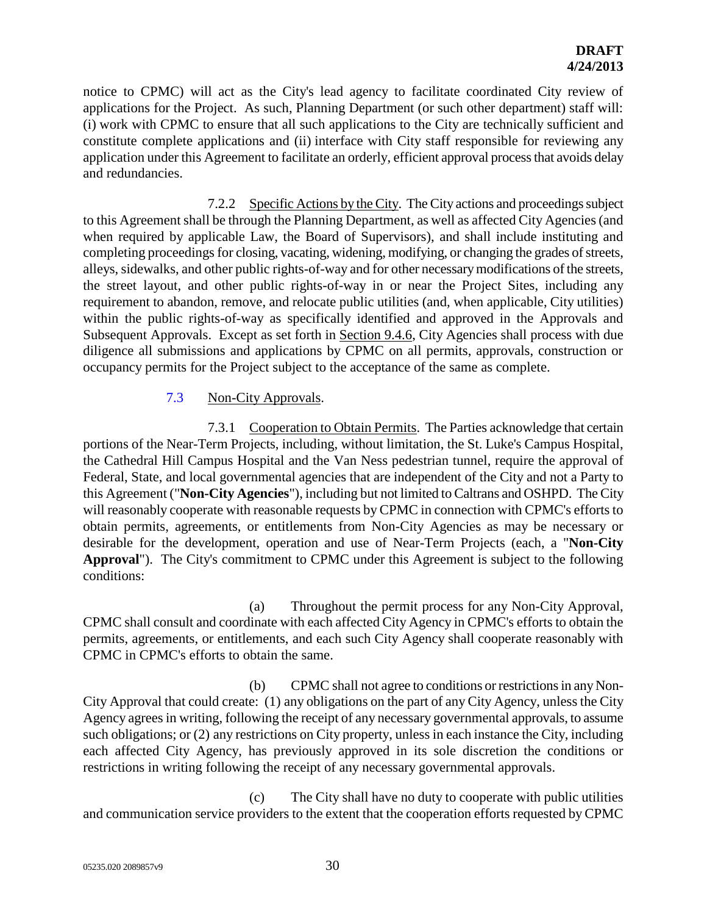notice to CPMC) will act as the City's lead agency to facilitate coordinated City review of applications for the Project. As such, Planning Department (or such other department) staff will: (i) work with CPMC to ensure that all such applications to the City are technically sufficient and constitute complete applications and (ii) interface with City staff responsible for reviewing any application under this Agreement to facilitate an orderly, efficient approval process that avoids delay and redundancies.

7.2.2 Specific Actions by the City. The City actions and proceedings subject to this Agreement shall be through the Planning Department, as well as affected City Agencies (and when required by applicable Law, the Board of Supervisors), and shall include instituting and completing proceedings for closing, vacating, widening, modifying, or changing the grades of streets, alleys, sidewalks, and other public rights-of-way and for other necessary modifications of the streets, the street layout, and other public rights-of-way in or near the Project Sites, including any requirement to abandon, remove, and relocate public utilities (and, when applicable, City utilities) within the public rights-of-way as specifically identified and approved in the Approvals and Subsequent Approvals. Except as set forth in Section 9.4.6, City Agencies shall process with due diligence all submissions and applications by CPMC on all permits, approvals, construction or occupancy permits for the Project subject to the acceptance of the same as complete.

## 7.3 Non-City Approvals.

7.3.1 Cooperation to Obtain Permits. The Parties acknowledge that certain portions of the Near-Term Projects, including, without limitation, the St. Luke's Campus Hospital, the Cathedral Hill Campus Hospital and the Van Ness pedestrian tunnel, require the approval of Federal, State, and local governmental agencies that are independent of the City and not a Party to this Agreement ("**Non-City Agencies**"), including but not limited to Caltrans and OSHPD. The City will reasonably cooperate with reasonable requests by CPMC in connection with CPMC's efforts to obtain permits, agreements, or entitlements from Non-City Agencies as may be necessary or desirable for the development, operation and use of Near-Term Projects (each, a "**Non-City Approval**"). The City's commitment to CPMC under this Agreement is subject to the following conditions:

(a) Throughout the permit process for any Non-City Approval, CPMC shall consult and coordinate with each affected City Agency in CPMC's efforts to obtain the permits, agreements, or entitlements, and each such City Agency shall cooperate reasonably with CPMC in CPMC's efforts to obtain the same.

(b) CPMC shall not agree to conditions or restrictions in any Non-City Approval that could create: (1) any obligations on the part of any City Agency, unless the City Agency agrees in writing, following the receipt of any necessary governmental approvals, to assume such obligations; or (2) any restrictions on City property, unless in each instance the City, including each affected City Agency, has previously approved in its sole discretion the conditions or restrictions in writing following the receipt of any necessary governmental approvals.

(c) The City shall have no duty to cooperate with public utilities and communication service providers to the extent that the cooperation efforts requested by CPMC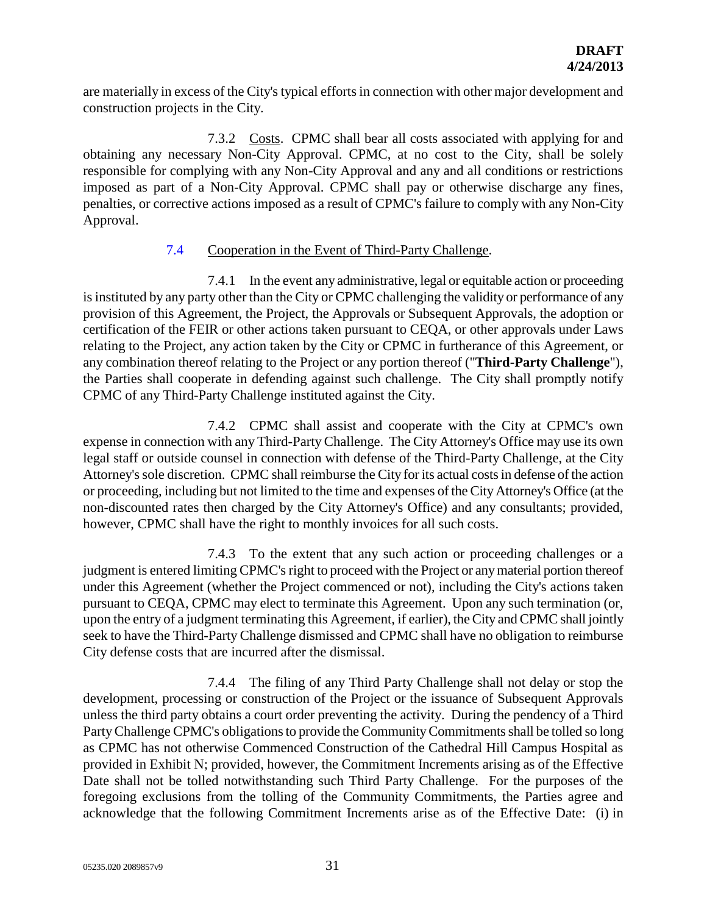are materially in excess of the City's typical efforts in connection with other major development and construction projects in the City.

7.3.2 Costs. CPMC shall bear all costs associated with applying for and obtaining any necessary Non-City Approval. CPMC, at no cost to the City, shall be solely responsible for complying with any Non-City Approval and any and all conditions or restrictions imposed as part of a Non-City Approval. CPMC shall pay or otherwise discharge any fines, penalties, or corrective actions imposed as a result of CPMC's failure to comply with any Non-City Approval.

## 7.4 Cooperation in the Event of Third-Party Challenge.

7.4.1 In the event any administrative, legal or equitable action or proceeding is instituted by any party other than the City or CPMC challenging the validity or performance of any provision of this Agreement, the Project, the Approvals or Subsequent Approvals, the adoption or certification of the FEIR or other actions taken pursuant to CEQA, or other approvals under Laws relating to the Project, any action taken by the City or CPMC in furtherance of this Agreement, or any combination thereof relating to the Project or any portion thereof ("**Third-Party Challenge**"), the Parties shall cooperate in defending against such challenge. The City shall promptly notify CPMC of any Third-Party Challenge instituted against the City.

7.4.2 CPMC shall assist and cooperate with the City at CPMC's own expense in connection with any Third-Party Challenge. The City Attorney's Office may use its own legal staff or outside counsel in connection with defense of the Third-Party Challenge, at the City Attorney's sole discretion. CPMC shall reimburse the City for its actual costs in defense of the action or proceeding, including but not limited to the time and expenses of the City Attorney's Office (at the non-discounted rates then charged by the City Attorney's Office) and any consultants; provided, however, CPMC shall have the right to monthly invoices for all such costs.

7.4.3 To the extent that any such action or proceeding challenges or a judgment is entered limiting CPMC's right to proceed with the Project or any material portion thereof under this Agreement (whether the Project commenced or not), including the City's actions taken pursuant to CEQA, CPMC may elect to terminate this Agreement. Upon any such termination (or, upon the entry of a judgment terminating this Agreement, if earlier), the City and CPMC shall jointly seek to have the Third-Party Challenge dismissed and CPMC shall have no obligation to reimburse City defense costs that are incurred after the dismissal.

7.4.4 The filing of any Third Party Challenge shall not delay or stop the development, processing or construction of the Project or the issuance of Subsequent Approvals unless the third party obtains a court order preventing the activity. During the pendency of a Third Party Challenge CPMC's obligations to provide the Community Commitments shall be tolled so long as CPMC has not otherwise Commenced Construction of the Cathedral Hill Campus Hospital as provided in Exhibit N; provided, however, the Commitment Increments arising as of the Effective Date shall not be tolled notwithstanding such Third Party Challenge. For the purposes of the foregoing exclusions from the tolling of the Community Commitments, the Parties agree and acknowledge that the following Commitment Increments arise as of the Effective Date: (i) in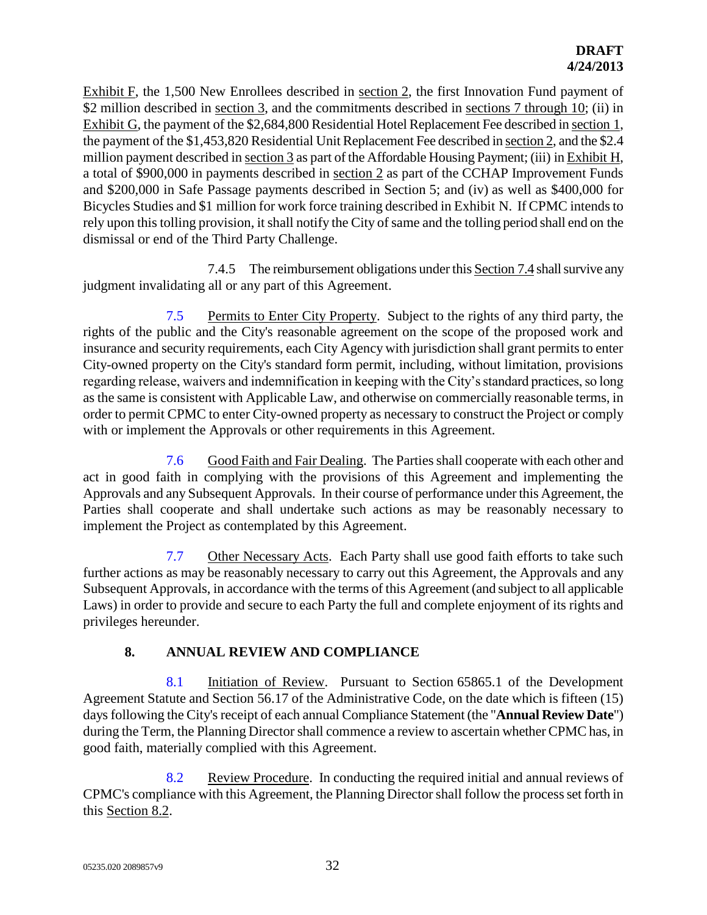Exhibit F, the 1,500 New Enrollees described in <u>section 2</u>, the first Innovation Fund payment of \$2 million described in <u>section 3</u>, and the commitments described in <u>sections 7 through 10</u>; (ii) in Exhibit G, the payment of the \$2,684,800 Residential Hotel Replacement Fee described in section 1, the payment of the \$1,453,820 Residential Unit Replacement Fee described in section 2, and the \$2.4 million payment described in section 3 as part of the Affordable Housing Payment; (iii) in Exhibit H, a total of \$900,000 in payments described in section 2 as part of the CCHAP Improvement Funds and \$200,000 in Safe Passage payments described in Section 5; and (iv) as well as \$400,000 for Bicycles Studies and \$1 million for work force training described in Exhibit N.If CPMC intends to rely upon this tolling provision, it shall notify the City of same and the tolling period shall end on the dismissal or end of the Third Party Challenge.

7.4.5 The reimbursement obligations under this Section 7.4 shall survive any judgment invalidating all or any part of this Agreement.

7.5 Permits to Enter City Property. Subject to the rights of any third party, the rights of the public and the City's reasonable agreement on the scope of the proposed work and insurance and security requirements, each City Agency with jurisdiction shall grant permits to enter City-owned property on the City's standard form permit, including, without limitation, provisions regarding release, waivers and indemnification in keeping with the City's standard practices, so long as the same is consistent with Applicable Law, and otherwise on commercially reasonable terms, in order to permit CPMC to enter City-owned property as necessary to construct the Project or comply with or implement the Approvals or other requirements in this Agreement.

7.6 Good Faith and Fair Dealing. The Parties shall cooperate with each other and act in good faith in complying with the provisions of this Agreement and implementing the Approvals and any Subsequent Approvals. In their course of performance under this Agreement, the Parties shall cooperate and shall undertake such actions as may be reasonably necessary to implement the Project as contemplated by this Agreement.

7.7 Other Necessary Acts. Each Party shall use good faith efforts to take such further actions as may be reasonably necessary to carry out this Agreement, the Approvals and any Subsequent Approvals, in accordance with the terms of this Agreement (and subject to all applicable Laws) in order to provide and secure to each Party the full and complete enjoyment of its rights and privileges hereunder.

# **8. ANNUAL REVIEW AND COMPLIANCE**

8.1 Initiation of Review. Pursuant to Section 65865.1 of the Development Agreement Statute and Section 56.17 of the Administrative Code, on the date which is fifteen (15) days following the City's receipt of each annual Compliance Statement (the "**Annual Review Date**") during the Term, the Planning Director shall commence a review to ascertain whether CPMC has, in good faith, materially complied with this Agreement.

8.2 Review Procedure. In conducting the required initial and annual reviews of CPMC's compliance with this Agreement, the Planning Director shall follow the process set forth in this Section 8.2.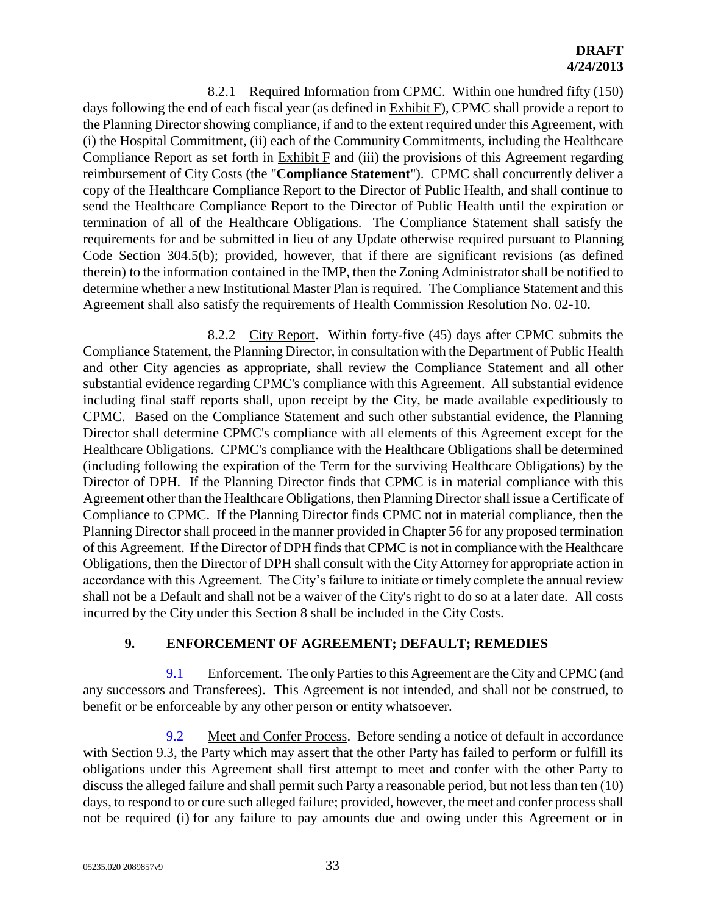8.2.1 Required Information from CPMC. Within one hundred fifty (150) days following the end of each fiscal year (as defined in **Exhibit F**), CPMC shall provide a report to the Planning Director showing compliance, if and to the extent required under this Agreement, with (i) the Hospital Commitment, (ii) each of the Community Commitments, including the Healthcare Compliance Report as set forth in Exhibit F and (iii) the provisions of this Agreement regarding reimbursement of City Costs (the "**Compliance Statement**"). CPMC shall concurrently deliver a copy of the Healthcare Compliance Report to the Director of Public Health, and shall continue to send the Healthcare Compliance Report to the Director of Public Health until the expiration or termination of all of the Healthcare Obligations. The Compliance Statement shall satisfy the requirements for and be submitted in lieu of any Update otherwise required pursuant to Planning Code Section 304.5(b); provided, however, that if there are significant revisions (as defined therein) to the information contained in the IMP, then the Zoning Administrator shall be notified to determine whether a new Institutional Master Plan is required. The Compliance Statement and this Agreement shall also satisfy the requirements of Health Commission Resolution No. 02-10.

8.2.2 City Report. Within forty-five (45) days after CPMC submits the Compliance Statement, the Planning Director, in consultation with the Department of Public Health and other City agencies as appropriate, shall review the Compliance Statement and all other substantial evidence regarding CPMC's compliance with this Agreement. All substantial evidence including final staff reports shall, upon receipt by the City, be made available expeditiously to CPMC. Based on the Compliance Statement and such other substantial evidence, the Planning Director shall determine CPMC's compliance with all elements of this Agreement except for the Healthcare Obligations. CPMC's compliance with the Healthcare Obligations shall be determined (including following the expiration of the Term for the surviving Healthcare Obligations) by the Director of DPH. If the Planning Director finds that CPMC is in material compliance with this Agreement other than the Healthcare Obligations, then Planning Director shall issue a Certificate of Compliance to CPMC. If the Planning Director finds CPMC not in material compliance, then the Planning Director shall proceed in the manner provided in Chapter 56 for any proposed termination of this Agreement. If the Director of DPH finds that CPMC is not in compliance with the Healthcare Obligations, then the Director of DPH shall consult with the City Attorney for appropriate action in accordance with this Agreement. The City's failure to initiate or timely complete the annual review shall not be a Default and shall not be a waiver of the City's right to do so at a later date. All costs incurred by the City under this Section 8 shall be included in the City Costs.

# **9. ENFORCEMENT OF AGREEMENT; DEFAULT; REMEDIES**

9.1 Enforcement. The only Parties to this Agreement are the City and CPMC (and any successors and Transferees). This Agreement is not intended, and shall not be construed, to benefit or be enforceable by any other person or entity whatsoever.

9.2 Meet and Confer Process. Before sending a notice of default in accordance with Section 9.3, the Party which may assert that the other Party has failed to perform or fulfill its obligations under this Agreement shall first attempt to meet and confer with the other Party to discuss the alleged failure and shall permit such Party a reasonable period, but not less than ten (10) days, to respond to or cure such alleged failure; provided, however, the meet and confer process shall not be required (i) for any failure to pay amounts due and owing under this Agreement or in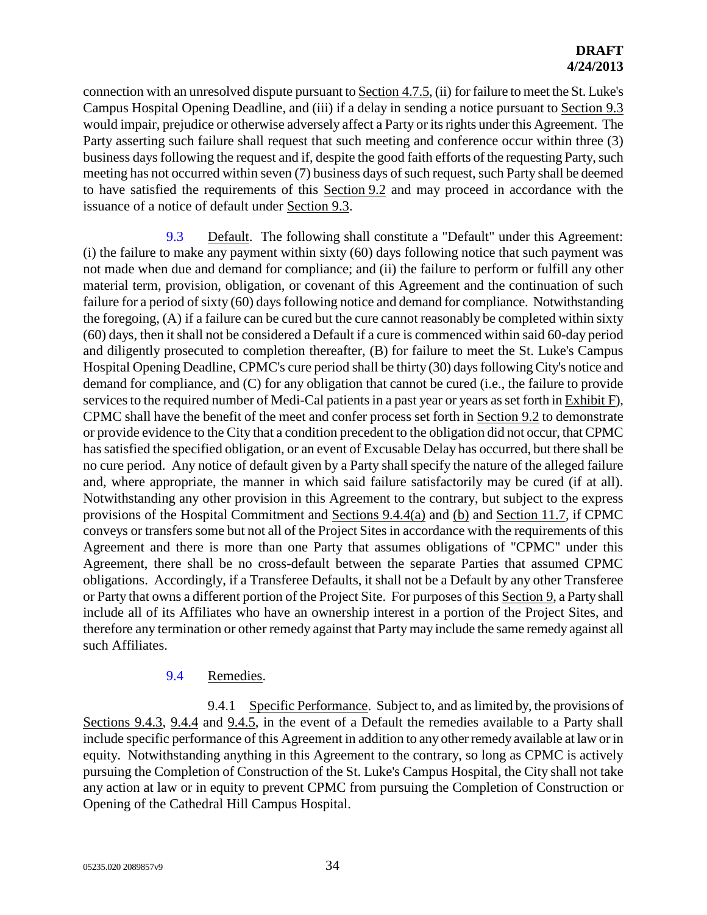connection with an unresolved dispute pursuant to Section 4.7.5, (ii) for failure to meet the St. Luke's Campus Hospital Opening Deadline, and (iii) if a delay in sending a notice pursuant to Section 9.3 would impair, prejudice or otherwise adversely affect a Party or its rights under this Agreement. The Party asserting such failure shall request that such meeting and conference occur within three (3) business days following the request and if, despite the good faith efforts of the requesting Party, such meeting has not occurred within seven (7) business days of such request, such Party shall be deemed to have satisfied the requirements of this Section 9.2 and may proceed in accordance with the issuance of a notice of default under Section 9.3.

9.3 Default. The following shall constitute a "Default" under this Agreement: (i) the failure to make any payment within sixty (60) days following notice that such payment was not made when due and demand for compliance; and (ii) the failure to perform or fulfill any other material term, provision, obligation, or covenant of this Agreement and the continuation of such failure for a period of sixty (60) days following notice and demand for compliance. Notwithstanding the foregoing, (A) if a failure can be cured but the cure cannot reasonably be completed within sixty (60) days, then it shall not be considered a Default if a cure is commenced within said 60-day period and diligently prosecuted to completion thereafter, (B) for failure to meet the St. Luke's Campus Hospital Opening Deadline, CPMC's cure period shall be thirty (30) days following City's notice and demand for compliance, and (C) for any obligation that cannot be cured (i.e., the failure to provide services to the required number of Medi-Cal patients in a past year or years as set forth in Exhibit F), CPMC shall have the benefit of the meet and confer process set forth in Section 9.2 to demonstrate or provide evidence to the City that a condition precedent to the obligation did not occur, that CPMC has satisfied the specified obligation, or an event of Excusable Delay has occurred, but there shall be no cure period. Any notice of default given by a Party shall specify the nature of the alleged failure and, where appropriate, the manner in which said failure satisfactorily may be cured (if at all). Notwithstanding any other provision in this Agreement to the contrary, but subject to the express provisions of the Hospital Commitment and Sections 9.4.4(a) and (b) and Section 11.7, if CPMC conveys or transfers some but not all of the Project Sites in accordance with the requirements of this Agreement and there is more than one Party that assumes obligations of "CPMC" under this Agreement, there shall be no cross-default between the separate Parties that assumed CPMC obligations. Accordingly, if a Transferee Defaults, it shall not be a Default by any other Transferee or Party that owns a different portion of the Project Site. For purposes of this Section 9, a Party shall include all of its Affiliates who have an ownership interest in a portion of the Project Sites, and therefore any termination or other remedy against that Party may include the same remedy against all such Affiliates.

# 9.4 Remedies.

9.4.1 Specific Performance. Subject to, and as limited by, the provisions of Sections 9.4.3, 9.4.4 and 9.4.5, in the event of a Default the remedies available to a Party shall include specific performance of this Agreement in addition to any other remedy available at law or in equity. Notwithstanding anything in this Agreement to the contrary, so long as CPMC is actively pursuing the Completion of Construction of the St. Luke's Campus Hospital, the City shall not take any action at law or in equity to prevent CPMC from pursuing the Completion of Construction or Opening of the Cathedral Hill Campus Hospital.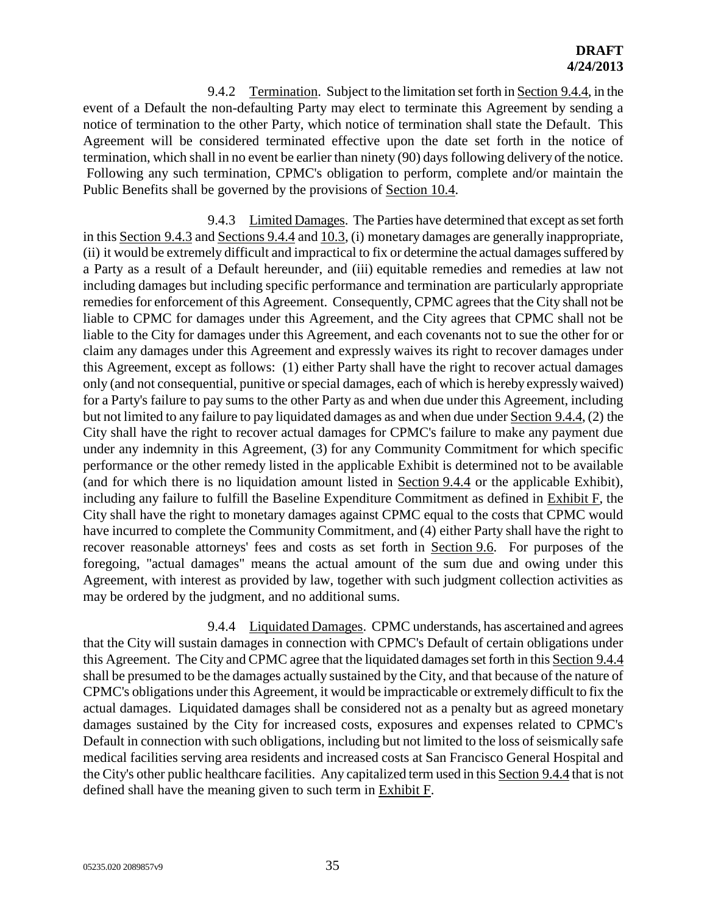9.4.2 Termination. Subject to the limitation set forth in Section 9.4.4, in the event of a Default the non-defaulting Party may elect to terminate this Agreement by sending a notice of termination to the other Party, which notice of termination shall state the Default. This Agreement will be considered terminated effective upon the date set forth in the notice of termination, which shall in no event be earlier than ninety (90) days following delivery of the notice. Following any such termination, CPMC's obligation to perform, complete and/or maintain the Public Benefits shall be governed by the provisions of Section 10.4.

9.4.3 Limited Damages. The Parties have determined that except as set forth in this Section 9.4.3 and Sections 9.4.4 and 10.3, (i) monetary damages are generally inappropriate, (ii) it would be extremely difficult and impractical to fix or determine the actual damages suffered by a Party as a result of a Default hereunder, and (iii) equitable remedies and remedies at law not including damages but including specific performance and termination are particularly appropriate remedies for enforcement of this Agreement. Consequently, CPMC agrees that the City shall not be liable to CPMC for damages under this Agreement, and the City agrees that CPMC shall not be liable to the City for damages under this Agreement, and each covenants not to sue the other for or claim any damages under this Agreement and expressly waives its right to recover damages under this Agreement, except as follows: (1) either Party shall have the right to recover actual damages only (and not consequential, punitive or special damages, each of which is hereby expressly waived) for a Party's failure to pay sums to the other Party as and when due under this Agreement, including but not limited to any failure to pay liquidated damages as and when due under Section 9.4.4, (2) the City shall have the right to recover actual damages for CPMC's failure to make any payment due under any indemnity in this Agreement, (3) for any Community Commitment for which specific performance or the other remedy listed in the applicable Exhibit is determined not to be available (and for which there is no liquidation amount listed in Section 9.4.4 or the applicable Exhibit), including any failure to fulfill the Baseline Expenditure Commitment as defined in Exhibit F, the City shall have the right to monetary damages against CPMC equal to the costs that CPMC would have incurred to complete the Community Commitment, and (4) either Party shall have the right to recover reasonable attorneys' fees and costs as set forth in Section 9.6. For purposes of the foregoing, "actual damages" means the actual amount of the sum due and owing under this Agreement, with interest as provided by law, together with such judgment collection activities as may be ordered by the judgment, and no additional sums.

9.4.4 Liquidated Damages. CPMC understands, has ascertained and agrees that the City will sustain damages in connection with CPMC's Default of certain obligations under this Agreement. The City and CPMC agree that the liquidated damages set forth in this Section 9.4.4 shall be presumed to be the damages actually sustained by the City, and that because of the nature of CPMC's obligations under this Agreement, it would be impracticable or extremely difficult to fix the actual damages. Liquidated damages shall be considered not as a penalty but as agreed monetary damages sustained by the City for increased costs, exposures and expenses related to CPMC's Default in connection with such obligations, including but not limited to the loss of seismically safe medical facilities serving area residents and increased costs at San Francisco General Hospital and the City's other public healthcare facilities. Any capitalized term used in this Section 9.4.4 that is not defined shall have the meaning given to such term in Exhibit F.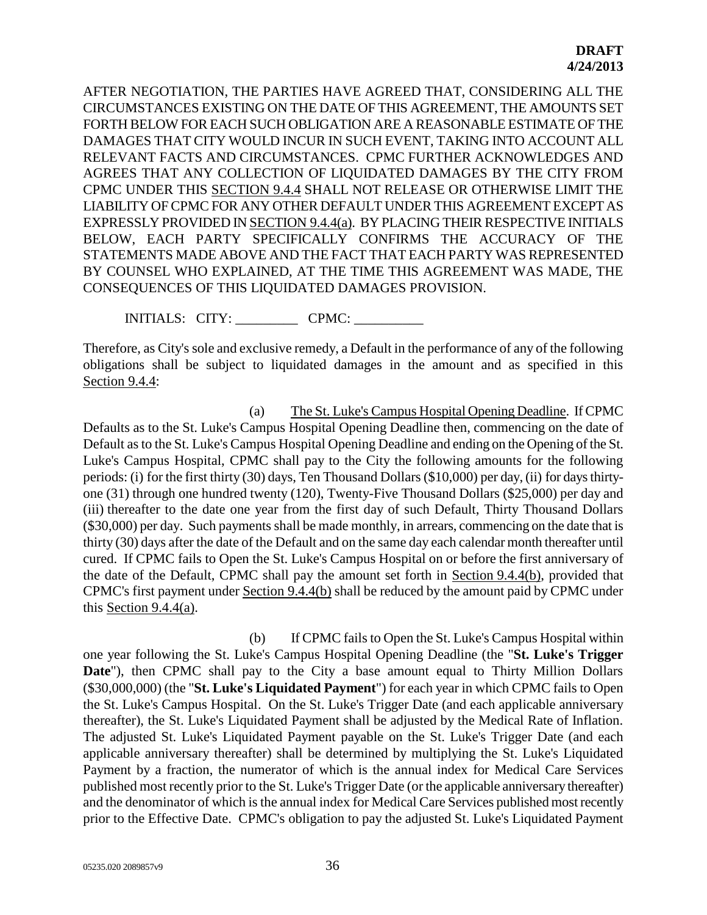AFTER NEGOTIATION, THE PARTIES HAVE AGREED THAT, CONSIDERING ALL THE CIRCUMSTANCES EXISTING ON THE DATE OF THIS AGREEMENT, THE AMOUNTS SET FORTH BELOW FOR EACH SUCH OBLIGATION ARE A REASONABLE ESTIMATE OF THE DAMAGES THAT CITY WOULD INCUR IN SUCH EVENT, TAKING INTO ACCOUNT ALL RELEVANT FACTS AND CIRCUMSTANCES. CPMC FURTHER ACKNOWLEDGES AND AGREES THAT ANY COLLECTION OF LIQUIDATED DAMAGES BY THE CITY FROM CPMC UNDER THIS SECTION 9.4.4 SHALL NOT RELEASE OR OTHERWISE LIMIT THE LIABILITY OF CPMC FOR ANY OTHER DEFAULT UNDER THIS AGREEMENT EXCEPT AS EXPRESSLY PROVIDED IN SECTION 9.4.4(a). BY PLACING THEIR RESPECTIVE INITIALS BELOW, EACH PARTY SPECIFICALLY CONFIRMS THE ACCURACY OF THE STATEMENTS MADE ABOVE AND THE FACT THAT EACH PARTY WAS REPRESENTED BY COUNSEL WHO EXPLAINED, AT THE TIME THIS AGREEMENT WAS MADE, THE CONSEQUENCES OF THIS LIQUIDATED DAMAGES PROVISION.

INITIALS: CITY: CPMC:

Therefore, as City's sole and exclusive remedy, a Default in the performance of any of the following obligations shall be subject to liquidated damages in the amount and as specified in this Section 9.4.4:

(a) The St. Luke's Campus Hospital Opening Deadline. If CPMC Defaults as to the St. Luke's Campus Hospital Opening Deadline then, commencing on the date of Default as to the St. Luke's Campus Hospital Opening Deadline and ending on the Opening of the St. Luke's Campus Hospital, CPMC shall pay to the City the following amounts for the following periods: (i) for the first thirty (30) days, Ten Thousand Dollars (\$10,000) per day, (ii) for days thirtyone (31) through one hundred twenty (120), Twenty-Five Thousand Dollars (\$25,000) per day and (iii) thereafter to the date one year from the first day of such Default, Thirty Thousand Dollars (\$30,000) per day. Such payments shall be made monthly, in arrears, commencing on the date that is thirty (30) days after the date of the Default and on the same day each calendar month thereafter until cured. If CPMC fails to Open the St. Luke's Campus Hospital on or before the first anniversary of the date of the Default, CPMC shall pay the amount set forth in Section 9.4.4(b), provided that CPMC's first payment under Section 9.4.4(b) shall be reduced by the amount paid by CPMC under this Section 9.4.4(a).

(b) If CPMC fails to Open the St. Luke's Campus Hospital within one year following the St. Luke's Campus Hospital Opening Deadline (the "**St. Luke's Trigger Date**"), then CPMC shall pay to the City a base amount equal to Thirty Million Dollars (\$30,000,000) (the "**St. Luke's Liquidated Payment**") for each year in which CPMC fails to Open the St. Luke's Campus Hospital. On the St. Luke's Trigger Date (and each applicable anniversary thereafter), the St. Luke's Liquidated Payment shall be adjusted by the Medical Rate of Inflation. The adjusted St. Luke's Liquidated Payment payable on the St. Luke's Trigger Date (and each applicable anniversary thereafter) shall be determined by multiplying the St. Luke's Liquidated Payment by a fraction, the numerator of which is the annual index for Medical Care Services published most recently prior to the St. Luke's Trigger Date (or the applicable anniversary thereafter) and the denominator of which is the annual index for Medical Care Services published most recently prior to the Effective Date. CPMC's obligation to pay the adjusted St. Luke's Liquidated Payment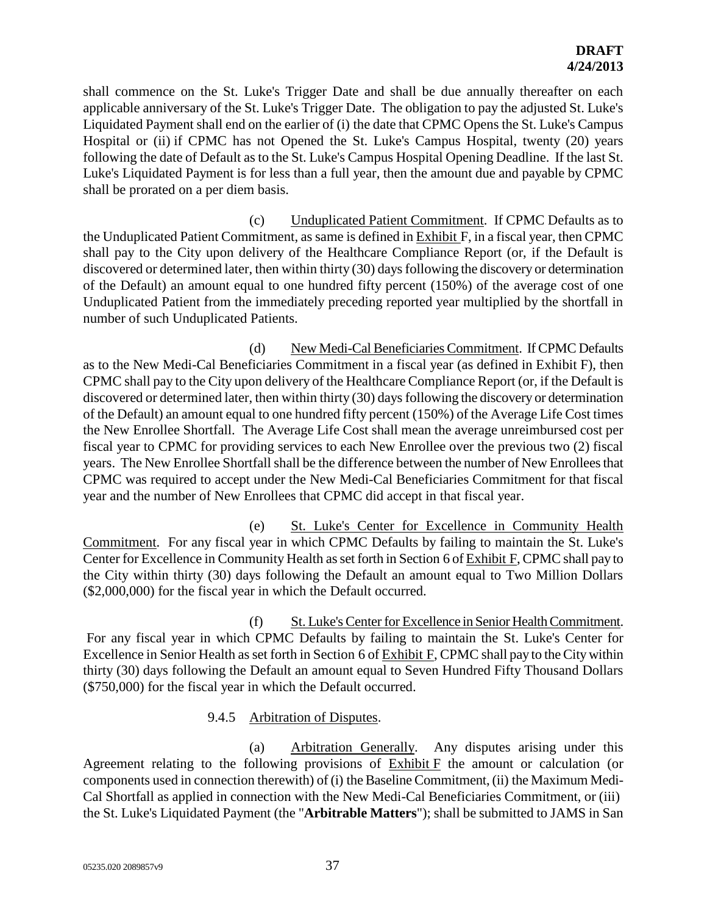shall commence on the St. Luke's Trigger Date and shall be due annually thereafter on each applicable anniversary of the St. Luke's Trigger Date. The obligation to pay the adjusted St. Luke's Liquidated Payment shall end on the earlier of (i) the date that CPMC Opens the St. Luke's Campus Hospital or (ii) if CPMC has not Opened the St. Luke's Campus Hospital, twenty (20) years following the date of Default as to the St. Luke's Campus Hospital Opening Deadline. If the last St. Luke's Liquidated Payment is for less than a full year, then the amount due and payable by CPMC shall be prorated on a per diem basis.

(c) Unduplicated Patient Commitment. If CPMC Defaults as to the Unduplicated Patient Commitment, as same is defined in Exhibit F, in a fiscal year, then CPMC shall pay to the City upon delivery of the Healthcare Compliance Report (or, if the Default is discovered or determined later, then within thirty (30) days following the discovery or determination of the Default) an amount equal to one hundred fifty percent (150%) of the average cost of one Unduplicated Patient from the immediately preceding reported year multiplied by the shortfall in number of such Unduplicated Patients.

(d) New Medi-Cal Beneficiaries Commitment. If CPMC Defaults as to the New Medi-Cal Beneficiaries Commitment in a fiscal year (as defined in Exhibit F), then CPMC shall pay to the City upon delivery of the Healthcare Compliance Report (or, if the Default is discovered or determined later, then within thirty (30) days following the discovery or determination of the Default) an amount equal to one hundred fifty percent (150%) of the Average Life Cost times the New Enrollee Shortfall. The Average Life Cost shall mean the average unreimbursed cost per fiscal year to CPMC for providing services to each New Enrollee over the previous two (2) fiscal years. The New Enrollee Shortfall shall be the difference between the number of New Enrollees that CPMC was required to accept under the New Medi-Cal Beneficiaries Commitment for that fiscal year and the number of New Enrollees that CPMC did accept in that fiscal year.

(e) St. Luke's Center for Excellence in Community Health Commitment. For any fiscal year in which CPMC Defaults by failing to maintain the St. Luke's Center for Excellence in Community Health as set forth in Section 6 of Exhibit F, CPMC shall pay to the City within thirty (30) days following the Default an amount equal to Two Million Dollars (\$2,000,000) for the fiscal year in which the Default occurred.

(f) St. Luke's Center for Excellence in Senior Health Commitment. For any fiscal year in which CPMC Defaults by failing to maintain the St. Luke's Center for Excellence in Senior Health as set forth in Section 6 of Exhibit F, CPMC shall pay to the City within thirty (30) days following the Default an amount equal to Seven Hundred Fifty Thousand Dollars (\$750,000) for the fiscal year in which the Default occurred.

# 9.4.5 Arbitration of Disputes.

(a) Arbitration Generally. Any disputes arising under this Agreement relating to the following provisions of Exhibit F the amount or calculation (or components used in connection therewith) of (i) the Baseline Commitment, (ii) the Maximum Medi-Cal Shortfall as applied in connection with the New Medi-Cal Beneficiaries Commitment, or (iii) the St. Luke's Liquidated Payment (the "**Arbitrable Matters**"); shall be submitted to JAMS in San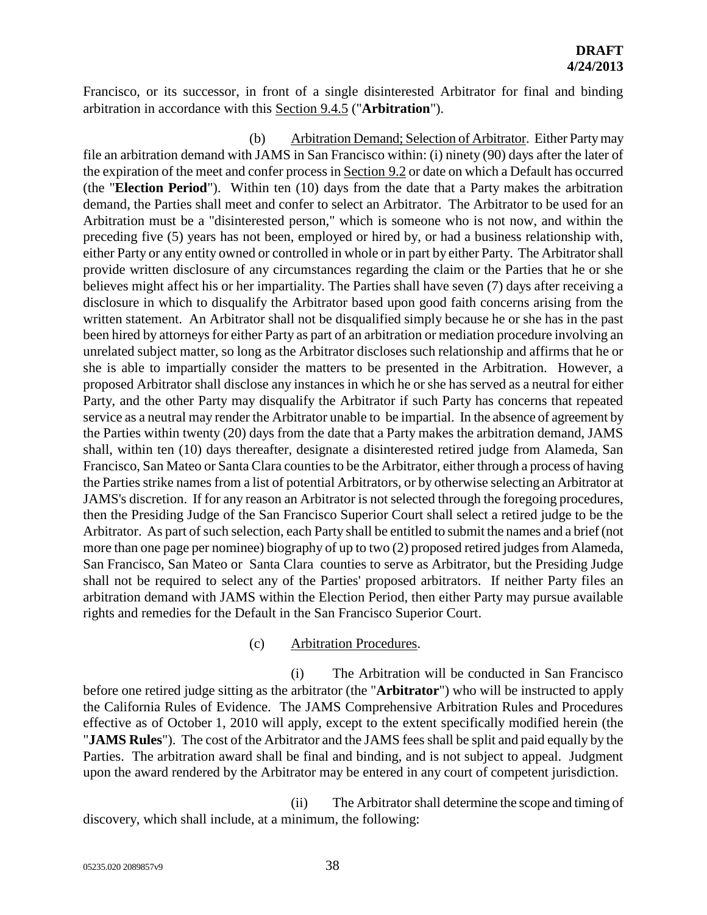Francisco, or its successor, in front of a single disinterested Arbitrator for final and binding arbitration in accordance with this Section 9.4.5 ("**Arbitration**").

(b) Arbitration Demand; Selection of Arbitrator. Either Party may file an arbitration demand with JAMS in San Francisco within: (i) ninety (90) days after the later of the expiration of the meet and confer process in Section 9.2 or date on which a Default has occurred (the "**Election Period**"). Within ten (10) days from the date that a Party makes the arbitration demand, the Parties shall meet and confer to select an Arbitrator. The Arbitrator to be used for an Arbitration must be a "disinterested person," which is someone who is not now, and within the preceding five (5) years has not been, employed or hired by, or had a business relationship with, either Party or any entity owned or controlled in whole or in part by either Party. The Arbitrator shall provide written disclosure of any circumstances regarding the claim or the Parties that he or she believes might affect his or her impartiality. The Parties shall have seven (7) days after receiving a disclosure in which to disqualify the Arbitrator based upon good faith concerns arising from the written statement. An Arbitrator shall not be disqualified simply because he or she has in the past been hired by attorneys for either Party as part of an arbitration or mediation procedure involving an unrelated subject matter, so long as the Arbitrator discloses such relationship and affirms that he or she is able to impartially consider the matters to be presented in the Arbitration. However, a proposed Arbitrator shall disclose any instances in which he or she has served as a neutral for either Party, and the other Party may disqualify the Arbitrator if such Party has concerns that repeated service as a neutral may render the Arbitrator unable to be impartial. In the absence of agreement by the Parties within twenty (20) days from the date that a Party makes the arbitration demand, JAMS shall, within ten (10) days thereafter, designate a disinterested retired judge from Alameda, San Francisco, San Mateo or Santa Clara counties to be the Arbitrator, either through a process of having the Parties strike names from a list of potential Arbitrators, or by otherwise selecting an Arbitrator at JAMS's discretion. If for any reason an Arbitrator is not selected through the foregoing procedures, then the Presiding Judge of the San Francisco Superior Court shall select a retired judge to be the Arbitrator. As part of such selection, each Party shall be entitled to submit the names and a brief (not more than one page per nominee) biography of up to two (2) proposed retired judges from Alameda, San Francisco, San Mateo or Santa Clara counties to serve as Arbitrator, but the Presiding Judge shall not be required to select any of the Parties' proposed arbitrators. If neither Party files an arbitration demand with JAMS within the Election Period, then either Party may pursue available rights and remedies for the Default in the San Francisco Superior Court.

#### (c) Arbitration Procedures.

(i) The Arbitration will be conducted in San Francisco before one retired judge sitting as the arbitrator (the "**Arbitrator**") who will be instructed to apply the California Rules of Evidence. The JAMS Comprehensive Arbitration Rules and Procedures effective as of October 1, 2010 will apply, except to the extent specifically modified herein (the "**JAMS Rules**"). The cost of the Arbitrator and the JAMS fees shall be split and paid equally by the Parties. The arbitration award shall be final and binding, and is not subject to appeal. Judgment upon the award rendered by the Arbitrator may be entered in any court of competent jurisdiction.

(ii) The Arbitrator shall determine the scope and timing of discovery, which shall include, at a minimum, the following: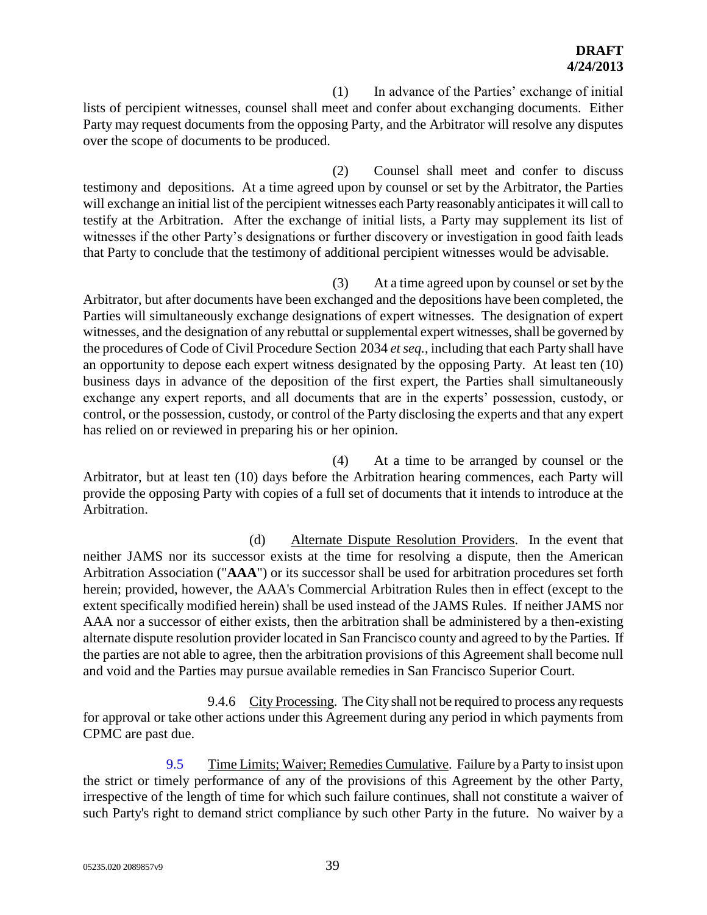(1) In advance of the Parties' exchange of initial lists of percipient witnesses, counsel shall meet and confer about exchanging documents. Either Party may request documents from the opposing Party, and the Arbitrator will resolve any disputes over the scope of documents to be produced.

(2) Counsel shall meet and confer to discuss testimony and depositions. At a time agreed upon by counsel or set by the Arbitrator, the Parties will exchange an initial list of the percipient witnesses each Party reasonably anticipates it will call to testify at the Arbitration. After the exchange of initial lists, a Party may supplement its list of witnesses if the other Party's designations or further discovery or investigation in good faith leads that Party to conclude that the testimony of additional percipient witnesses would be advisable.

(3) At a time agreed upon by counsel or set by the Arbitrator, but after documents have been exchanged and the depositions have been completed, the Parties will simultaneously exchange designations of expert witnesses. The designation of expert witnesses, and the designation of any rebuttal or supplemental expert witnesses, shall be governed by the procedures of Code of Civil Procedure Section 2034 *et seq.*, including that each Party shall have an opportunity to depose each expert witness designated by the opposing Party. At least ten (10) business days in advance of the deposition of the first expert, the Parties shall simultaneously exchange any expert reports, and all documents that are in the experts' possession, custody, or control, or the possession, custody, or control of the Party disclosing the experts and that any expert has relied on or reviewed in preparing his or her opinion.

(4) At a time to be arranged by counsel or the Arbitrator, but at least ten (10) days before the Arbitration hearing commences, each Party will provide the opposing Party with copies of a full set of documents that it intends to introduce at the Arbitration.

(d) Alternate Dispute Resolution Providers. In the event that neither JAMS nor its successor exists at the time for resolving a dispute, then the American Arbitration Association ("**AAA**") or its successor shall be used for arbitration procedures set forth herein; provided, however, the AAA's Commercial Arbitration Rules then in effect (except to the extent specifically modified herein) shall be used instead of the JAMS Rules. If neither JAMS nor AAA nor a successor of either exists, then the arbitration shall be administered by a then-existing alternate dispute resolution provider located in San Francisco county and agreed to by the Parties. If the parties are not able to agree, then the arbitration provisions of this Agreement shall become null and void and the Parties may pursue available remedies in San Francisco Superior Court.

9.4.6 City Processing. The City shall not be required to process any requests for approval or take other actions under this Agreement during any period in which payments from CPMC are past due.

9.5 Time Limits; Waiver; Remedies Cumulative. Failure by a Party to insist upon the strict or timely performance of any of the provisions of this Agreement by the other Party, irrespective of the length of time for which such failure continues, shall not constitute a waiver of such Party's right to demand strict compliance by such other Party in the future. No waiver by a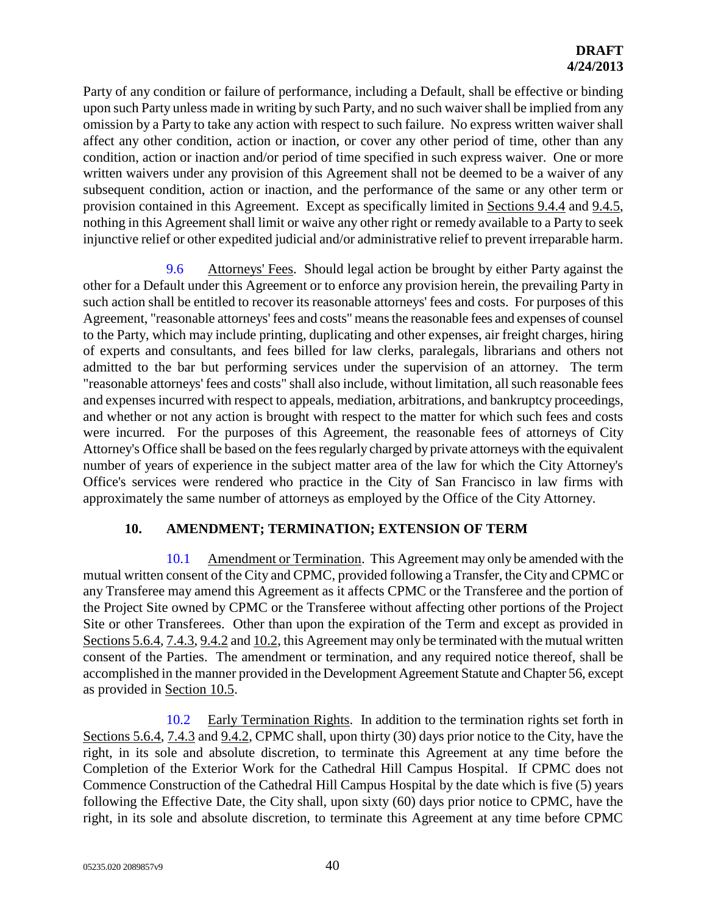# **DRAFT 4/24/2013**

Party of any condition or failure of performance, including a Default, shall be effective or binding upon such Party unless made in writing by such Party, and no such waiver shall be implied from any omission by a Party to take any action with respect to such failure. No express written waiver shall affect any other condition, action or inaction, or cover any other period of time, other than any condition, action or inaction and/or period of time specified in such express waiver. One or more written waivers under any provision of this Agreement shall not be deemed to be a waiver of any subsequent condition, action or inaction, and the performance of the same or any other term or provision contained in this Agreement. Except as specifically limited in Sections 9.4.4 and 9.4.5, nothing in this Agreement shall limit or waive any other right or remedy available to a Party to seek injunctive relief or other expedited judicial and/or administrative relief to prevent irreparable harm.

9.6 Attorneys' Fees. Should legal action be brought by either Party against the other for a Default under this Agreement or to enforce any provision herein, the prevailing Party in such action shall be entitled to recover its reasonable attorneys' fees and costs. For purposes of this Agreement, "reasonable attorneys' fees and costs" means the reasonable fees and expenses of counsel to the Party, which may include printing, duplicating and other expenses, air freight charges, hiring of experts and consultants, and fees billed for law clerks, paralegals, librarians and others not admitted to the bar but performing services under the supervision of an attorney. The term "reasonable attorneys' fees and costs" shall also include, without limitation, all such reasonable fees and expensesincurred with respect to appeals, mediation, arbitrations, and bankruptcy proceedings, and whether or not any action is brought with respect to the matter for which such fees and costs were incurred. For the purposes of this Agreement, the reasonable fees of attorneys of City Attorney's Office shall be based on the fees regularly charged by private attorneys with the equivalent number of years of experience in the subject matter area of the law for which the City Attorney's Office's services were rendered who practice in the City of San Francisco in law firms with approximately the same number of attorneys as employed by the Office of the City Attorney.

# **10. AMENDMENT; TERMINATION; EXTENSION OF TERM**

10.1 Amendment or Termination. This Agreement may only be amended with the mutual written consent of the City and CPMC, provided following a Transfer, the City and CPMC or any Transferee may amend this Agreement as it affects CPMC or the Transferee and the portion of the Project Site owned by CPMC or the Transferee without affecting other portions of the Project Site or other Transferees. Other than upon the expiration of the Term and except as provided in Sections 5.6.4, 7.4.3, 9.4.2 and 10.2, this Agreement may only be terminated with the mutual written consent of the Parties. The amendment or termination, and any required notice thereof, shall be accomplished in the manner provided in the Development Agreement Statute and Chapter 56, except as provided in Section 10.5.

10.2 Early Termination Rights. In addition to the termination rights set forth in Sections 5.6.4, 7.4.3 and 9.4.2, CPMC shall, upon thirty (30) days prior notice to the City, have the right, in its sole and absolute discretion, to terminate this Agreement at any time before the Completion of the Exterior Work for the Cathedral Hill Campus Hospital. If CPMC does not Commence Construction of the Cathedral Hill Campus Hospital by the date which is five (5) years following the Effective Date, the City shall, upon sixty (60) days prior notice to CPMC, have the right, in its sole and absolute discretion, to terminate this Agreement at any time before CPMC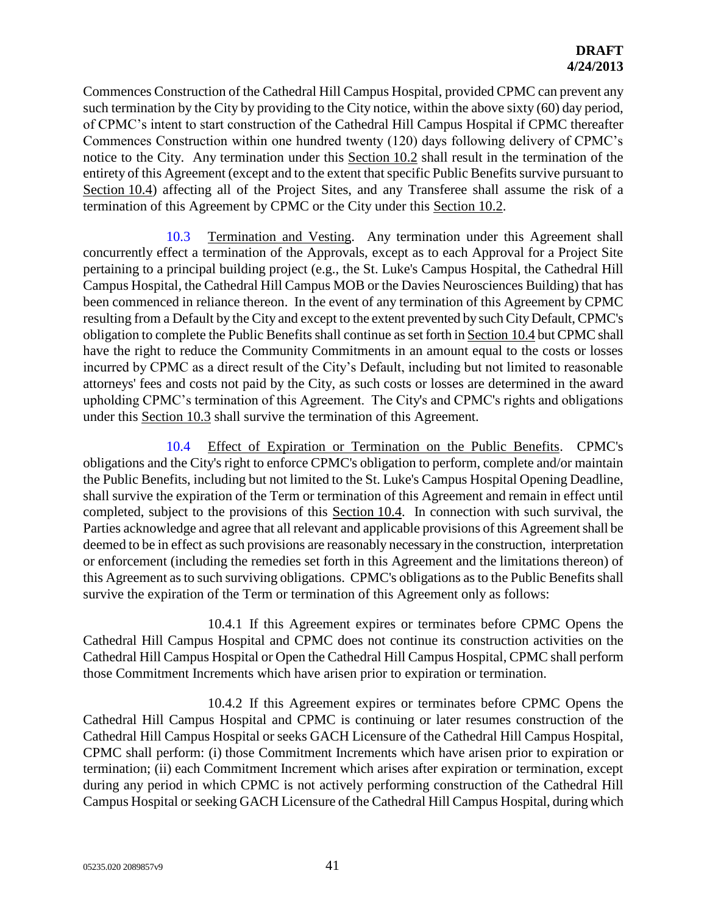Commences Construction of the Cathedral Hill Campus Hospital, provided CPMC can prevent any such termination by the City by providing to the City notice, within the above sixty (60) day period, of CPMC's intent to start construction of the Cathedral Hill Campus Hospital if CPMC thereafter Commences Construction within one hundred twenty (120) days following delivery of CPMC's notice to the City. Any termination under this Section 10.2 shall result in the termination of the entirety of this Agreement (except and to the extent that specific Public Benefits survive pursuant to Section 10.4) affecting all of the Project Sites, and any Transferee shall assume the risk of a termination of this Agreement by CPMC or the City under this Section 10.2.

10.3 Termination and Vesting. Any termination under this Agreement shall concurrently effect a termination of the Approvals, except as to each Approval for a Project Site pertaining to a principal building project (e.g., the St. Luke's Campus Hospital, the Cathedral Hill Campus Hospital, the Cathedral Hill Campus MOB or the Davies Neurosciences Building) that has been commenced in reliance thereon. In the event of any termination of this Agreement by CPMC resulting from a Default by the City and except to the extent prevented by such City Default, CPMC's obligation to complete the Public Benefits shall continue as set forth in Section 10.4 but CPMC shall have the right to reduce the Community Commitments in an amount equal to the costs or losses incurred by CPMC as a direct result of the City's Default, including but not limited to reasonable attorneys' fees and costs not paid by the City, as such costs or losses are determined in the award upholding CPMC's termination of this Agreement. The City's and CPMC's rights and obligations under this Section 10.3 shall survive the termination of this Agreement.

10.4 Effect of Expiration or Termination on the Public Benefits. CPMC's obligations and the City's right to enforce CPMC's obligation to perform, complete and/or maintain the Public Benefits, including but not limited to the St. Luke's Campus Hospital Opening Deadline, shall survive the expiration of the Term or termination of this Agreement and remain in effect until completed, subject to the provisions of this Section 10.4. In connection with such survival, the Parties acknowledge and agree that all relevant and applicable provisions of this Agreement shall be deemed to be in effect as such provisions are reasonably necessary in the construction, interpretation or enforcement (including the remedies set forth in this Agreement and the limitations thereon) of this Agreement as to such surviving obligations. CPMC's obligations as to the Public Benefits shall survive the expiration of the Term or termination of this Agreement only as follows:

10.4.1 If this Agreement expires or terminates before CPMC Opens the Cathedral Hill Campus Hospital and CPMC does not continue its construction activities on the Cathedral Hill Campus Hospital or Open the Cathedral Hill Campus Hospital, CPMC shall perform those Commitment Increments which have arisen prior to expiration or termination.

10.4.2 If this Agreement expires or terminates before CPMC Opens the Cathedral Hill Campus Hospital and CPMC is continuing or later resumes construction of the Cathedral Hill Campus Hospital or seeks GACH Licensure of the Cathedral Hill Campus Hospital, CPMC shall perform: (i) those Commitment Increments which have arisen prior to expiration or termination; (ii) each Commitment Increment which arises after expiration or termination, except during any period in which CPMC is not actively performing construction of the Cathedral Hill Campus Hospital or seeking GACH Licensure of the Cathedral Hill Campus Hospital, during which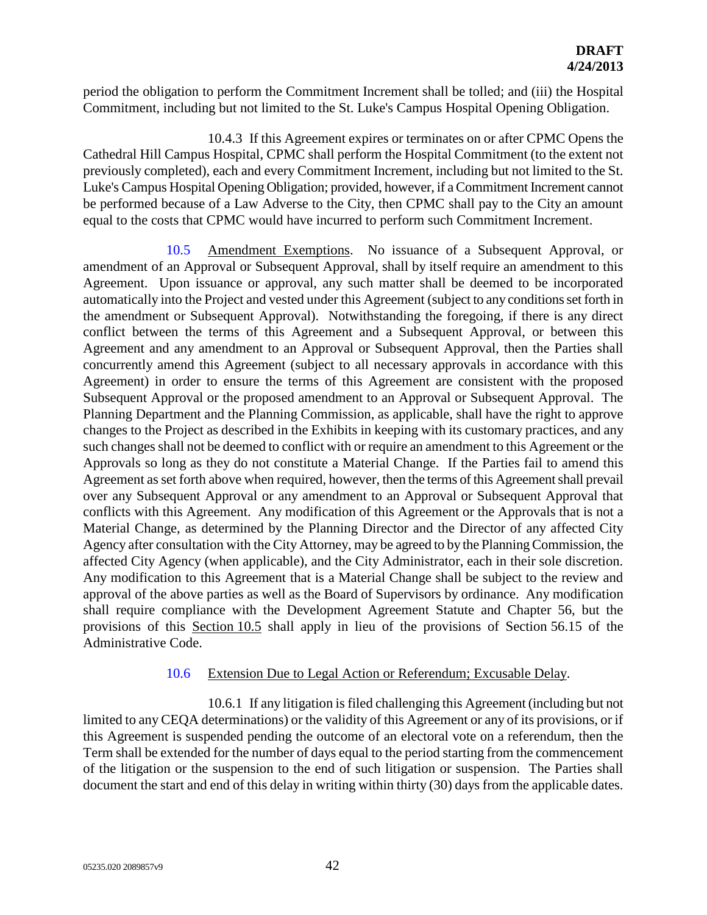period the obligation to perform the Commitment Increment shall be tolled; and (iii) the Hospital Commitment, including but not limited to the St. Luke's Campus Hospital Opening Obligation.

10.4.3 If this Agreement expires or terminates on or after CPMC Opens the Cathedral Hill Campus Hospital, CPMC shall perform the Hospital Commitment (to the extent not previously completed), each and every Commitment Increment, including but not limited to the St. Luke's Campus Hospital Opening Obligation; provided, however, if a Commitment Increment cannot be performed because of a Law Adverse to the City, then CPMC shall pay to the City an amount equal to the costs that CPMC would have incurred to perform such Commitment Increment.

10.5 Amendment Exemptions. No issuance of a Subsequent Approval, or amendment of an Approval or Subsequent Approval, shall by itself require an amendment to this Agreement. Upon issuance or approval, any such matter shall be deemed to be incorporated automatically into the Project and vested under this Agreement (subject to any conditions set forth in the amendment or Subsequent Approval). Notwithstanding the foregoing, if there is any direct conflict between the terms of this Agreement and a Subsequent Approval, or between this Agreement and any amendment to an Approval or Subsequent Approval, then the Parties shall concurrently amend this Agreement (subject to all necessary approvals in accordance with this Agreement) in order to ensure the terms of this Agreement are consistent with the proposed Subsequent Approval or the proposed amendment to an Approval or Subsequent Approval. The Planning Department and the Planning Commission, as applicable, shall have the right to approve changes to the Project as described in the Exhibits in keeping with its customary practices, and any such changes shall not be deemed to conflict with or require an amendment to this Agreement or the Approvals so long as they do not constitute a Material Change. If the Parties fail to amend this Agreement as set forth above when required, however, then the terms of this Agreement shall prevail over any Subsequent Approval or any amendment to an Approval or Subsequent Approval that conflicts with this Agreement. Any modification of this Agreement or the Approvals that is not a Material Change, as determined by the Planning Director and the Director of any affected City Agency after consultation with the City Attorney, may be agreed to by the Planning Commission, the affected City Agency (when applicable), and the City Administrator, each in their sole discretion. Any modification to this Agreement that is a Material Change shall be subject to the review and approval of the above parties as well as the Board of Supervisors by ordinance. Any modification shall require compliance with the Development Agreement Statute and Chapter 56, but the provisions of this Section 10.5 shall apply in lieu of the provisions of Section 56.15 of the Administrative Code.

#### 10.6 Extension Due to Legal Action or Referendum; Excusable Delay.

10.6.1 If any litigation is filed challenging this Agreement (including but not limited to any CEQA determinations) or the validity of this Agreement or any of its provisions, or if this Agreement is suspended pending the outcome of an electoral vote on a referendum, then the Term shall be extended for the number of days equal to the period starting from the commencement of the litigation or the suspension to the end of such litigation or suspension. The Parties shall document the start and end of this delay in writing within thirty (30) days from the applicable dates.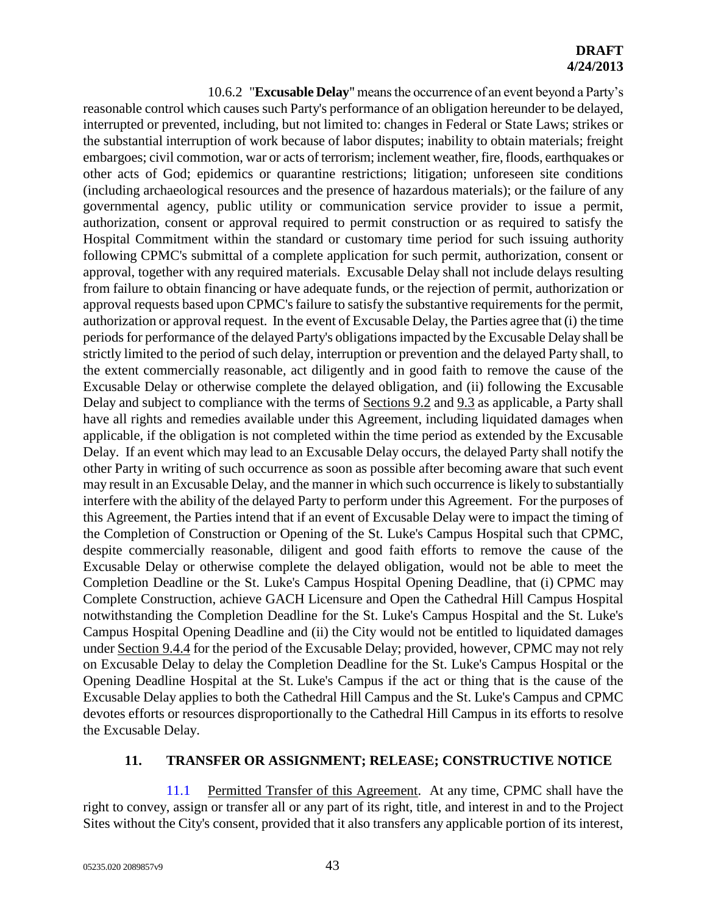10.6.2 "**Excusable Delay**" means the occurrence of an event beyond a Party's reasonable control which causes such Party's performance of an obligation hereunder to be delayed, interrupted or prevented, including, but not limited to: changes in Federal or State Laws; strikes or the substantial interruption of work because of labor disputes; inability to obtain materials; freight embargoes; civil commotion, war or acts of terrorism; inclement weather, fire, floods, earthquakes or other acts of God; epidemics or quarantine restrictions; litigation; unforeseen site conditions (including archaeological resources and the presence of hazardous materials); or the failure of any governmental agency, public utility or communication service provider to issue a permit, authorization, consent or approval required to permit construction or as required to satisfy the Hospital Commitment within the standard or customary time period for such issuing authority following CPMC's submittal of a complete application for such permit, authorization, consent or approval, together with any required materials. Excusable Delay shall not include delays resulting from failure to obtain financing or have adequate funds, or the rejection of permit, authorization or approval requests based upon CPMC's failure to satisfy the substantive requirements for the permit, authorization or approval request. In the event of Excusable Delay, the Parties agree that (i) the time periods for performance of the delayed Party's obligations impacted by the Excusable Delay shall be strictly limited to the period of such delay, interruption or prevention and the delayed Party shall, to the extent commercially reasonable, act diligently and in good faith to remove the cause of the Excusable Delay or otherwise complete the delayed obligation, and (ii) following the Excusable Delay and subject to compliance with the terms of Sections 9.2 and 9.3 as applicable, a Party shall have all rights and remedies available under this Agreement, including liquidated damages when applicable, if the obligation is not completed within the time period as extended by the Excusable Delay. If an event which may lead to an Excusable Delay occurs, the delayed Party shall notify the other Party in writing of such occurrence as soon as possible after becoming aware that such event may result in an Excusable Delay, and the manner in which such occurrence is likely to substantially interfere with the ability of the delayed Party to perform under this Agreement. For the purposes of this Agreement, the Parties intend that if an event of Excusable Delay were to impact the timing of the Completion of Construction or Opening of the St. Luke's Campus Hospital such that CPMC, despite commercially reasonable, diligent and good faith efforts to remove the cause of the Excusable Delay or otherwise complete the delayed obligation, would not be able to meet the Completion Deadline or the St. Luke's Campus Hospital Opening Deadline, that (i) CPMC may Complete Construction, achieve GACH Licensure and Open the Cathedral Hill Campus Hospital notwithstanding the Completion Deadline for the St. Luke's Campus Hospital and the St. Luke's Campus Hospital Opening Deadline and (ii) the City would not be entitled to liquidated damages under Section 9.4.4 for the period of the Excusable Delay; provided, however, CPMC may not rely on Excusable Delay to delay the Completion Deadline for the St. Luke's Campus Hospital or the Opening Deadline Hospital at the St. Luke's Campus if the act or thing that is the cause of the Excusable Delay applies to both the Cathedral Hill Campus and the St. Luke's Campus and CPMC devotes efforts or resources disproportionally to the Cathedral Hill Campus in its efforts to resolve the Excusable Delay.

#### **11. TRANSFER OR ASSIGNMENT; RELEASE; CONSTRUCTIVE NOTICE**

11.1 Permitted Transfer of this Agreement. At any time, CPMC shall have the right to convey, assign or transfer all or any part of its right, title, and interest in and to the Project Sites without the City's consent, provided that it also transfers any applicable portion of its interest,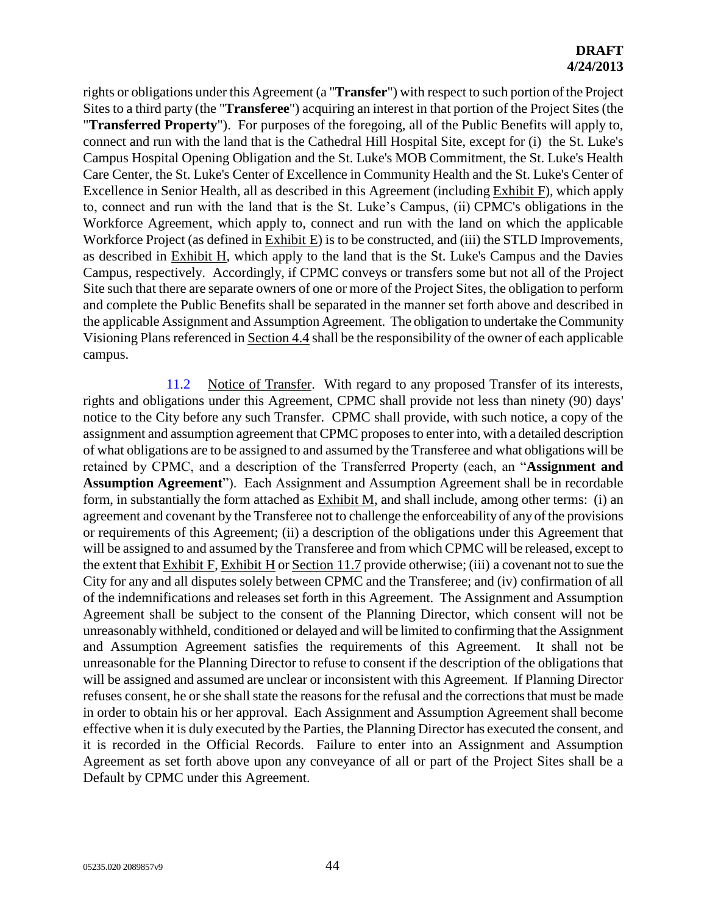rights or obligations under this Agreement (a "**Transfer**") with respect to such portion of the Project Sites to a third party (the "**Transferee**") acquiring an interest in that portion of the Project Sites (the "**Transferred Property**"). For purposes of the foregoing, all of the Public Benefits will apply to, connect and run with the land that is the Cathedral Hill Hospital Site, except for (i) the St. Luke's Campus Hospital Opening Obligation and the St. Luke's MOB Commitment, the St. Luke's Health Care Center, the St. Luke's Center of Excellence in Community Health and the St. Luke's Center of Excellence in Senior Health, all as described in this Agreement (including Exhibit F), which apply to, connect and run with the land that is the St. Luke's Campus, (ii) CPMC's obligations in the Workforce Agreement, which apply to, connect and run with the land on which the applicable Workforce Project (as defined in Exhibit E) is to be constructed, and (iii) the STLD Improvements, as described in Exhibit H, which apply to the land that is the St. Luke's Campus and the Davies Campus, respectively. Accordingly, if CPMC conveys or transfers some but not all of the Project Site such that there are separate owners of one or more of the Project Sites, the obligation to perform and complete the Public Benefits shall be separated in the manner set forth above and described in the applicable Assignment and Assumption Agreement. The obligation to undertake the Community Visioning Plans referenced in Section 4.4 shall be the responsibility of the owner of each applicable campus.

11.2 Notice of Transfer. With regard to any proposed Transfer of its interests, rights and obligations under this Agreement, CPMC shall provide not less than ninety (90) days' notice to the City before any such Transfer. CPMC shall provide, with such notice, a copy of the assignment and assumption agreement that CPMC proposes to enter into, with a detailed description of what obligations are to be assigned to and assumed by the Transferee and what obligations will be retained by CPMC, and a description of the Transferred Property (each, an "**Assignment and Assumption Agreement**"). Each Assignment and Assumption Agreement shall be in recordable form, in substantially the form attached as Exhibit M, and shall include, among other terms: (i) an agreement and covenant by the Transferee not to challenge the enforceability of any of the provisions or requirements of this Agreement; (ii) a description of the obligations under this Agreement that will be assigned to and assumed by the Transferee and from which CPMC will be released, except to the extent that Exhibit F, Exhibit H or Section 11.7 provide otherwise; (iii) a covenant not to sue the City for any and all disputes solely between CPMC and the Transferee; and (iv) confirmation of all of the indemnifications and releases set forth in this Agreement. The Assignment and Assumption Agreement shall be subject to the consent of the Planning Director, which consent will not be unreasonably withheld, conditioned or delayed and will be limited to confirming that the Assignment and Assumption Agreement satisfies the requirements of this Agreement. It shall not be unreasonable for the Planning Director to refuse to consent if the description of the obligations that will be assigned and assumed are unclear or inconsistent with this Agreement. If Planning Director refuses consent, he or she shall state the reasons for the refusal and the corrections that must be made in order to obtain his or her approval. Each Assignment and Assumption Agreement shall become effective when it is duly executed by the Parties, the Planning Director has executed the consent, and it is recorded in the Official Records. Failure to enter into an Assignment and Assumption Agreement as set forth above upon any conveyance of all or part of the Project Sites shall be a Default by CPMC under this Agreement.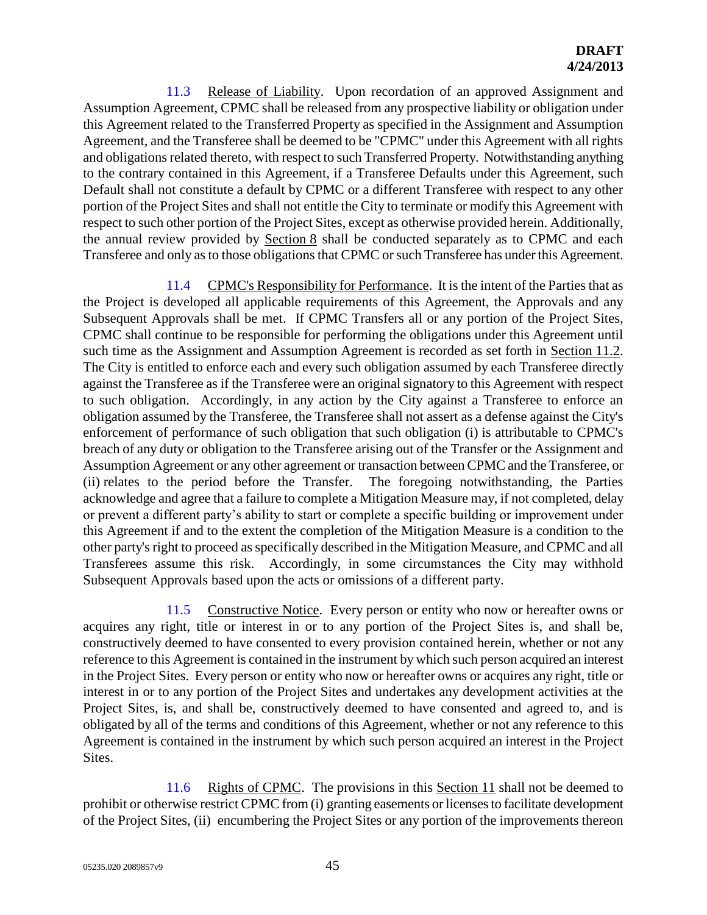11.3 Release of Liability. Upon recordation of an approved Assignment and Assumption Agreement, CPMC shall be released from any prospective liability or obligation under this Agreement related to the Transferred Property as specified in the Assignment and Assumption Agreement, and the Transferee shall be deemed to be "CPMC" under this Agreement with all rights and obligations related thereto, with respect to such Transferred Property. Notwithstanding anything to the contrary contained in this Agreement, if a Transferee Defaults under this Agreement, such Default shall not constitute a default by CPMC or a different Transferee with respect to any other portion of the Project Sites and shall not entitle the City to terminate or modify this Agreement with respect to such other portion of the Project Sites, except as otherwise provided herein. Additionally, the annual review provided by Section 8 shall be conducted separately as to CPMC and each Transferee and only as to those obligations that CPMC or such Transferee has under this Agreement.

11.4 CPMC's Responsibility for Performance. It is the intent of the Parties that as the Project is developed all applicable requirements of this Agreement, the Approvals and any Subsequent Approvals shall be met. If CPMC Transfers all or any portion of the Project Sites, CPMC shall continue to be responsible for performing the obligations under this Agreement until such time as the Assignment and Assumption Agreement is recorded as set forth in Section 11.2. The City is entitled to enforce each and every such obligation assumed by each Transferee directly against the Transferee as if the Transferee were an original signatory to this Agreement with respect to such obligation. Accordingly, in any action by the City against a Transferee to enforce an obligation assumed by the Transferee, the Transferee shall not assert as a defense against the City's enforcement of performance of such obligation that such obligation (i) is attributable to CPMC's breach of any duty or obligation to the Transferee arising out of the Transfer or the Assignment and Assumption Agreement or any other agreement or transaction between CPMC and the Transferee, or (ii) relates to the period before the Transfer. The foregoing notwithstanding, the Parties acknowledge and agree that a failure to complete a Mitigation Measure may, if not completed, delay or prevent a different party's ability to start or complete a specific building or improvement under this Agreement if and to the extent the completion of the Mitigation Measure is a condition to the other party's right to proceed as specifically described in the Mitigation Measure, and CPMC and all Transferees assume this risk. Accordingly, in some circumstances the City may withhold Subsequent Approvals based upon the acts or omissions of a different party.

11.5 Constructive Notice. Every person or entity who now or hereafter owns or acquires any right, title or interest in or to any portion of the Project Sites is, and shall be, constructively deemed to have consented to every provision contained herein, whether or not any reference to this Agreement is contained in the instrument by which such person acquired an interest in the Project Sites. Every person or entity who now or hereafter owns or acquires any right, title or interest in or to any portion of the Project Sites and undertakes any development activities at the Project Sites, is, and shall be, constructively deemed to have consented and agreed to, and is obligated by all of the terms and conditions of this Agreement, whether or not any reference to this Agreement is contained in the instrument by which such person acquired an interest in the Project Sites.

11.6 Rights of CPMC. The provisions in this Section 11 shall not be deemed to prohibit or otherwise restrict CPMC from (i) granting easements or licenses to facilitate development of the Project Sites, (ii) encumbering the Project Sites or any portion of the improvements thereon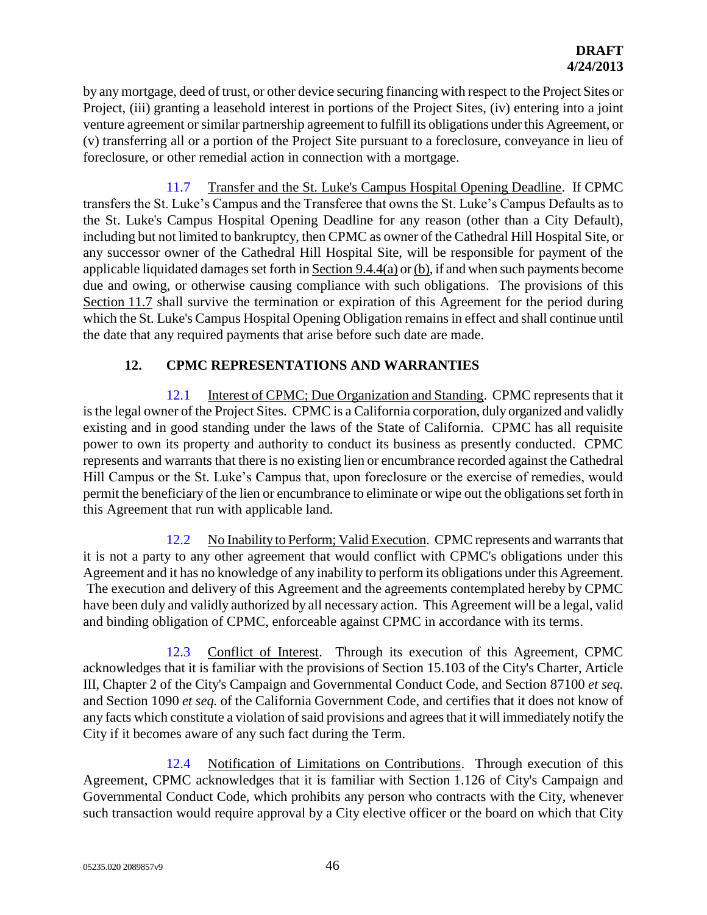by any mortgage, deed of trust, or other device securing financing with respect to the Project Sites or Project, (iii) granting a leasehold interest in portions of the Project Sites, (iv) entering into a joint venture agreement or similar partnership agreement to fulfill its obligations under this Agreement, or (v) transferring all or a portion of the Project Site pursuant to a foreclosure, conveyance in lieu of foreclosure, or other remedial action in connection with a mortgage.

11.7 Transfer and the St. Luke's Campus Hospital Opening Deadline. If CPMC transfers the St. Luke's Campus and the Transferee that owns the St. Luke's Campus Defaults as to the St. Luke's Campus Hospital Opening Deadline for any reason (other than a City Default), including but not limited to bankruptcy, then CPMC as owner of the Cathedral Hill Hospital Site, or any successor owner of the Cathedral Hill Hospital Site, will be responsible for payment of the applicable liquidated damages set forth in Section 9.4.4(a) or (b), if and when such payments become due and owing, or otherwise causing compliance with such obligations. The provisions of this Section 11.7 shall survive the termination or expiration of this Agreement for the period during which the St. Luke's Campus Hospital Opening Obligation remains in effect and shall continue until the date that any required payments that arise before such date are made.

# **12. CPMC REPRESENTATIONS AND WARRANTIES**

12.1 Interest of CPMC; Due Organization and Standing. CPMC represents that it is the legal owner of the Project Sites. CPMC is a California corporation, duly organized and validly existing and in good standing under the laws of the State of California. CPMC has all requisite power to own its property and authority to conduct its business as presently conducted. CPMC represents and warrants that there is no existing lien or encumbrance recorded against the Cathedral Hill Campus or the St. Luke's Campus that, upon foreclosure or the exercise of remedies, would permit the beneficiary of the lien or encumbrance to eliminate or wipe out the obligations set forth in this Agreement that run with applicable land.

12.2 No Inability to Perform; Valid Execution. CPMC represents and warrants that it is not a party to any other agreement that would conflict with CPMC's obligations under this Agreement and it has no knowledge of any inability to perform its obligations under this Agreement. The execution and delivery of this Agreement and the agreements contemplated hereby by CPMC have been duly and validly authorized by all necessary action. This Agreement will be a legal, valid and binding obligation of CPMC, enforceable against CPMC in accordance with its terms.

12.3 Conflict of Interest. Through its execution of this Agreement, CPMC acknowledges that it is familiar with the provisions of Section 15.103 of the City's Charter, Article III, Chapter 2 of the City's Campaign and Governmental Conduct Code, and Section 87100 *et seq.* and Section 1090 *et seq.* of the California Government Code, and certifies that it does not know of any facts which constitute a violation of said provisions and agrees that it will immediately notify the City if it becomes aware of any such fact during the Term.

12.4 Notification of Limitations on Contributions. Through execution of this Agreement, CPMC acknowledges that it is familiar with Section 1.126 of City's Campaign and Governmental Conduct Code, which prohibits any person who contracts with the City, whenever such transaction would require approval by a City elective officer or the board on which that City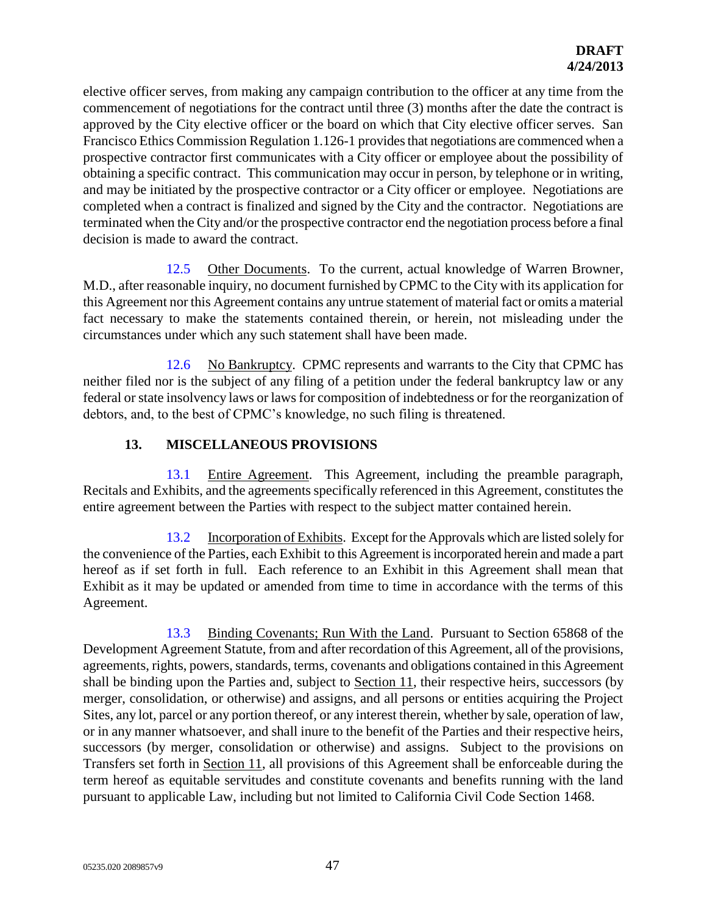elective officer serves, from making any campaign contribution to the officer at any time from the commencement of negotiations for the contract until three (3) months after the date the contract is approved by the City elective officer or the board on which that City elective officer serves. San Francisco Ethics Commission Regulation 1.126-1 provides that negotiations are commenced when a prospective contractor first communicates with a City officer or employee about the possibility of obtaining a specific contract. This communication may occur in person, by telephone or in writing, and may be initiated by the prospective contractor or a City officer or employee. Negotiations are completed when a contract is finalized and signed by the City and the contractor. Negotiations are terminated when the City and/or the prospective contractor end the negotiation process before a final decision is made to award the contract.

12.5 Other Documents. To the current, actual knowledge of Warren Browner, M.D., after reasonable inquiry, no document furnished by CPMC to the City with its application for this Agreement nor this Agreement contains any untrue statement of material fact or omits a material fact necessary to make the statements contained therein, or herein, not misleading under the circumstances under which any such statement shall have been made.

12.6 No Bankruptcy. CPMC represents and warrants to the City that CPMC has neither filed nor is the subject of any filing of a petition under the federal bankruptcy law or any federal or state insolvency laws or laws for composition of indebtedness or for the reorganization of debtors, and, to the best of CPMC's knowledge, no such filing is threatened.

# **13. MISCELLANEOUS PROVISIONS**

13.1 Entire Agreement. This Agreement, including the preamble paragraph, Recitals and Exhibits, and the agreements specifically referenced in this Agreement, constitutes the entire agreement between the Parties with respect to the subject matter contained herein.

13.2 Incorporation of Exhibits. Except for the Approvals which are listed solely for the convenience of the Parties, each Exhibit to this Agreement is incorporated herein and made a part hereof as if set forth in full. Each reference to an Exhibit in this Agreement shall mean that Exhibit as it may be updated or amended from time to time in accordance with the terms of this Agreement.

13.3 Binding Covenants; Run With the Land. Pursuant to Section 65868 of the Development Agreement Statute, from and after recordation of this Agreement, all of the provisions, agreements, rights, powers, standards, terms, covenants and obligations contained in this Agreement shall be binding upon the Parties and, subject to Section 11, their respective heirs, successors (by merger, consolidation, or otherwise) and assigns, and all persons or entities acquiring the Project Sites, any lot, parcel or any portion thereof, or any interest therein, whether by sale, operation of law, or in any manner whatsoever, and shall inure to the benefit of the Parties and their respective heirs, successors (by merger, consolidation or otherwise) and assigns. Subject to the provisions on Transfers set forth in Section 11, all provisions of this Agreement shall be enforceable during the term hereof as equitable servitudes and constitute covenants and benefits running with the land pursuant to applicable Law, including but not limited to California Civil Code Section 1468.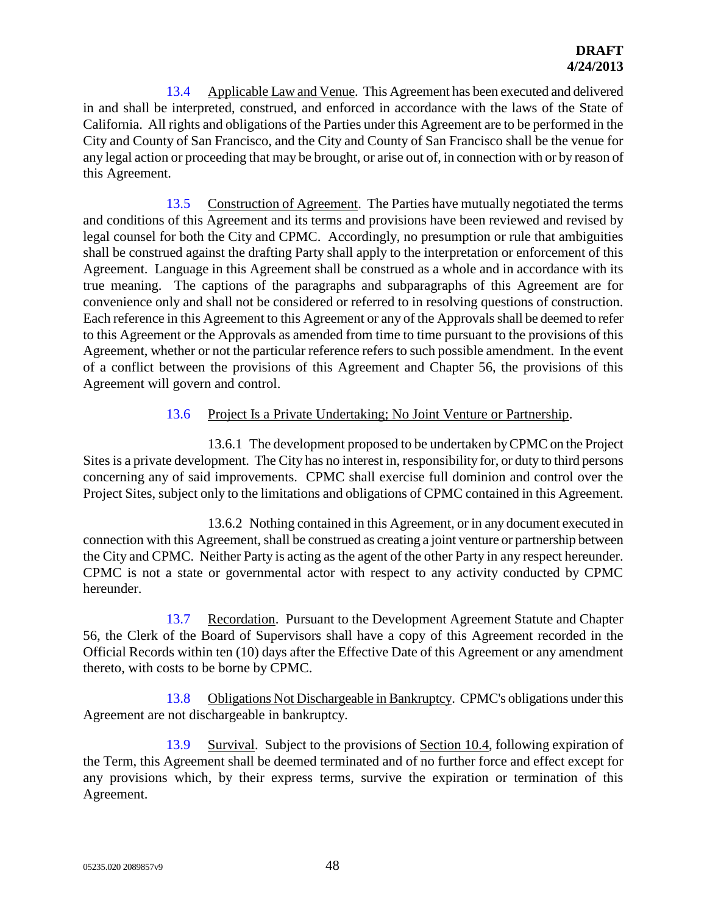13.4 Applicable Law and Venue. This Agreement has been executed and delivered in and shall be interpreted, construed, and enforced in accordance with the laws of the State of California. All rights and obligations of the Parties under this Agreement are to be performed in the City and County of San Francisco, and the City and County of San Francisco shall be the venue for any legal action or proceeding that may be brought, or arise out of, in connection with or by reason of this Agreement.

13.5 Construction of Agreement. The Parties have mutually negotiated the terms and conditions of this Agreement and its terms and provisions have been reviewed and revised by legal counsel for both the City and CPMC. Accordingly, no presumption or rule that ambiguities shall be construed against the drafting Party shall apply to the interpretation or enforcement of this Agreement. Language in this Agreement shall be construed as a whole and in accordance with its true meaning. The captions of the paragraphs and subparagraphs of this Agreement are for convenience only and shall not be considered or referred to in resolving questions of construction. Each reference in this Agreement to this Agreement or any of the Approvals shall be deemed to refer to this Agreement or the Approvals as amended from time to time pursuant to the provisions of this Agreement, whether or not the particular reference refers to such possible amendment. In the event of a conflict between the provisions of this Agreement and Chapter 56, the provisions of this Agreement will govern and control.

# 13.6 Project Is a Private Undertaking; No Joint Venture or Partnership.

13.6.1 The development proposed to be undertaken by CPMC on the Project Sites is a private development. The City has no interest in, responsibility for, or duty to third persons concerning any of said improvements. CPMC shall exercise full dominion and control over the Project Sites, subject only to the limitations and obligations of CPMC contained in this Agreement.

13.6.2 Nothing contained in this Agreement, or in any document executed in connection with this Agreement, shall be construed as creating a joint venture or partnership between the City and CPMC. Neither Party is acting as the agent of the other Party in any respect hereunder. CPMC is not a state or governmental actor with respect to any activity conducted by CPMC hereunder.

13.7 Recordation. Pursuant to the Development Agreement Statute and Chapter 56, the Clerk of the Board of Supervisors shall have a copy of this Agreement recorded in the Official Records within ten (10) days after the Effective Date of this Agreement or any amendment thereto, with costs to be borne by CPMC.

13.8 Obligations Not Dischargeable in Bankruptcy. CPMC's obligations under this Agreement are not dischargeable in bankruptcy.

13.9 Survival. Subject to the provisions of Section 10.4, following expiration of the Term, this Agreement shall be deemed terminated and of no further force and effect except for any provisions which, by their express terms, survive the expiration or termination of this Agreement.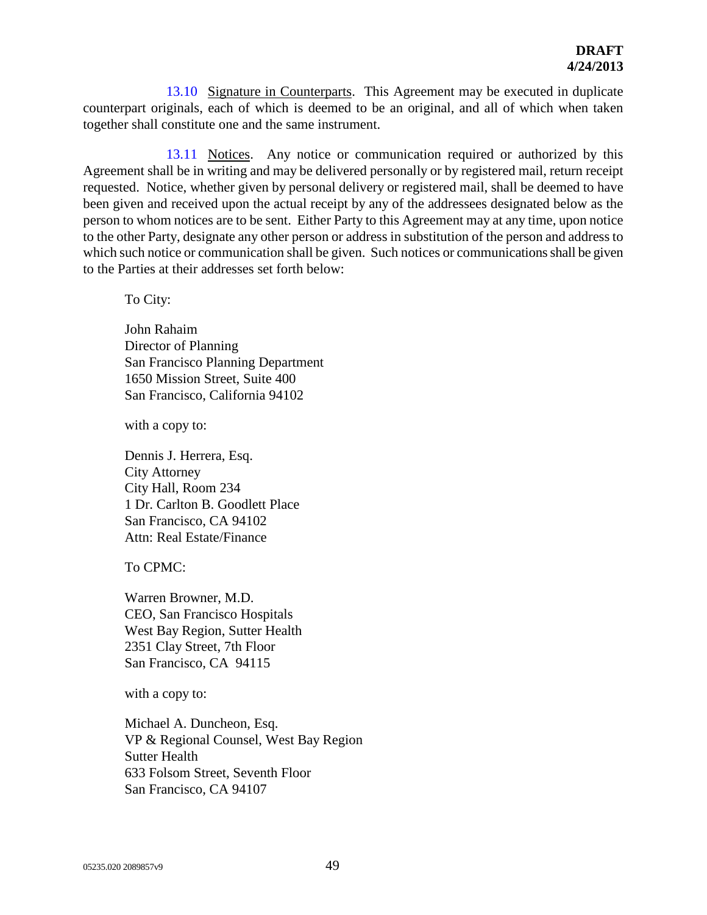13.10 Signature in Counterparts. This Agreement may be executed in duplicate counterpart originals, each of which is deemed to be an original, and all of which when taken together shall constitute one and the same instrument.

13.11 Notices. Any notice or communication required or authorized by this Agreement shall be in writing and may be delivered personally or by registered mail, return receipt requested. Notice, whether given by personal delivery or registered mail, shall be deemed to have been given and received upon the actual receipt by any of the addressees designated below as the person to whom notices are to be sent. Either Party to this Agreement may at any time, upon notice to the other Party, designate any other person or address in substitution of the person and address to which such notice or communication shall be given. Such notices or communications shall be given to the Parties at their addresses set forth below:

To City:

John Rahaim Director of Planning San Francisco Planning Department 1650 Mission Street, Suite 400 San Francisco, California 94102

with a copy to:

Dennis J. Herrera, Esq. City Attorney City Hall, Room 234 1 Dr. Carlton B. Goodlett Place San Francisco, CA 94102 Attn: Real Estate/Finance

To CPMC:

Warren Browner, M.D. CEO, San Francisco Hospitals West Bay Region, Sutter Health 2351 Clay Street, 7th Floor San Francisco, CA 94115

with a copy to:

Michael A. Duncheon, Esq. VP & Regional Counsel, West Bay Region Sutter Health 633 Folsom Street, Seventh Floor San Francisco, CA 94107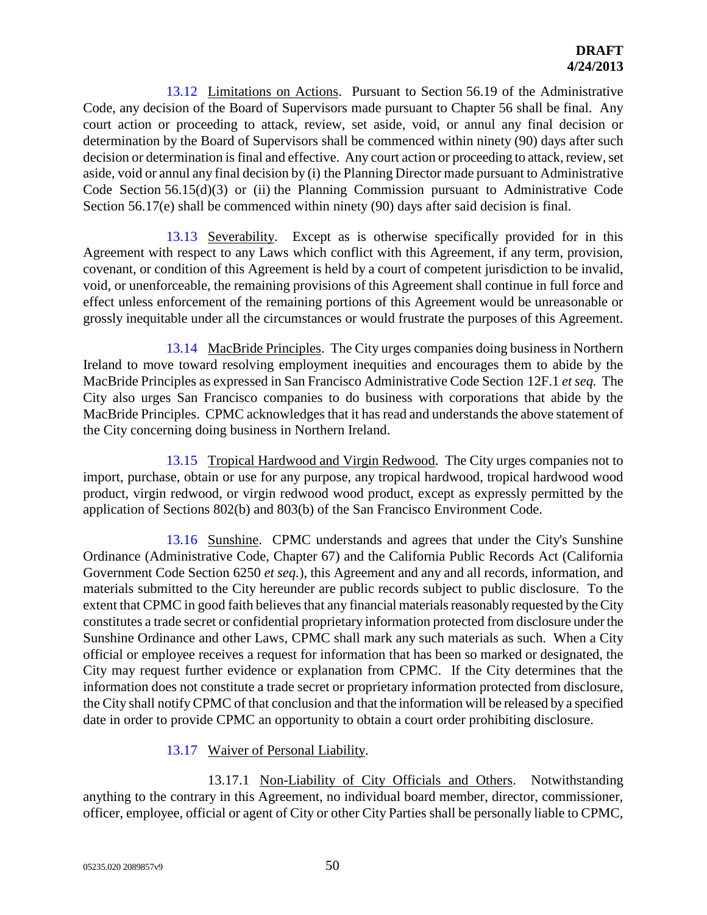13.12 Limitations on Actions. Pursuant to Section 56.19 of the Administrative Code, any decision of the Board of Supervisors made pursuant to Chapter 56 shall be final. Any court action or proceeding to attack, review, set aside, void, or annul any final decision or determination by the Board of Supervisors shall be commenced within ninety (90) days after such decision or determination is final and effective. Any court action or proceeding to attack, review, set aside, void or annul any final decision by (i) the Planning Director made pursuant to Administrative Code Section 56.15(d)(3) or (ii) the Planning Commission pursuant to Administrative Code Section 56.17(e) shall be commenced within ninety (90) days after said decision is final.

13.13 Severability. Except as is otherwise specifically provided for in this Agreement with respect to any Laws which conflict with this Agreement, if any term, provision, covenant, or condition of this Agreement is held by a court of competent jurisdiction to be invalid, void, or unenforceable, the remaining provisions of this Agreement shall continue in full force and effect unless enforcement of the remaining portions of this Agreement would be unreasonable or grossly inequitable under all the circumstances or would frustrate the purposes of this Agreement.

13.14 MacBride Principles. The City urges companies doing business in Northern Ireland to move toward resolving employment inequities and encourages them to abide by the MacBride Principles as expressed in San Francisco Administrative Code Section 12F.1 *et seq.* The City also urges San Francisco companies to do business with corporations that abide by the MacBride Principles. CPMC acknowledges that it has read and understands the above statement of the City concerning doing business in Northern Ireland.

13.15 Tropical Hardwood and Virgin Redwood. The City urges companies not to import, purchase, obtain or use for any purpose, any tropical hardwood, tropical hardwood wood product, virgin redwood, or virgin redwood wood product, except as expressly permitted by the application of Sections 802(b) and 803(b) of the San Francisco Environment Code.

13.16 Sunshine. CPMC understands and agrees that under the City's Sunshine Ordinance (Administrative Code, Chapter 67) and the California Public Records Act (California Government Code Section 6250 *et seq.*), this Agreement and any and all records, information, and materials submitted to the City hereunder are public records subject to public disclosure. To the extent that CPMC in good faith believes that any financial materials reasonably requested by the City constitutes a trade secret or confidential proprietary information protected from disclosure under the Sunshine Ordinance and other Laws, CPMC shall mark any such materials as such. When a City official or employee receives a request for information that has been so marked or designated, the City may request further evidence or explanation from CPMC. If the City determines that the information does not constitute a trade secret or proprietary information protected from disclosure, the City shall notify CPMC of that conclusion and that the information will be released by a specified date in order to provide CPMC an opportunity to obtain a court order prohibiting disclosure.

# 13.17 Waiver of Personal Liability.

13.17.1 Non-Liability of City Officials and Others. Notwithstanding anything to the contrary in this Agreement, no individual board member, director, commissioner, officer, employee, official or agent of City or other City Parties shall be personally liable to CPMC,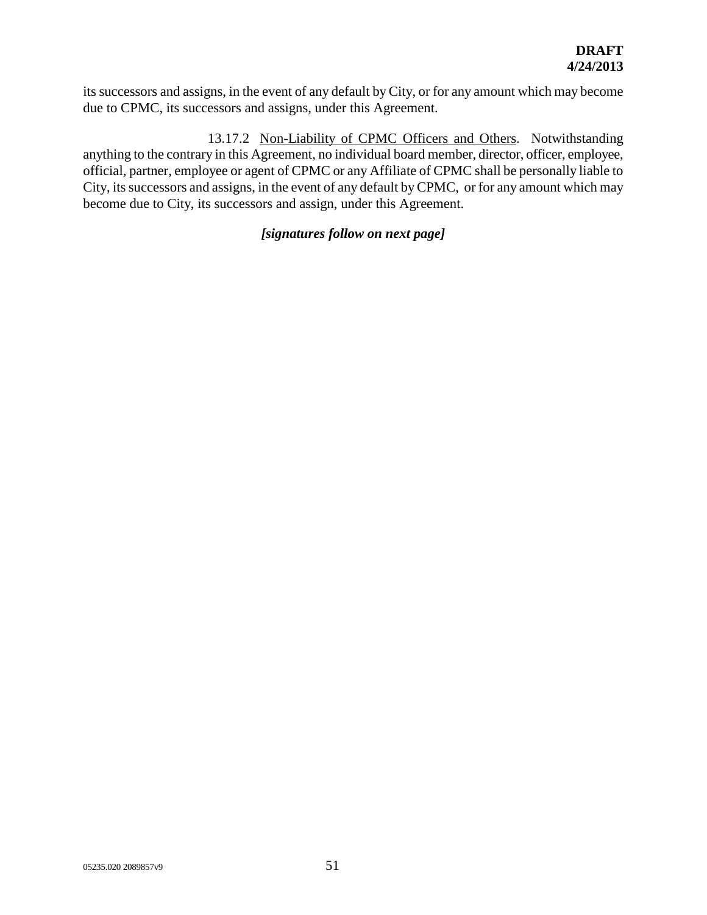its successors and assigns, in the event of any default by City, or for any amount which may become due to CPMC, its successors and assigns, under this Agreement.

13.17.2 Non-Liability of CPMC Officers and Others. Notwithstanding anything to the contrary in this Agreement, no individual board member, director, officer, employee, official, partner, employee or agent of CPMC or any Affiliate of CPMC shall be personally liable to City, its successors and assigns, in the event of any default by CPMC, or for any amount which may become due to City, its successors and assign, under this Agreement.

## *[signatures follow on next page]*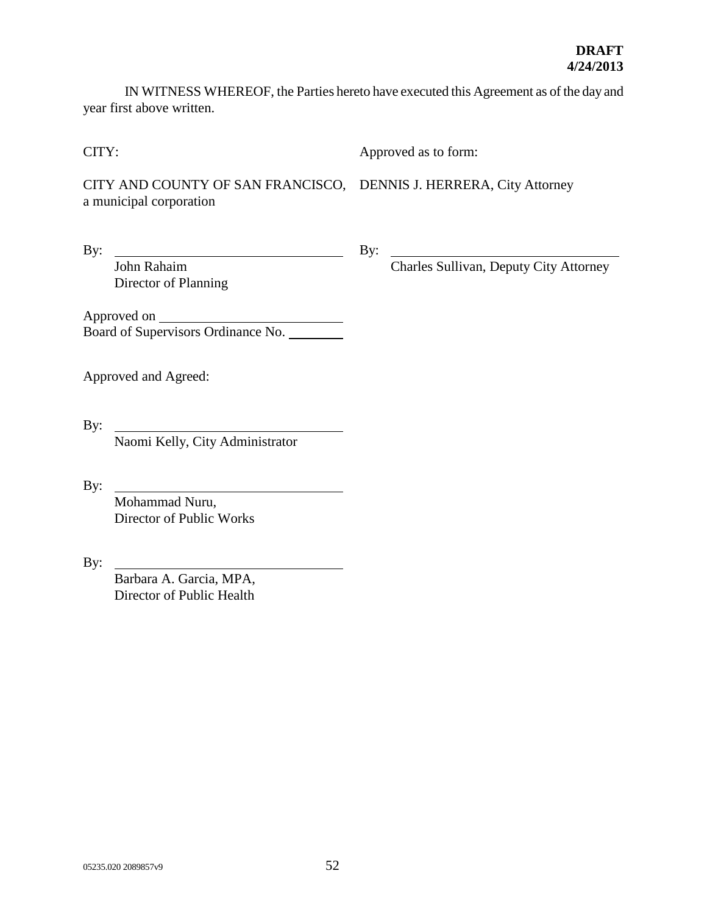IN WITNESS WHEREOF, the Parties hereto have executed this Agreement as of the day and year first above written.

CITY:

Approved as to form:

CITY AND COUNTY OF SAN FRANCISCO, DENNIS J. HERRERA, City Attorney a municipal corporation

By:

By:

Charles Sullivan, Deputy City Attorney

Approved on Board of Supervisors Ordinance No.

Approved and Agreed:

John Rahaim

Director of Planning

By:

Naomi Kelly, City Administrator

 $By:$ 

Mohammad Nuru, Director of Public Works

By:

Barbara A. Garcia, MPA, Director of Public Health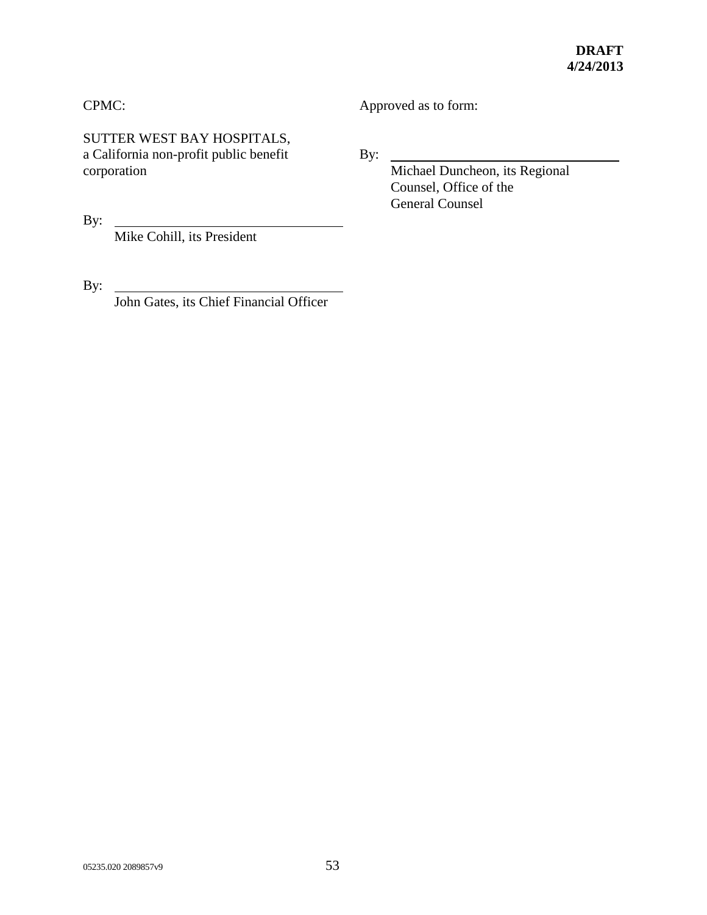# CPMC:

SUTTER WEST BAY HOSPITALS, a California non-profit public benefit corporation

By:

Mike Cohill, its President

By:

John Gates, its Chief Financial Officer

Approved as to form:

By:  $\overline{\phantom{a}}$ 

Michael Duncheon, its Regional Counsel, Office of the General Counsel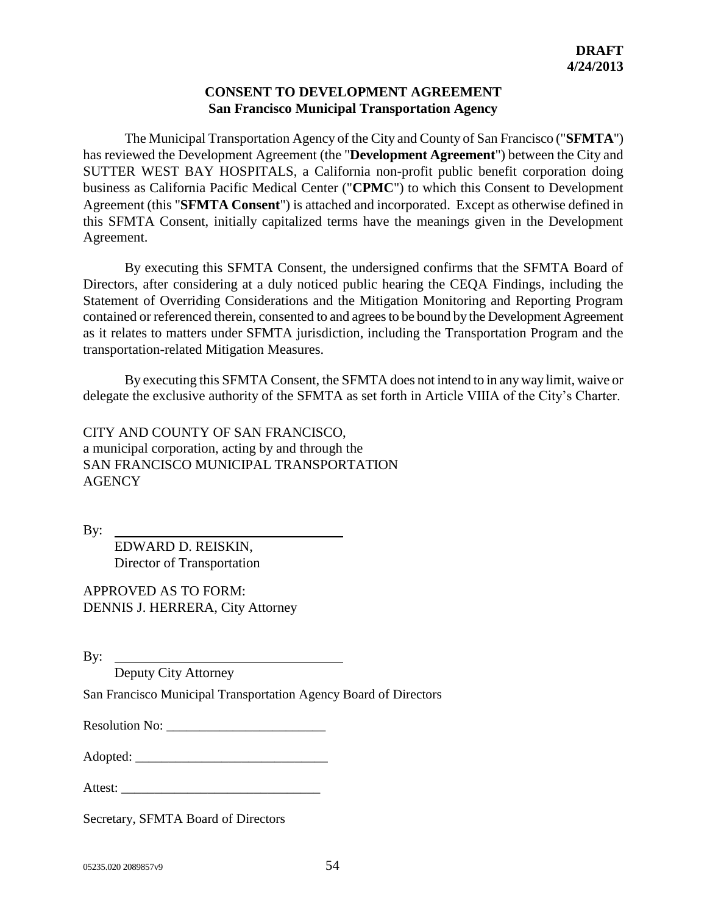## **CONSENT TO DEVELOPMENT AGREEMENT San Francisco Municipal Transportation Agency**

The Municipal Transportation Agency of the City and County of San Francisco ("**SFMTA**") has reviewed the Development Agreement (the "**Development Agreement**") between the City and SUTTER WEST BAY HOSPITALS, a California non-profit public benefit corporation doing business as California Pacific Medical Center ("**CPMC**") to which this Consent to Development Agreement (this "**SFMTA Consent**") is attached and incorporated. Except as otherwise defined in this SFMTA Consent, initially capitalized terms have the meanings given in the Development Agreement.

By executing this SFMTA Consent, the undersigned confirms that the SFMTA Board of Directors, after considering at a duly noticed public hearing the CEQA Findings, including the Statement of Overriding Considerations and the Mitigation Monitoring and Reporting Program contained or referenced therein, consented to and agrees to be bound by the Development Agreement as it relates to matters under SFMTA jurisdiction, including the Transportation Program and the transportation-related Mitigation Measures.

By executing this SFMTA Consent, the SFMTA does not intend to in any way limit, waive or delegate the exclusive authority of the SFMTA as set forth in Article VIIIA of the City's Charter.

CITY AND COUNTY OF SAN FRANCISCO, a municipal corporation, acting by and through the SAN FRANCISCO MUNICIPAL TRANSPORTATION **AGENCY** 

By:

EDWARD D. REISKIN, Director of Transportation

APPROVED AS TO FORM: DENNIS J. HERRERA, City Attorney

By:

Deputy City Attorney

San Francisco Municipal Transportation Agency Board of Directors

Resolution No: \_\_\_\_\_\_\_\_\_\_\_\_\_\_\_\_\_\_\_\_\_\_\_\_

Adopted: \_\_\_\_\_\_\_\_\_\_\_\_\_\_\_\_\_\_\_\_\_\_\_\_\_\_\_\_\_

Attest:

Secretary, SFMTA Board of Directors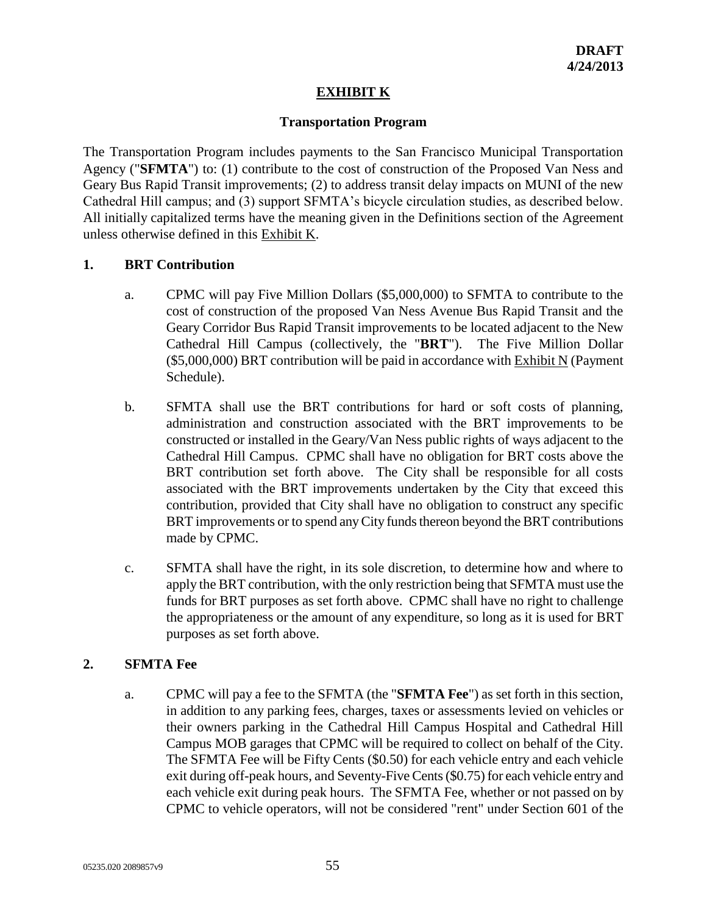# **EXHIBIT K**

#### **Transportation Program**

The Transportation Program includes payments to the San Francisco Municipal Transportation Agency ("**SFMTA**") to: (1) contribute to the cost of construction of the Proposed Van Ness and Geary Bus Rapid Transit improvements; (2) to address transit delay impacts on MUNI of the new Cathedral Hill campus; and (3) support SFMTA's bicycle circulation studies, as described below. All initially capitalized terms have the meaning given in the Definitions section of the Agreement unless otherwise defined in this Exhibit K.

## **1. BRT Contribution**

- a. CPMC will pay Five Million Dollars (\$5,000,000) to SFMTA to contribute to the cost of construction of the proposed Van Ness Avenue Bus Rapid Transit and the Geary Corridor Bus Rapid Transit improvements to be located adjacent to the New Cathedral Hill Campus (collectively, the "**BRT**"). The Five Million Dollar (\$5,000,000) BRT contribution will be paid in accordance with Exhibit N (Payment Schedule).
- b. SFMTA shall use the BRT contributions for hard or soft costs of planning, administration and construction associated with the BRT improvements to be constructed or installed in the Geary/Van Ness public rights of ways adjacent to the Cathedral Hill Campus. CPMC shall have no obligation for BRT costs above the BRT contribution set forth above. The City shall be responsible for all costs associated with the BRT improvements undertaken by the City that exceed this contribution, provided that City shall have no obligation to construct any specific BRT improvements or to spend any City funds thereon beyond the BRT contributions made by CPMC.
- c. SFMTA shall have the right, in its sole discretion, to determine how and where to apply the BRT contribution, with the only restriction being that SFMTA must use the funds for BRT purposes as set forth above. CPMC shall have no right to challenge the appropriateness or the amount of any expenditure, so long as it is used for BRT purposes as set forth above.

# **2. SFMTA Fee**

a. CPMC will pay a fee to the SFMTA (the "**SFMTA Fee**") as set forth in this section, in addition to any parking fees, charges, taxes or assessments levied on vehicles or their owners parking in the Cathedral Hill Campus Hospital and Cathedral Hill Campus MOB garages that CPMC will be required to collect on behalf of the City. The SFMTA Fee will be Fifty Cents (\$0.50) for each vehicle entry and each vehicle exit during off-peak hours, and Seventy-Five Cents (\$0.75) for each vehicle entry and each vehicle exit during peak hours. The SFMTA Fee, whether or not passed on by CPMC to vehicle operators, will not be considered "rent" under Section 601 of the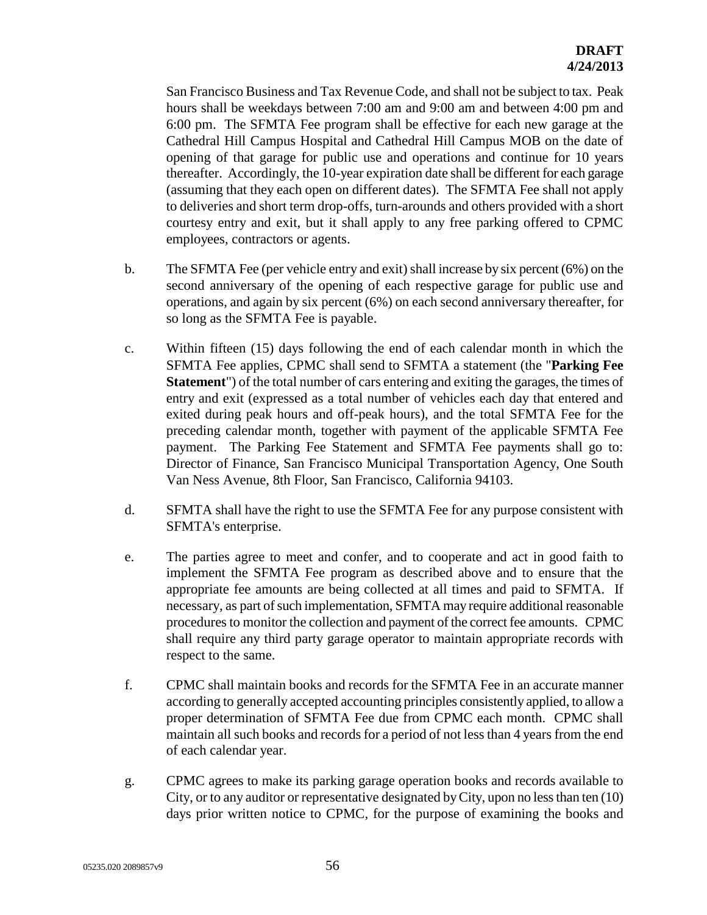San Francisco Business and Tax Revenue Code, and shall not be subject to tax. Peak hours shall be weekdays between 7:00 am and 9:00 am and between 4:00 pm and 6:00 pm. The SFMTA Fee program shall be effective for each new garage at the Cathedral Hill Campus Hospital and Cathedral Hill Campus MOB on the date of opening of that garage for public use and operations and continue for 10 years thereafter. Accordingly, the 10-year expiration date shall be different for each garage (assuming that they each open on different dates). The SFMTA Fee shall not apply to deliveries and short term drop-offs, turn-arounds and others provided with a short courtesy entry and exit, but it shall apply to any free parking offered to CPMC employees, contractors or agents.

- b. The SFMTA Fee (per vehicle entry and exit) shall increase by six percent (6%) on the second anniversary of the opening of each respective garage for public use and operations, and again by six percent (6%) on each second anniversary thereafter, for so long as the SFMTA Fee is payable.
- c. Within fifteen (15) days following the end of each calendar month in which the SFMTA Fee applies, CPMC shall send to SFMTA a statement (the "**Parking Fee Statement**") of the total number of cars entering and exiting the garages, the times of entry and exit (expressed as a total number of vehicles each day that entered and exited during peak hours and off-peak hours), and the total SFMTA Fee for the preceding calendar month, together with payment of the applicable SFMTA Fee payment. The Parking Fee Statement and SFMTA Fee payments shall go to: Director of Finance, San Francisco Municipal Transportation Agency, One South Van Ness Avenue, 8th Floor, San Francisco, California 94103.
- d. SFMTA shall have the right to use the SFMTA Fee for any purpose consistent with SFMTA's enterprise.
- e. The parties agree to meet and confer, and to cooperate and act in good faith to implement the SFMTA Fee program as described above and to ensure that the appropriate fee amounts are being collected at all times and paid to SFMTA. If necessary, as part of such implementation, SFMTA may require additional reasonable procedures to monitor the collection and payment of the correct fee amounts. CPMC shall require any third party garage operator to maintain appropriate records with respect to the same.
- f. CPMC shall maintain books and records for the SFMTA Fee in an accurate manner according to generally accepted accounting principles consistently applied, to allow a proper determination of SFMTA Fee due from CPMC each month. CPMC shall maintain all such books and records for a period of not less than 4 years from the end of each calendar year.
- g. CPMC agrees to make its parking garage operation books and records available to City, or to any auditor or representative designated by City, upon no less than ten (10) days prior written notice to CPMC, for the purpose of examining the books and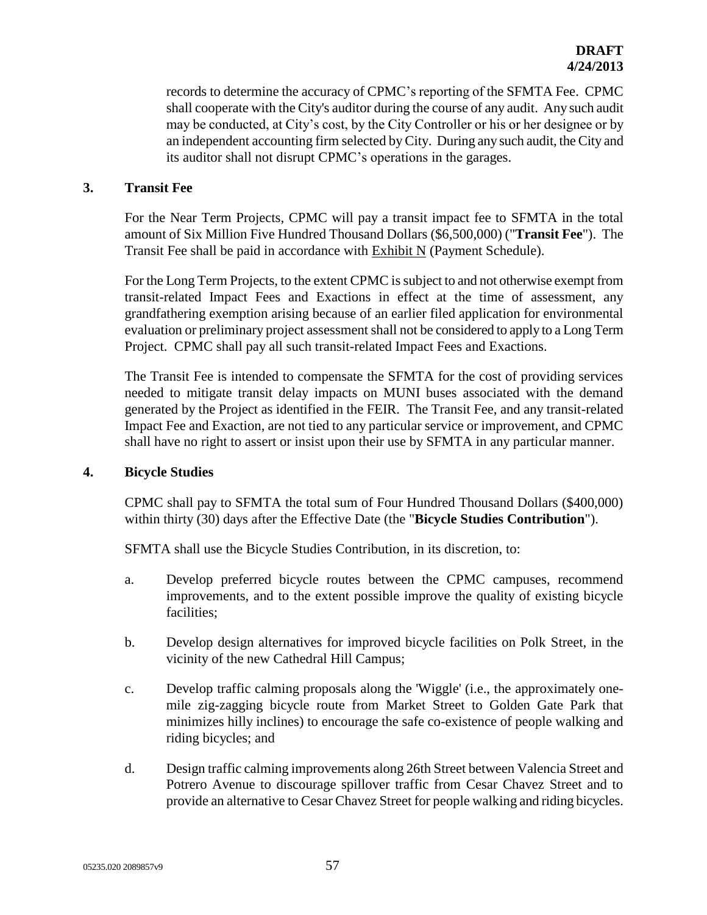records to determine the accuracy of CPMC's reporting of the SFMTA Fee. CPMC shall cooperate with the City's auditor during the course of any audit. Any such audit may be conducted, at City's cost, by the City Controller or his or her designee or by an independent accounting firm selected by City. During any such audit, the City and its auditor shall not disrupt CPMC's operations in the garages.

### **3. Transit Fee**

For the Near Term Projects, CPMC will pay a transit impact fee to SFMTA in the total amount of Six Million Five Hundred Thousand Dollars (\$6,500,000) ("**Transit Fee**"). The Transit Fee shall be paid in accordance with Exhibit N (Payment Schedule).

For the Long Term Projects, to the extent CPMC is subject to and not otherwise exempt from transit-related Impact Fees and Exactions in effect at the time of assessment, any grandfathering exemption arising because of an earlier filed application for environmental evaluation or preliminary project assessment shall not be considered to apply to a Long Term Project. CPMC shall pay all such transit-related Impact Fees and Exactions.

The Transit Fee is intended to compensate the SFMTA for the cost of providing services needed to mitigate transit delay impacts on MUNI buses associated with the demand generated by the Project as identified in the FEIR. The Transit Fee, and any transit-related Impact Fee and Exaction, are not tied to any particular service or improvement, and CPMC shall have no right to assert or insist upon their use by SFMTA in any particular manner.

#### **4. Bicycle Studies**

CPMC shall pay to SFMTA the total sum of Four Hundred Thousand Dollars (\$400,000) within thirty (30) days after the Effective Date (the "**Bicycle Studies Contribution**").

SFMTA shall use the Bicycle Studies Contribution, in its discretion, to:

- a. Develop preferred bicycle routes between the CPMC campuses, recommend improvements, and to the extent possible improve the quality of existing bicycle facilities;
- b. Develop design alternatives for improved bicycle facilities on Polk Street, in the vicinity of the new Cathedral Hill Campus;
- c. Develop traffic calming proposals along the 'Wiggle' (i.e., the approximately onemile zig-zagging bicycle route from Market Street to Golden Gate Park that minimizes hilly inclines) to encourage the safe co-existence of people walking and riding bicycles; and
- d. Design traffic calming improvements along 26th Street between Valencia Street and Potrero Avenue to discourage spillover traffic from Cesar Chavez Street and to provide an alternative to Cesar Chavez Street for people walking and riding bicycles.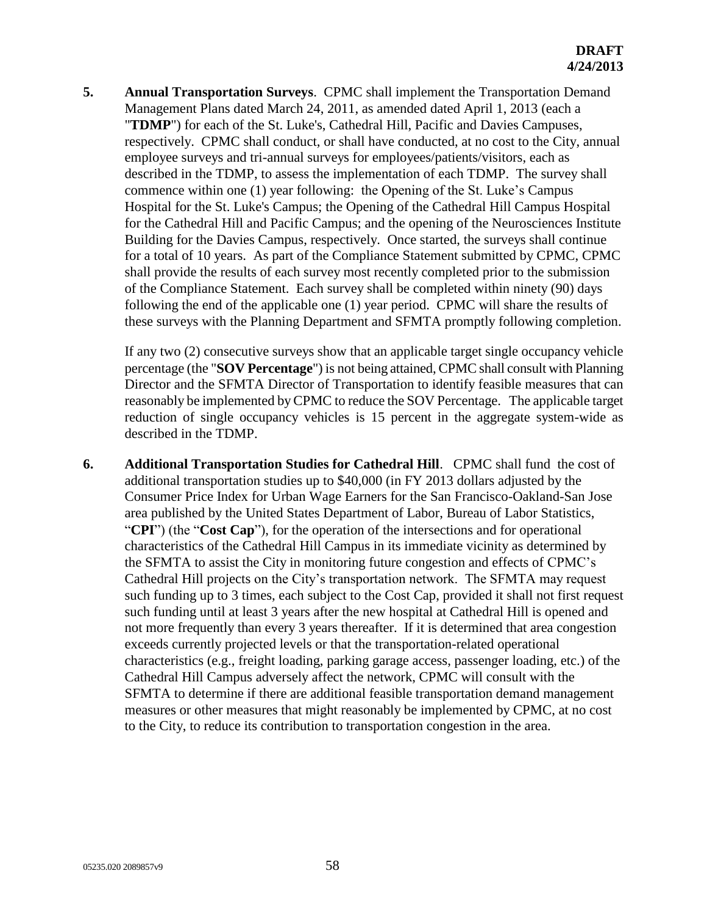**5. Annual Transportation Surveys**. CPMC shall implement the Transportation Demand Management Plans dated March 24, 2011, as amended dated April 1, 2013 (each a "**TDMP**") for each of the St. Luke's, Cathedral Hill, Pacific and Davies Campuses, respectively. CPMC shall conduct, or shall have conducted, at no cost to the City, annual employee surveys and tri-annual surveys for employees/patients/visitors, each as described in the TDMP, to assess the implementation of each TDMP. The survey shall commence within one (1) year following: the Opening of the St. Luke's Campus Hospital for the St. Luke's Campus; the Opening of the Cathedral Hill Campus Hospital for the Cathedral Hill and Pacific Campus; and the opening of the Neurosciences Institute Building for the Davies Campus, respectively. Once started, the surveys shall continue for a total of 10 years. As part of the Compliance Statement submitted by CPMC, CPMC shall provide the results of each survey most recently completed prior to the submission of the Compliance Statement. Each survey shall be completed within ninety (90) days following the end of the applicable one (1) year period. CPMC will share the results of these surveys with the Planning Department and SFMTA promptly following completion.

If any two (2) consecutive surveys show that an applicable target single occupancy vehicle percentage (the "**SOV Percentage**") is not being attained, CPMC shall consult with Planning Director and the SFMTA Director of Transportation to identify feasible measures that can reasonably be implemented by CPMC to reduce the SOV Percentage. The applicable target reduction of single occupancy vehicles is 15 percent in the aggregate system-wide as described in the TDMP.

**6. Additional Transportation Studies for Cathedral Hill**. CPMC shall fund the cost of additional transportation studies up to \$40,000 (in FY 2013 dollars adjusted by the Consumer Price Index for Urban Wage Earners for the San Francisco-Oakland-San Jose area published by the United States Department of Labor, Bureau of Labor Statistics, "**CPI**") (the "**Cost Cap**"), for the operation of the intersections and for operational characteristics of the Cathedral Hill Campus in its immediate vicinity as determined by the SFMTA to assist the City in monitoring future congestion and effects of CPMC's Cathedral Hill projects on the City's transportation network. The SFMTA may request such funding up to 3 times, each subject to the Cost Cap, provided it shall not first request such funding until at least 3 years after the new hospital at Cathedral Hill is opened and not more frequently than every 3 years thereafter. If it is determined that area congestion exceeds currently projected levels or that the transportation-related operational characteristics (e.g., freight loading, parking garage access, passenger loading, etc.) of the Cathedral Hill Campus adversely affect the network, CPMC will consult with the SFMTA to determine if there are additional feasible transportation demand management measures or other measures that might reasonably be implemented by CPMC, at no cost to the City, to reduce its contribution to transportation congestion in the area.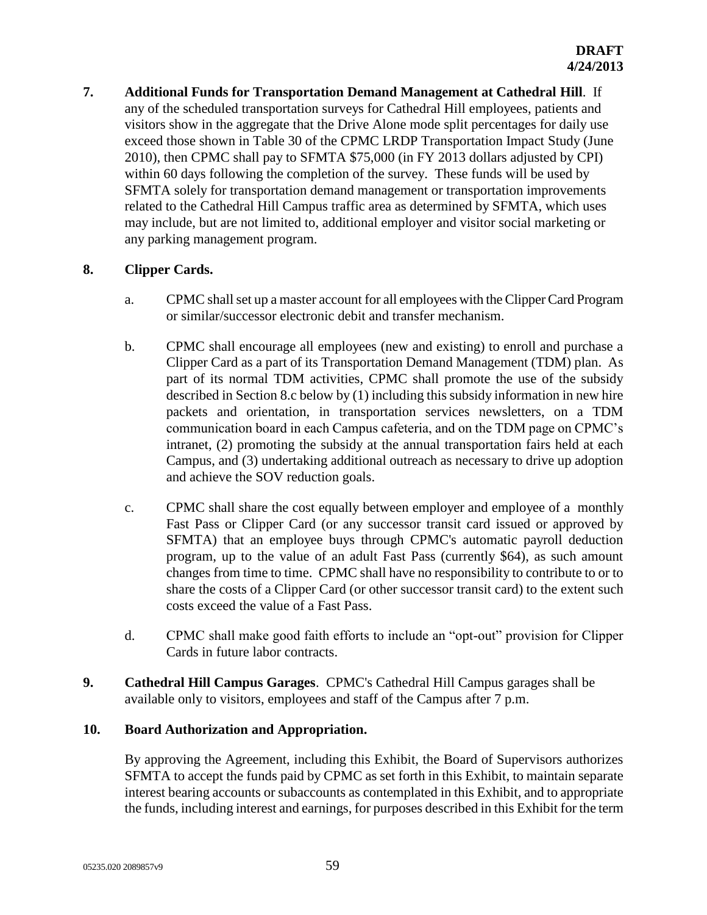**7. Additional Funds for Transportation Demand Management at Cathedral Hill**. If any of the scheduled transportation surveys for Cathedral Hill employees, patients and visitors show in the aggregate that the Drive Alone mode split percentages for daily use exceed those shown in Table 30 of the CPMC LRDP Transportation Impact Study (June 2010), then CPMC shall pay to SFMTA \$75,000 (in FY 2013 dollars adjusted by CPI) within 60 days following the completion of the survey. These funds will be used by SFMTA solely for transportation demand management or transportation improvements related to the Cathedral Hill Campus traffic area as determined by SFMTA, which uses may include, but are not limited to, additional employer and visitor social marketing or any parking management program.

# **8. Clipper Cards.**

- a. CPMC shall set up a master account for all employees with the Clipper Card Program or similar/successor electronic debit and transfer mechanism.
- b. CPMC shall encourage all employees (new and existing) to enroll and purchase a Clipper Card as a part of its Transportation Demand Management (TDM) plan. As part of its normal TDM activities, CPMC shall promote the use of the subsidy described in Section 8.c below by (1) including this subsidy information in new hire packets and orientation, in transportation services newsletters, on a TDM communication board in each Campus cafeteria, and on the TDM page on CPMC's intranet, (2) promoting the subsidy at the annual transportation fairs held at each Campus, and (3) undertaking additional outreach as necessary to drive up adoption and achieve the SOV reduction goals.
- c. CPMC shall share the cost equally between employer and employee of a monthly Fast Pass or Clipper Card (or any successor transit card issued or approved by SFMTA) that an employee buys through CPMC's automatic payroll deduction program, up to the value of an adult Fast Pass (currently \$64), as such amount changes from time to time. CPMC shall have no responsibility to contribute to or to share the costs of a Clipper Card (or other successor transit card) to the extent such costs exceed the value of a Fast Pass.
- d. CPMC shall make good faith efforts to include an "opt-out" provision for Clipper Cards in future labor contracts.
- **9. Cathedral Hill Campus Garages**. CPMC's Cathedral Hill Campus garages shall be available only to visitors, employees and staff of the Campus after 7 p.m.

## **10. Board Authorization and Appropriation.**

By approving the Agreement, including this Exhibit, the Board of Supervisors authorizes SFMTA to accept the funds paid by CPMC as set forth in this Exhibit, to maintain separate interest bearing accounts or subaccounts as contemplated in this Exhibit, and to appropriate the funds, including interest and earnings, for purposes described in this Exhibit for the term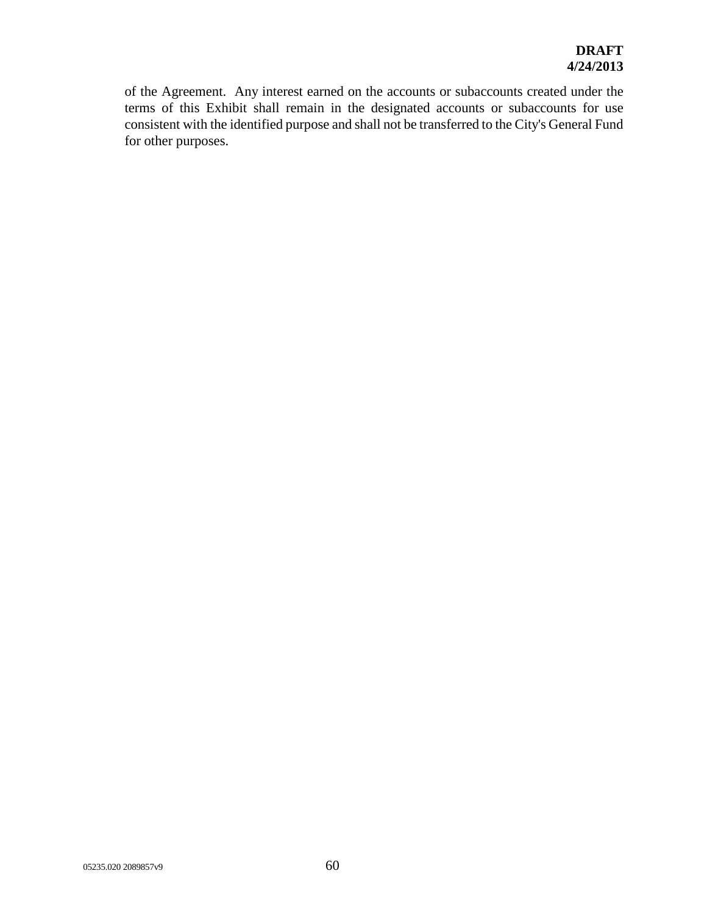of the Agreement. Any interest earned on the accounts or subaccounts created under the terms of this Exhibit shall remain in the designated accounts or subaccounts for use consistent with the identified purpose and shall not be transferred to the City's General Fund for other purposes.